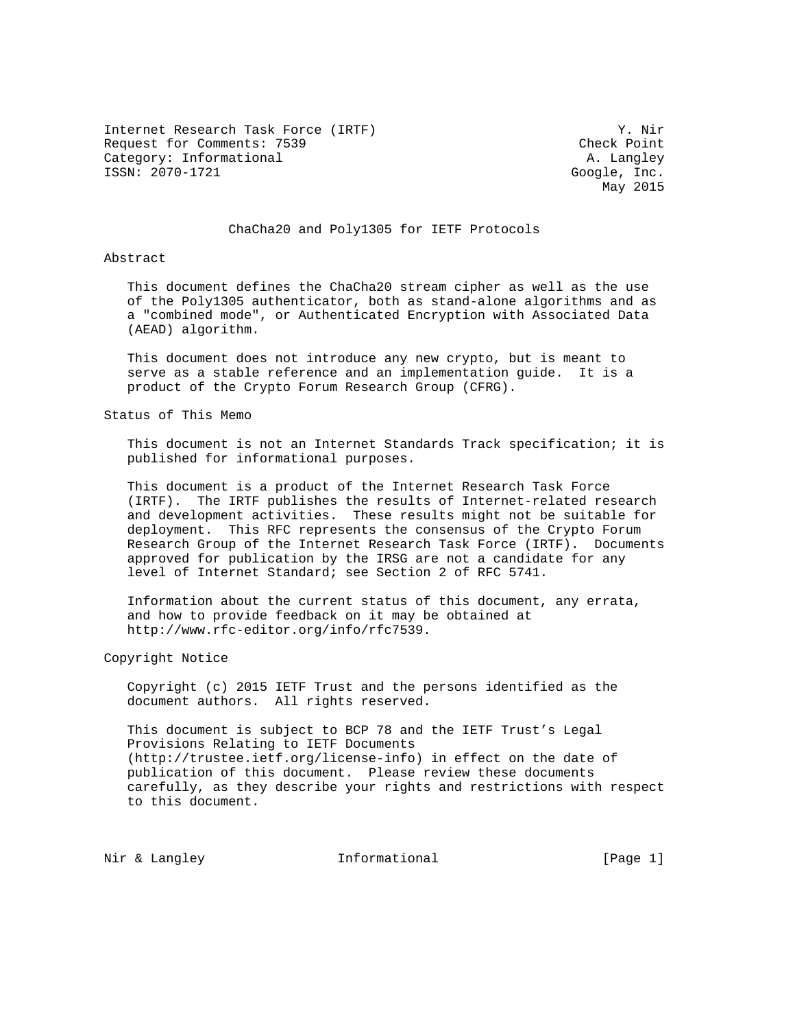Internet Research Task Force (IRTF) Y. Nir Request for Comments: 7539 Check Point Category: Informational and a set of the control of the control of the control of the control of the control of the control of the control of the control of the control of the control of the control of the control of the c ISSN: 2070-1721 Google, Inc.

May 2015

### ChaCha20 and Poly1305 for IETF Protocols

Abstract

 This document defines the ChaCha20 stream cipher as well as the use of the Poly1305 authenticator, both as stand-alone algorithms and as a "combined mode", or Authenticated Encryption with Associated Data (AEAD) algorithm.

 This document does not introduce any new crypto, but is meant to serve as a stable reference and an implementation guide. It is a product of the Crypto Forum Research Group (CFRG).

Status of This Memo

 This document is not an Internet Standards Track specification; it is published for informational purposes.

 This document is a product of the Internet Research Task Force (IRTF). The IRTF publishes the results of Internet-related research and development activities. These results might not be suitable for deployment. This RFC represents the consensus of the Crypto Forum Research Group of the Internet Research Task Force (IRTF). Documents approved for publication by the IRSG are not a candidate for any level of Internet Standard; see Section 2 of RFC 5741.

 Information about the current status of this document, any errata, and how to provide feedback on it may be obtained at http://www.rfc-editor.org/info/rfc7539.

Copyright Notice

 Copyright (c) 2015 IETF Trust and the persons identified as the document authors. All rights reserved.

 This document is subject to BCP 78 and the IETF Trust's Legal Provisions Relating to IETF Documents (http://trustee.ietf.org/license-info) in effect on the date of publication of this document. Please review these documents carefully, as they describe your rights and restrictions with respect to this document.

Nir & Langley **Informational** [Page 1]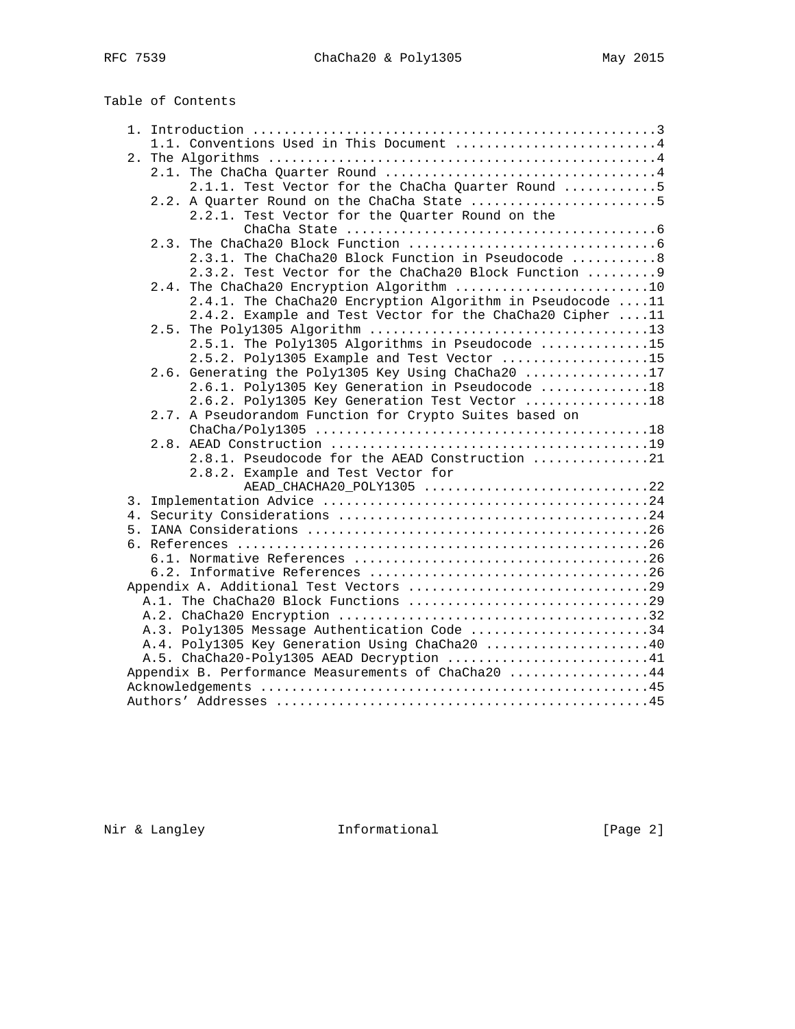# Table of Contents

|  | 1.1. Conventions Used in This Document 4                  |
|--|-----------------------------------------------------------|
|  |                                                           |
|  |                                                           |
|  | 2.1.1. Test Vector for the ChaCha Quarter Round 5         |
|  | 2.2. A Quarter Round on the ChaCha State 5                |
|  | 2.2.1. Test Vector for the Quarter Round on the           |
|  |                                                           |
|  |                                                           |
|  | 2.3.1. The ChaCha20 Block Function in Pseudocode 8        |
|  | 2.3.2. Test Vector for the ChaCha20 Block Function  9     |
|  | 2.4. The ChaCha20 Encryption Algorithm 10                 |
|  | 2.4.1. The ChaCha20 Encryption Algorithm in Pseudocode 11 |
|  | 2.4.2. Example and Test Vector for the ChaCha20 Cipher 11 |
|  |                                                           |
|  | 2.5.1. The Poly1305 Algorithms in Pseudocode 15           |
|  | 2.5.2. Poly1305 Example and Test Vector 15                |
|  | 2.6. Generating the Poly1305 Key Using ChaCha20 17        |
|  | 2.6.1. Poly1305 Key Generation in Pseudocode 18           |
|  | 2.6.2. Poly1305 Key Generation Test Vector 18             |
|  | 2.7. A Pseudorandom Function for Crypto Suites based on   |
|  |                                                           |
|  |                                                           |
|  | 2.8.1. Pseudocode for the AEAD Construction 21            |
|  | 2.8.2. Example and Test Vector for                        |
|  | AEAD_CHACHA20_POLY1305 22                                 |
|  |                                                           |
|  |                                                           |
|  |                                                           |
|  |                                                           |
|  |                                                           |
|  |                                                           |
|  | A.1. The ChaCha20 Block Functions 29                      |
|  |                                                           |
|  | A.3. Poly1305 Message Authentication Code 34              |
|  | A.4. Poly1305 Key Generation Using ChaCha20 40            |
|  | A.5. ChaCha20-Poly1305 AEAD Decryption 41                 |
|  | Appendix B. Performance Measurements of ChaCha20 44       |
|  |                                                           |
|  |                                                           |
|  |                                                           |

Nir & Langley **Informational** [Page 2]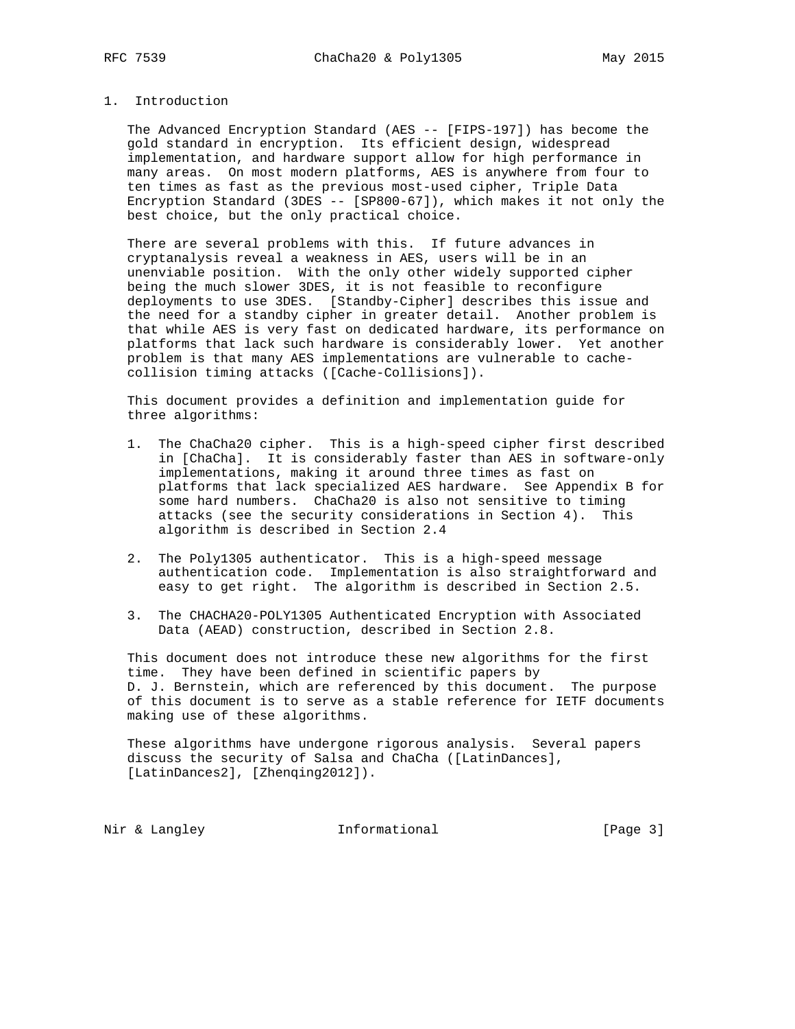# 1. Introduction

 The Advanced Encryption Standard (AES -- [FIPS-197]) has become the gold standard in encryption. Its efficient design, widespread implementation, and hardware support allow for high performance in many areas. On most modern platforms, AES is anywhere from four to ten times as fast as the previous most-used cipher, Triple Data Encryption Standard (3DES -- [SP800-67]), which makes it not only the best choice, but the only practical choice.

 There are several problems with this. If future advances in cryptanalysis reveal a weakness in AES, users will be in an unenviable position. With the only other widely supported cipher being the much slower 3DES, it is not feasible to reconfigure deployments to use 3DES. [Standby-Cipher] describes this issue and the need for a standby cipher in greater detail. Another problem is that while AES is very fast on dedicated hardware, its performance on platforms that lack such hardware is considerably lower. Yet another problem is that many AES implementations are vulnerable to cache collision timing attacks ([Cache-Collisions]).

 This document provides a definition and implementation guide for three algorithms:

- 1. The ChaCha20 cipher. This is a high-speed cipher first described in [ChaCha]. It is considerably faster than AES in software-only implementations, making it around three times as fast on platforms that lack specialized AES hardware. See Appendix B for some hard numbers. ChaCha20 is also not sensitive to timing attacks (see the security considerations in Section 4). This algorithm is described in Section 2.4
- 2. The Poly1305 authenticator. This is a high-speed message authentication code. Implementation is also straightforward and easy to get right. The algorithm is described in Section 2.5.
- 3. The CHACHA20-POLY1305 Authenticated Encryption with Associated Data (AEAD) construction, described in Section 2.8.

 This document does not introduce these new algorithms for the first time. They have been defined in scientific papers by D. J. Bernstein, which are referenced by this document. The purpose of this document is to serve as a stable reference for IETF documents making use of these algorithms.

 These algorithms have undergone rigorous analysis. Several papers discuss the security of Salsa and ChaCha ([LatinDances], [LatinDances2], [Zhenqing2012]).

Nir & Langley **Informational** [Page 3]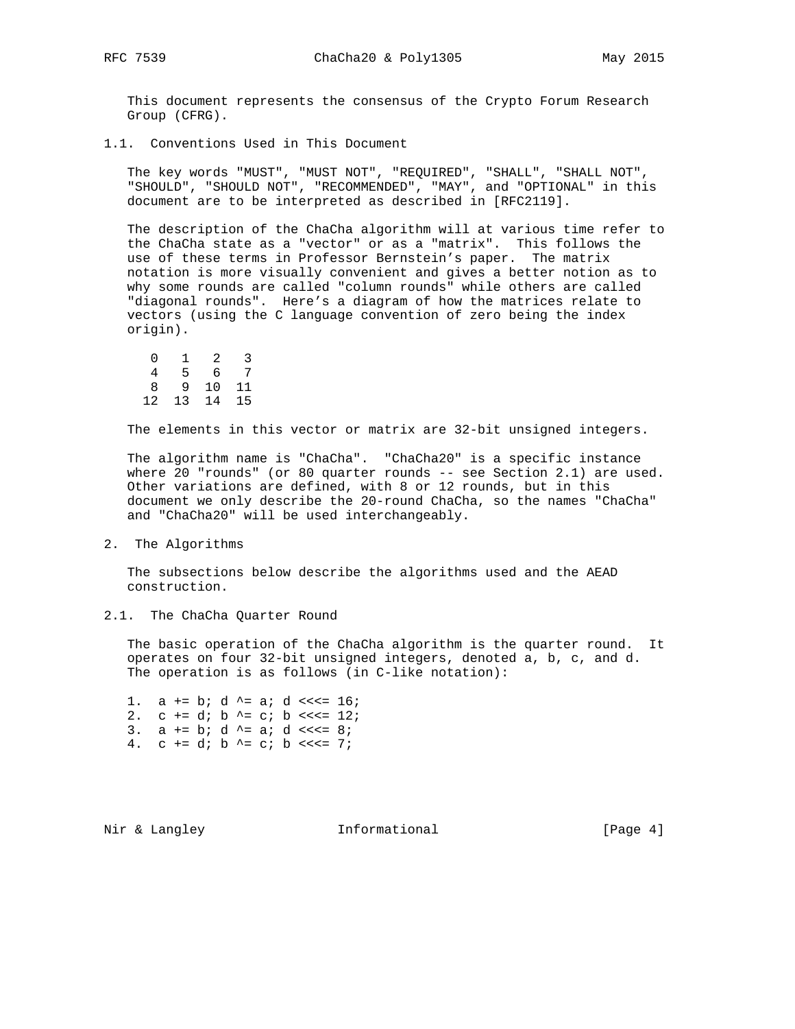This document represents the consensus of the Crypto Forum Research Group (CFRG).

1.1. Conventions Used in This Document

 The key words "MUST", "MUST NOT", "REQUIRED", "SHALL", "SHALL NOT", "SHOULD", "SHOULD NOT", "RECOMMENDED", "MAY", and "OPTIONAL" in this document are to be interpreted as described in [RFC2119].

 The description of the ChaCha algorithm will at various time refer to the ChaCha state as a "vector" or as a "matrix". This follows the use of these terms in Professor Bernstein's paper. The matrix notation is more visually convenient and gives a better notion as to why some rounds are called "column rounds" while others are called "diagonal rounds". Here's a diagram of how the matrices relate to vectors (using the C language convention of zero being the index origin).

| $\left( \right)$ | 1 | 2     | 3    |
|------------------|---|-------|------|
| 4                | 5 | 6     | 7    |
| 8                |   | 9 10  | - 11 |
| 12 <sup>°</sup>  |   | 13 14 | - 15 |

The elements in this vector or matrix are 32-bit unsigned integers.

 The algorithm name is "ChaCha". "ChaCha20" is a specific instance where 20 "rounds" (or 80 quarter rounds -- see Section 2.1) are used. Other variations are defined, with 8 or 12 rounds, but in this document we only describe the 20-round ChaCha, so the names "ChaCha" and "ChaCha20" will be used interchangeably.

2. The Algorithms

 The subsections below describe the algorithms used and the AEAD construction.

2.1. The ChaCha Quarter Round

 The basic operation of the ChaCha algorithm is the quarter round. It operates on four 32-bit unsigned integers, denoted a, b, c, and d. The operation is as follows (in C-like notation):

1.  $a == bi d^2 = ai d^2 << i = 16$ ; 2.  $c == di b \rightharpoonup = ci b \rightharpoonup = 12;$ 3.  $a == bi d^* = ai d^* << 8$ ; 4.  $c == di b \rightharpoonup = ci b \rightharpoonup *i*$ 

Nir & Langley **Informational** [Page 4]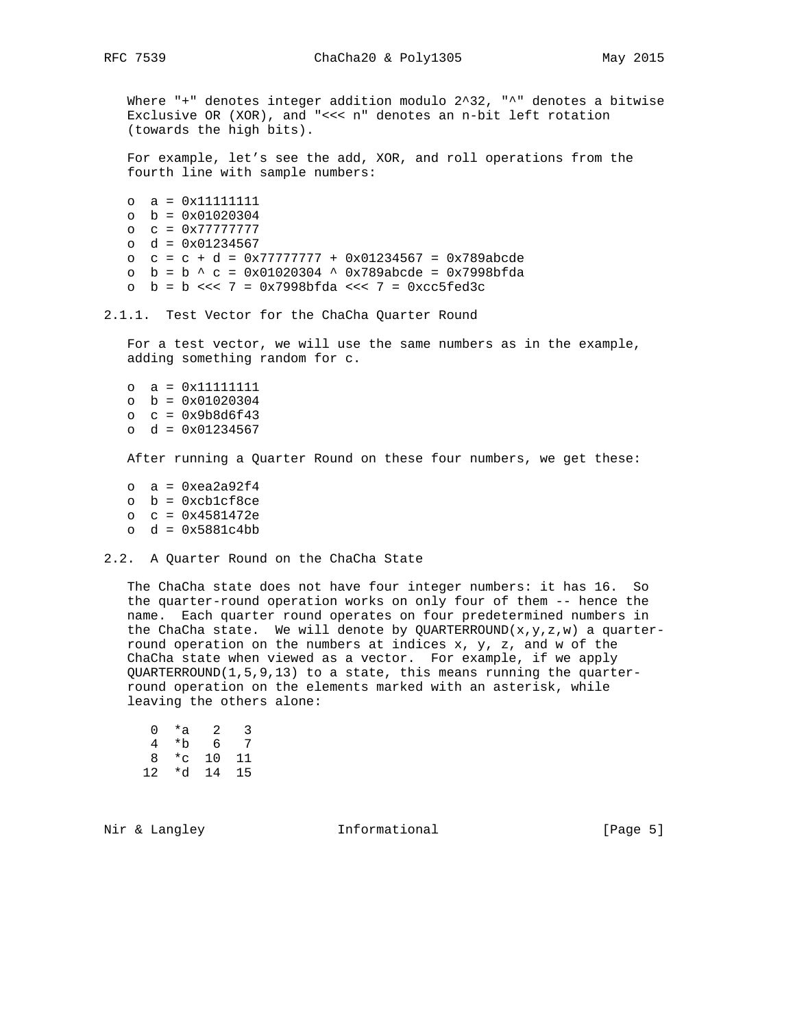Where "+" denotes integer addition modulo 2^32, "^" denotes a bitwise Exclusive OR (XOR), and "<<< n" denotes an n-bit left rotation (towards the high bits).

 For example, let's see the add, XOR, and roll operations from the fourth line with sample numbers:

```
 o a = 0x11111111
 o b = 0x01020304
 o c = 0x77777777
 o d = 0x01234567
 o c = c + d = 0x77777777 + 0x01234567 = 0x789abcde
 o b = b ^ c = 0x01020304 ^ 0x789abcde = 0x7998bfda
 o b = b <<< 7 = 0x7998bfda <<< 7 = 0xcc5fed3c
```
### 2.1.1. Test Vector for the ChaCha Quarter Round

 For a test vector, we will use the same numbers as in the example, adding something random for c.

 o a = 0x11111111 o b = 0x01020304 o c = 0x9b8d6f43 o d = 0x01234567

After running a Quarter Round on these four numbers, we get these:

 $o$  a = 0xea2a92f4 o b = 0xcb1cf8ce o c = 0x4581472e  $o$  d =  $0x5881c4bb$ 

#### 2.2. A Quarter Round on the ChaCha State

 The ChaCha state does not have four integer numbers: it has 16. So the quarter-round operation works on only four of them -- hence the name. Each quarter round operates on four predetermined numbers in the ChaCha state. We will denote by QUARTERROUND $(x,y,z,w)$  a quarter round operation on the numbers at indices x, y, z, and w of the ChaCha state when viewed as a vector. For example, if we apply QUARTERROUND(1,5,9,13) to a state, this means running the quarter round operation on the elements marked with an asterisk, while leaving the others alone:

| $\left( \right)$ | *a           | 2  | 3  |
|------------------|--------------|----|----|
| 4                | *b           | 6  | 7  |
| 8                | $^{\star}$ C | 10 | 11 |
| 12               | *d           | 14 | 15 |

Nir & Langley **Informational** [Page 5]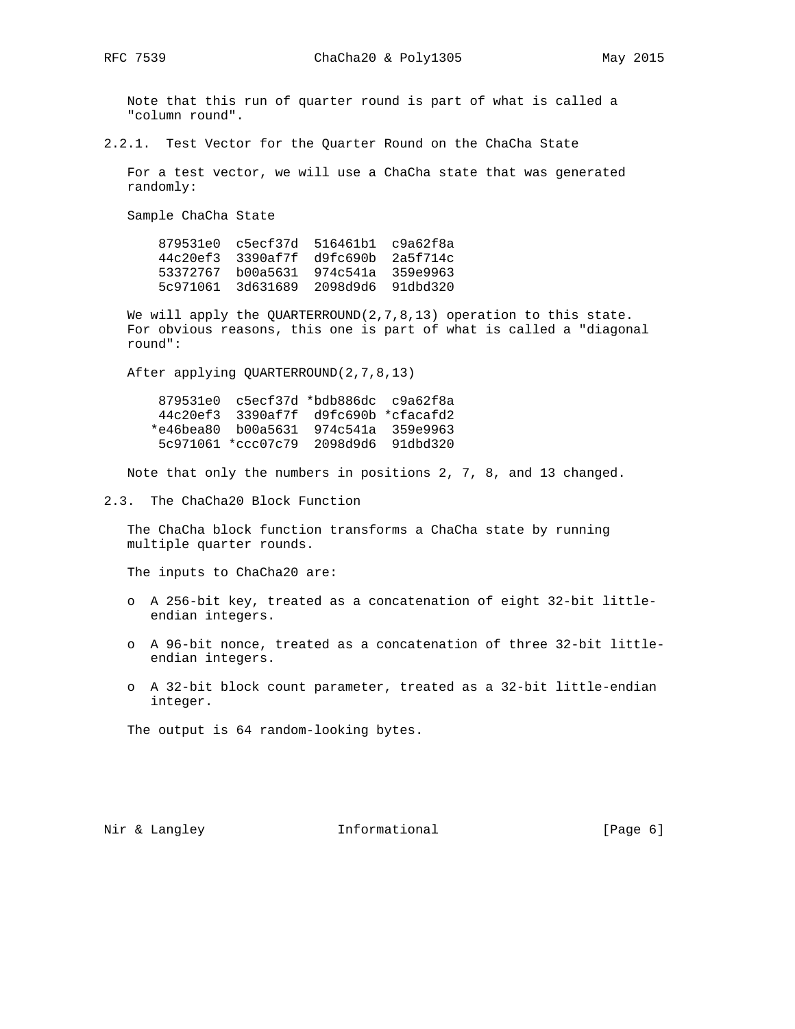Note that this run of quarter round is part of what is called a "column round".

2.2.1. Test Vector for the Quarter Round on the ChaCha State

 For a test vector, we will use a ChaCha state that was generated randomly:

Sample ChaCha State

 879531e0 c5ecf37d 516461b1 c9a62f8a 44c20ef3 3390af7f d9fc690b 2a5f714c 53372767 b00a5631 974c541a 359e9963 5c971061 3d631689 2098d9d6 91dbd320

We will apply the QUARTERROUND(2,7,8,13) operation to this state. For obvious reasons, this one is part of what is called a "diagonal round":

After applying QUARTERROUND(2,7,8,13)

 879531e0 c5ecf37d \*bdb886dc c9a62f8a 44c20ef3 3390af7f d9fc690b \*cfacafd2 \*e46bea80 b00a5631 974c541a 359e9963 5c971061 \*ccc07c79 2098d9d6 91dbd320

Note that only the numbers in positions 2, 7, 8, and 13 changed.

2.3. The ChaCha20 Block Function

 The ChaCha block function transforms a ChaCha state by running multiple quarter rounds.

The inputs to ChaCha20 are:

- o A 256-bit key, treated as a concatenation of eight 32-bit little endian integers.
- o A 96-bit nonce, treated as a concatenation of three 32-bit little endian integers.
- o A 32-bit block count parameter, treated as a 32-bit little-endian integer.

The output is 64 random-looking bytes.

Nir & Langley **Informational** [Page 6]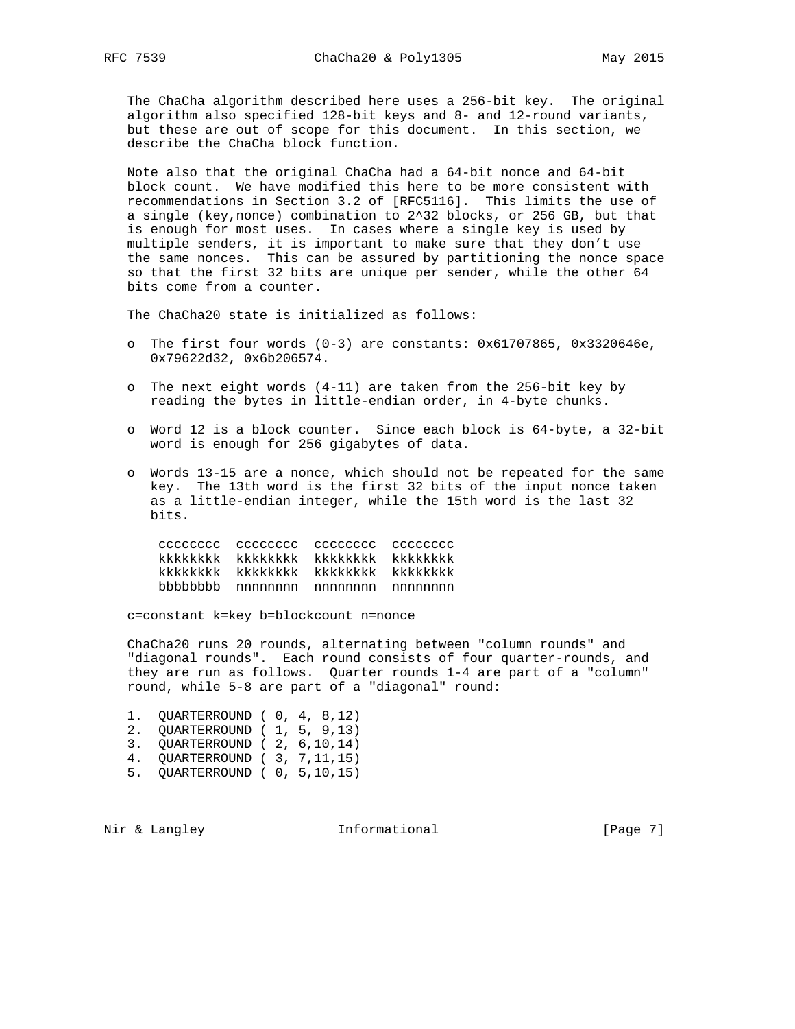The ChaCha algorithm described here uses a 256-bit key. The original algorithm also specified 128-bit keys and 8- and 12-round variants, but these are out of scope for this document. In this section, we describe the ChaCha block function.

 Note also that the original ChaCha had a 64-bit nonce and 64-bit block count. We have modified this here to be more consistent with recommendations in Section 3.2 of [RFC5116]. This limits the use of a single (key,nonce) combination to 2^32 blocks, or 256 GB, but that is enough for most uses. In cases where a single key is used by multiple senders, it is important to make sure that they don't use the same nonces. This can be assured by partitioning the nonce space so that the first 32 bits are unique per sender, while the other 64 bits come from a counter.

The ChaCha20 state is initialized as follows:

- o The first four words (0-3) are constants: 0x61707865, 0x3320646e, 0x79622d32, 0x6b206574.
- o The next eight words (4-11) are taken from the 256-bit key by reading the bytes in little-endian order, in 4-byte chunks.
- o Word 12 is a block counter. Since each block is 64-byte, a 32-bit word is enough for 256 gigabytes of data.
- o Words 13-15 are a nonce, which should not be repeated for the same key. The 13th word is the first 32 bits of the input nonce taken as a little-endian integer, while the 15th word is the last 32 bits.

|  |                             | cadadace acadada acadada acadada     |
|--|-----------------------------|--------------------------------------|
|  | kkkkkkkk kkkkkkkkk kkkkkkkk | kkkkkkkk                             |
|  |                             | kkkkkkkk kkkkkkkkk kkkkkkkk kkkkkkkk |
|  | bbbbbbbb nnnnnnnn nnnnnnnn  | nnnnnnn                              |

c=constant k=key b=blockcount n=nonce

 ChaCha20 runs 20 rounds, alternating between "column rounds" and "diagonal rounds". Each round consists of four quarter-rounds, and they are run as follows. Quarter rounds 1-4 are part of a "column" round, while 5-8 are part of a "diagonal" round:

| 1. OUARTERROUND (0, 4, 8,12)    |  |  |
|---------------------------------|--|--|
| 2. QUARTERROUND ( 1, 5, 9,13)   |  |  |
| 3. OUARTERROUND (2, 6,10,14)    |  |  |
| 4. OUARTERROUND ( 3, 7, 11, 15) |  |  |
| 5. OUARTERROUND ( 0, 5,10,15)   |  |  |

Nir & Langley **Informational** [Page 7]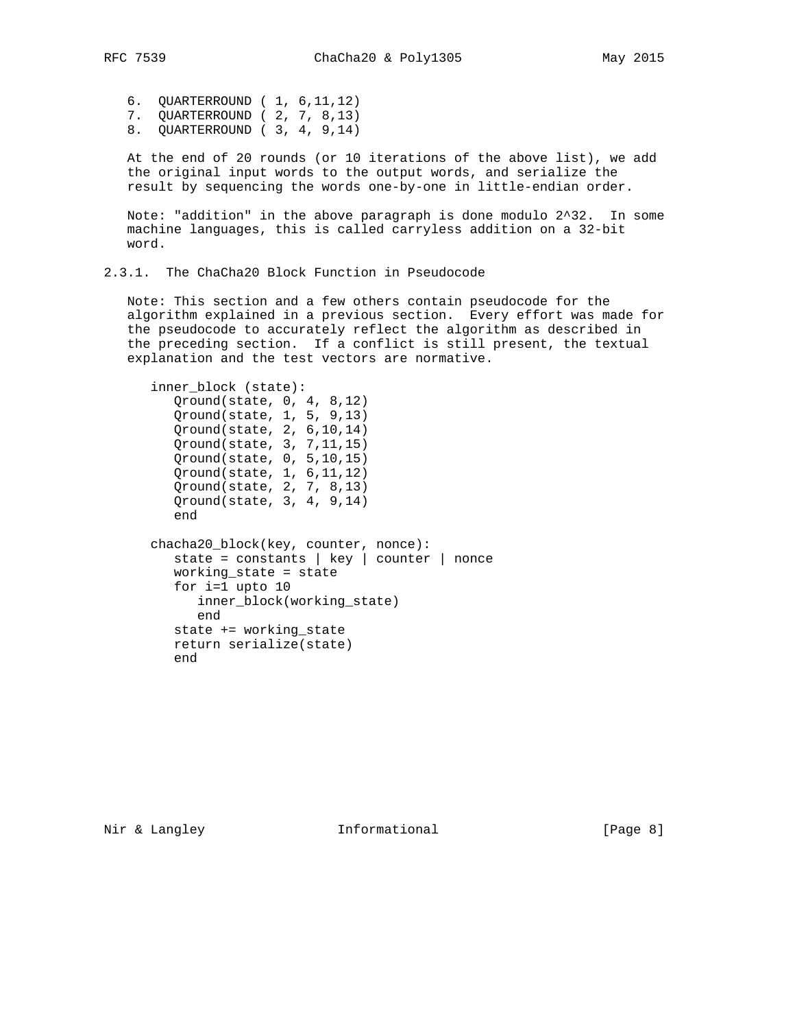6. QUARTERROUND ( 1, 6,11,12) 7. QUARTERROUND ( 2, 7, 8,13) 8. QUARTERROUND ( 3, 4, 9,14)

 At the end of 20 rounds (or 10 iterations of the above list), we add the original input words to the output words, and serialize the result by sequencing the words one-by-one in little-endian order.

 Note: "addition" in the above paragraph is done modulo 2^32. In some machine languages, this is called carryless addition on a 32-bit word.

2.3.1. The ChaCha20 Block Function in Pseudocode

 Note: This section and a few others contain pseudocode for the algorithm explained in a previous section. Every effort was made for the pseudocode to accurately reflect the algorithm as described in the preceding section. If a conflict is still present, the textual explanation and the test vectors are normative.

```
 inner_block (state):
         Qround(state, 0, 4, 8,12)
         Qround(state, 1, 5, 9,13)
         Qround(state, 2, 6,10,14)
         Qround(state, 3, 7,11,15)
 Qround(state, 0, 5,10,15)
 Qround(state, 1, 6,11,12)
         Qround(state, 2, 7, 8,13)
         Qround(state, 3, 4, 9,14)
         end
      chacha20_block(key, counter, nonce):
         state = constants | key | counter | nonce
         working_state = state
         for i=1 upto 10
            inner_block(working_state)
            end
         state += working_state
         return serialize(state)
         end
```
Nir & Langley **Informational** [Page 8]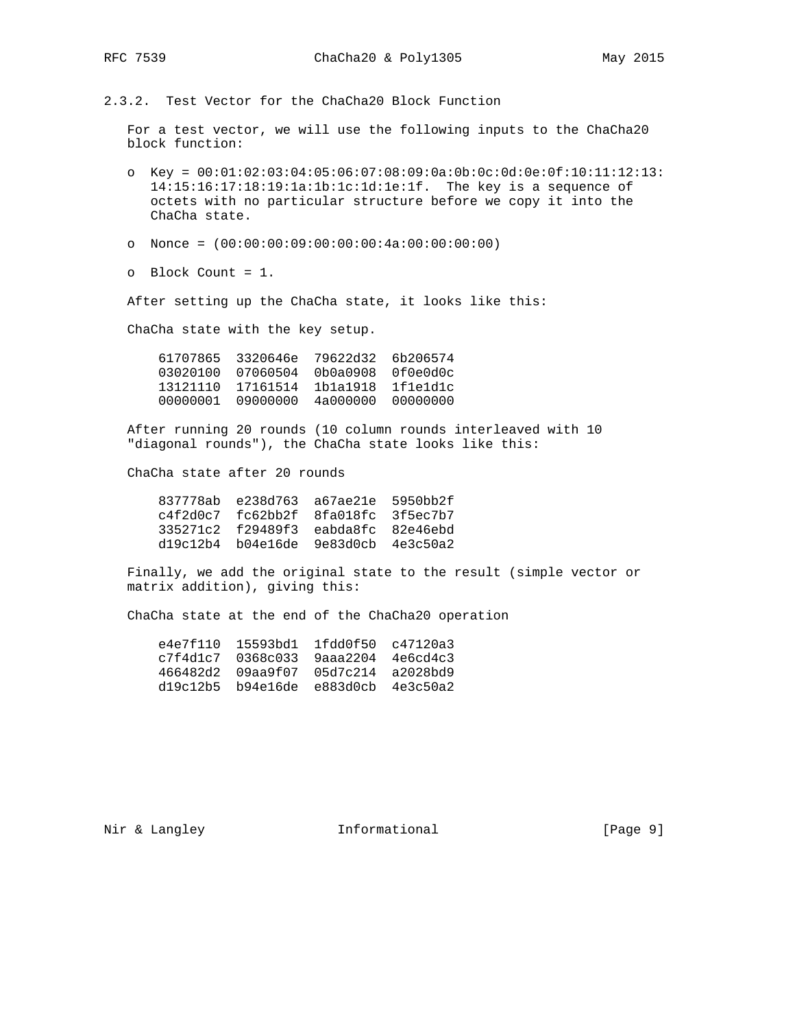2.3.2. Test Vector for the ChaCha20 Block Function

 For a test vector, we will use the following inputs to the ChaCha20 block function:

- o Key = 00:01:02:03:04:05:06:07:08:09:0a:0b:0c:0d:0e:0f:10:11:12:13: 14:15:16:17:18:19:1a:1b:1c:1d:1e:1f. The key is a sequence of octets with no particular structure before we copy it into the ChaCha state.
- o Nonce = (00:00:00:09:00:00:00:4a:00:00:00:00)
- o Block Count = 1.

After setting up the ChaCha state, it looks like this:

ChaCha state with the key setup.

|          | 61707865 3320646e 79622d32 |                   | 6b206574 |
|----------|----------------------------|-------------------|----------|
| 03020100 | 07060504                   | 0b0a0908          | 0f0e0d0c |
| 13121110 | 17161514                   | 1b1a1918          | lfleldlc |
| 00000001 | 09000000                   | 4a000000 00000000 |          |

 After running 20 rounds (10 column rounds interleaved with 10 "diagonal rounds"), the ChaCha state looks like this:

ChaCha state after 20 rounds

| 837778ab e238d763 a67ae21e 5950bb2f         |  |
|---------------------------------------------|--|
| $c4f2d0c7$ $fc62bb2f$ $8fa018fc$ $3f5ec7b7$ |  |
| 335271c2 f29489f3 eabda8fc 82e46ebd         |  |
| $dl9c12b4$ b04e16de 9e83d0cb 4e3c50a2       |  |
|                                             |  |

 Finally, we add the original state to the result (simple vector or matrix addition), giving this:

ChaCha state at the end of the ChaCha20 operation

| e4e7f110 |                                       | 15593bd1 1fdd0f50 c47120a3 |  |
|----------|---------------------------------------|----------------------------|--|
|          | $c7f4d1c7$ 0368c033 9aaa2204 4e6cd4c3 |                            |  |
|          | 466482d2 09aa9f07 05d7c214 a2028bd9   |                            |  |
|          | $d19c12b5$ b94e16de e883d0cb 4e3c50a2 |                            |  |

Nir & Langley **Informational** [Page 9]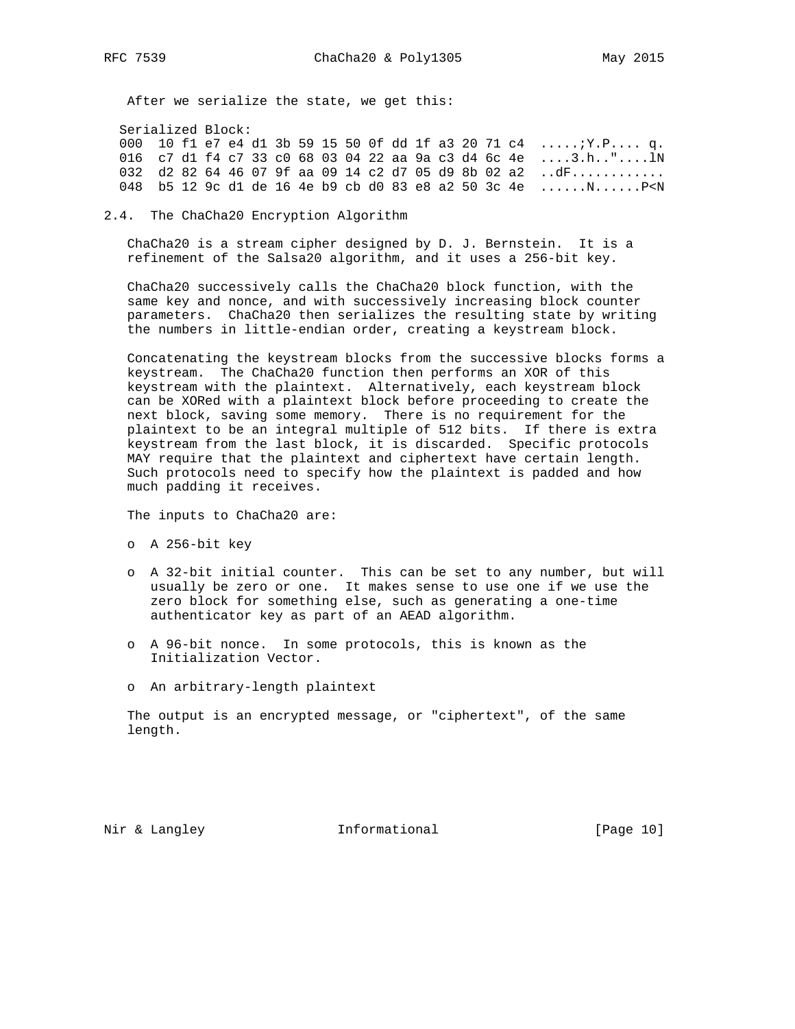After we serialize the state, we get this:

Serialized Block:

 000 10 f1 e7 e4 d1 3b 59 15 50 0f dd 1f a3 20 71 c4 .....;Y.P.... q. 016 c7 d1 f4 c7 33 c0 68 03 04 22 aa 9a c3 d4 6c 4e ....3.h.."....lN 032 d2 82 64 46 07 9f aa 09 14 c2 d7 05 d9 8b 02 a2 ..dF............ 048 b5 12 9c d1 de 16 4e b9 cb d0 83 e8 a2 50 3c 4e ......N......P<N

2.4. The ChaCha20 Encryption Algorithm

 ChaCha20 is a stream cipher designed by D. J. Bernstein. It is a refinement of the Salsa20 algorithm, and it uses a 256-bit key.

 ChaCha20 successively calls the ChaCha20 block function, with the same key and nonce, and with successively increasing block counter parameters. ChaCha20 then serializes the resulting state by writing the numbers in little-endian order, creating a keystream block.

 Concatenating the keystream blocks from the successive blocks forms a keystream. The ChaCha20 function then performs an XOR of this keystream with the plaintext. Alternatively, each keystream block can be XORed with a plaintext block before proceeding to create the next block, saving some memory. There is no requirement for the plaintext to be an integral multiple of 512 bits. If there is extra keystream from the last block, it is discarded. Specific protocols MAY require that the plaintext and ciphertext have certain length. Such protocols need to specify how the plaintext is padded and how much padding it receives.

The inputs to ChaCha20 are:

- o A 256-bit key
- o A 32-bit initial counter. This can be set to any number, but will usually be zero or one. It makes sense to use one if we use the zero block for something else, such as generating a one-time authenticator key as part of an AEAD algorithm.
- o A 96-bit nonce. In some protocols, this is known as the Initialization Vector.
- o An arbitrary-length plaintext

 The output is an encrypted message, or "ciphertext", of the same length.

Nir & Langley **Informational** [Page 10]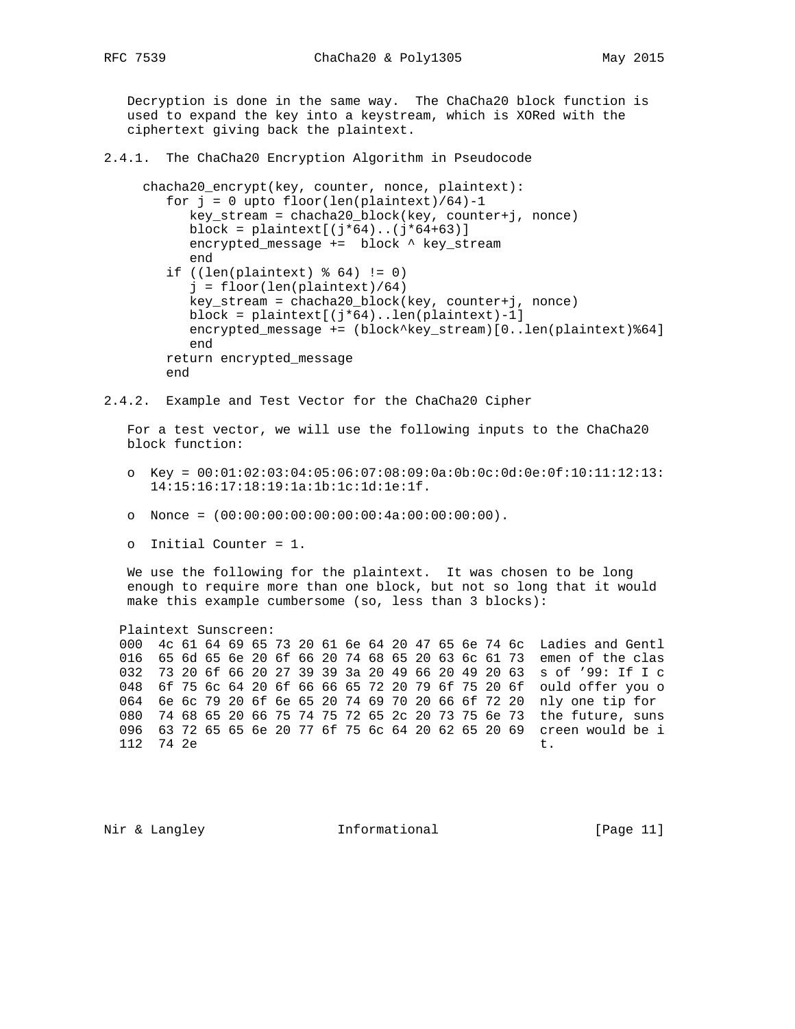Decryption is done in the same way. The ChaCha20 block function is used to expand the key into a keystream, which is XORed with the ciphertext giving back the plaintext.

- 2.4.1. The ChaCha20 Encryption Algorithm in Pseudocode
	- chacha20\_encrypt(key, counter, nonce, plaintext): for  $j = 0$  upto floor(len(plaintext)/64)-1 key\_stream = chacha20\_block(key, counter+j, nonce) block = plaintext $[(j*64)...(j*64+63)]$  encrypted\_message += block ^ key\_stream end if  $((len(plaintext)  $\text{6 } 64) := 0)$$  j = floor(len(plaintext)/64) key\_stream = chacha20\_block(key, counter+j, nonce) block = plaintext[(j\*64)..len(plaintext)-1] encrypted\_message += (block^key\_stream)[0..len(plaintext)%64] end return encrypted\_message end
- 2.4.2. Example and Test Vector for the ChaCha20 Cipher

 For a test vector, we will use the following inputs to the ChaCha20 block function:

- o Key = 00:01:02:03:04:05:06:07:08:09:0a:0b:0c:0d:0e:0f:10:11:12:13: 14:15:16:17:18:19:1a:1b:1c:1d:1e:1f.
- o Nonce = (00:00:00:00:00:00:00:4a:00:00:00:00).
- o Initial Counter = 1.

 We use the following for the plaintext. It was chosen to be long enough to require more than one block, but not so long that it would make this example cumbersome (so, less than 3 blocks):

Plaintext Sunscreen:

 000 4c 61 64 69 65 73 20 61 6e 64 20 47 65 6e 74 6c Ladies and Gentl 016 65 6d 65 6e 20 6f 66 20 74 68 65 20 63 6c 61 73 emen of the clas 032 73 20 6f 66 20 27 39 39 3a 20 49 66 20 49 20 63 s of '99: If I c 048 6f 75 6c 64 20 6f 66 66 65 72 20 79 6f 75 20 6f ould offer you o 064 6e 6c 79 20 6f 6e 65 20 74 69 70 20 66 6f 72 20 nly one tip for 080 74 68 65 20 66 75 74 75 72 65 2c 20 73 75 6e 73 the future, suns 096 63 72 65 65 6e 20 77 6f 75 6c 64 20 62 65 20 69 creen would be i  $112$   $74$   $2e$  t.

Nir & Langley **Informational** [Page 11]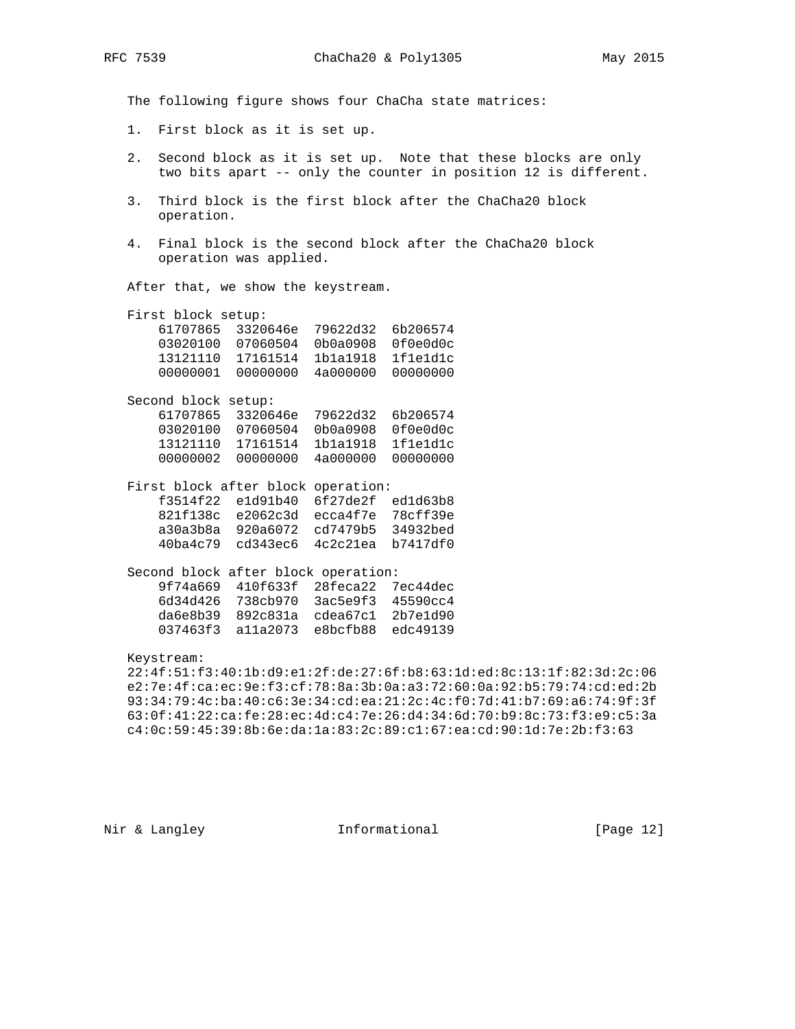The following figure shows four ChaCha state matrices:

- 1. First block as it is set up.
- 2. Second block as it is set up. Note that these blocks are only two bits apart -- only the counter in position 12 is different.
- 3. Third block is the first block after the ChaCha20 block operation.
- 4. Final block is the second block after the ChaCha20 block operation was applied.

After that, we show the keystream.

| First block setup: |                            |          |          |
|--------------------|----------------------------|----------|----------|
|                    | 61707865 3320646e 79622d32 |          | 6b206574 |
| 03020100           | 07060504                   | 0b0a0908 | 0f0e0d0c |
| 13121110           | 17161514                   | 1b1a1918 | 1f1e1d1c |
| 00000001           | 00000000                   | 4a000000 | 00000000 |
|                    |                            |          |          |

 Second block setup: 61707865 3320646e 79622d32 6b206574 03020100 07060504 0b0a0908 0f0e0d0c 13121110 17161514 1b1a1918 1f1e1d1c 00000002 00000000 4a000000 00000000

| First block after block operation: |                                     |  |
|------------------------------------|-------------------------------------|--|
|                                    | f3514f22 e1d91b40 6f27de2f ed1d63b8 |  |
|                                    | 821f138c e2062c3d ecca4f7e 78cff39e |  |
|                                    | a30a3b8a 920a6072 cd7479b5 34932bed |  |
|                                    | 40ba4c79 cd343ec6 4c2c21ea b7417df0 |  |
|                                    |                                     |  |

| Second block after block operation: |                                                   |  |
|-------------------------------------|---------------------------------------------------|--|
|                                     | 9f74a669 410f633f 28feca22 7ec44dec               |  |
|                                     | 6d34d426 738cb970 3ac5e9f3 45590cc4               |  |
|                                     | $d$ a6e8b39 892 $c$ 831a $c$ dea67 $c$ 1 2b7e1d90 |  |
|                                     | 037463f3 alla2073 e8bcfb88 edc49139               |  |
|                                     |                                                   |  |

Keystream:

 22:4f:51:f3:40:1b:d9:e1:2f:de:27:6f:b8:63:1d:ed:8c:13:1f:82:3d:2c:06 e2:7e:4f:ca:ec:9e:f3:cf:78:8a:3b:0a:a3:72:60:0a:92:b5:79:74:cd:ed:2b 93:34:79:4c:ba:40:c6:3e:34:cd:ea:21:2c:4c:f0:7d:41:b7:69:a6:74:9f:3f 63:0f:41:22:ca:fe:28:ec:4d:c4:7e:26:d4:34:6d:70:b9:8c:73:f3:e9:c5:3a c4:0c:59:45:39:8b:6e:da:1a:83:2c:89:c1:67:ea:cd:90:1d:7e:2b:f3:63

Nir & Langley **Informational** [Page 12]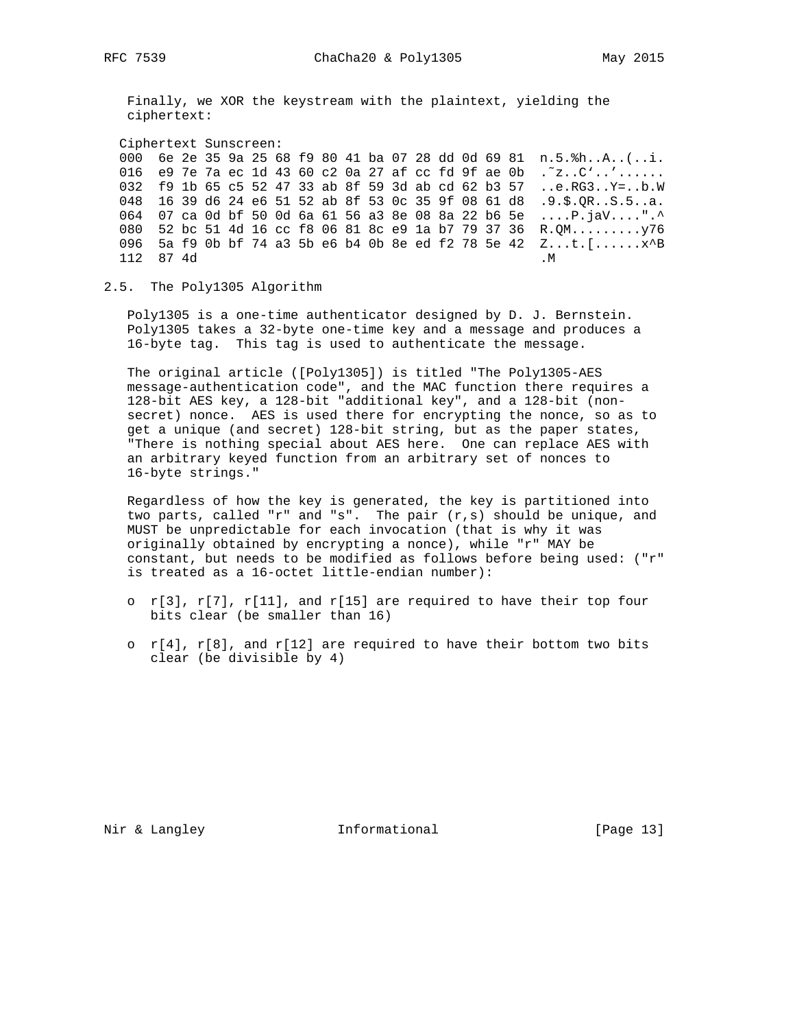Finally, we XOR the keystream with the plaintext, yielding the ciphertext:

 Ciphertext Sunscreen: 000 6e 2e 35 9a 25 68 f9 80 41 ba 07 28 dd 0d 69 81 n.5.%h..A..(..i. 016 e9 7e 7a ec 1d 43 60 c2 0a 27 af cc fd 9f ae 0b .˜z..C'..'...... 032 f9 1b 65 c5 52 47 33 ab 8f 59 3d ab cd 62 b3 57 ..e.RG3..Y=..b.W 048 16 39 d6 24 e6 51 52 ab 8f 53 0c 35 9f 08 61 d8 .9.\$.QR..S.5..a. 064 07 ca 0d bf 50 0d 6a 61 56 a3 8e 08 8a 22 b6 5e ....P.jaV....".^ 080 52 bc 51 4d 16 cc f8 06 81 8c e9 1a b7 79 37 36 R.QM.........y76 096 5a f9 0b bf 74 a3 5b e6 b4 0b 8e ed f2 78 5e 42 Z...t.[......x^B  $112 \t 87 \t 4d$  . M

2.5. The Poly1305 Algorithm

 Poly1305 is a one-time authenticator designed by D. J. Bernstein. Poly1305 takes a 32-byte one-time key and a message and produces a 16-byte tag. This tag is used to authenticate the message.

 The original article ([Poly1305]) is titled "The Poly1305-AES message-authentication code", and the MAC function there requires a 128-bit AES key, a 128-bit "additional key", and a 128-bit (non secret) nonce. AES is used there for encrypting the nonce, so as to get a unique (and secret) 128-bit string, but as the paper states, "There is nothing special about AES here. One can replace AES with an arbitrary keyed function from an arbitrary set of nonces to 16-byte strings."

 Regardless of how the key is generated, the key is partitioned into two parts, called "r" and "s". The pair (r,s) should be unique, and MUST be unpredictable for each invocation (that is why it was originally obtained by encrypting a nonce), while "r" MAY be constant, but needs to be modified as follows before being used: ("r" is treated as a 16-octet little-endian number):

- o  $r[3]$ ,  $r[7]$ ,  $r[11]$ , and  $r[15]$  are required to have their top four bits clear (be smaller than 16)
- o  $r[4]$ ,  $r[8]$ , and  $r[12]$  are required to have their bottom two bits clear (be divisible by 4)

Nir & Langley **Informational** [Page 13]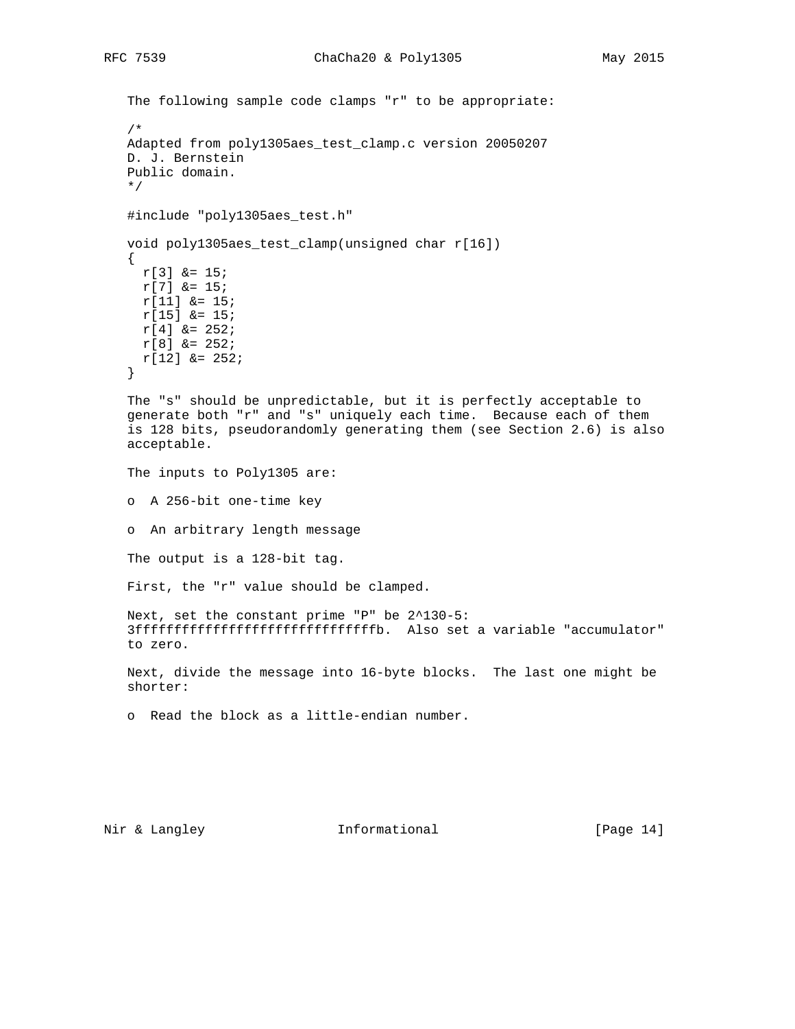```
 The following sample code clamps "r" to be appropriate:
    /*
    Adapted from poly1305aes_test_clamp.c version 20050207
    D. J. Bernstein
    Public domain.
    */
    #include "poly1305aes_test.h"
    void poly1305aes_test_clamp(unsigned char r[16])
\{ \cdot \cdot \cdot \cdot \cdot \cdot \cdot \cdot \cdot \cdot \cdot \cdot \cdot \cdot \cdot \cdot \cdot \cdot \cdot \cdot \cdot \cdot \cdot \cdot \cdot \cdot \cdot \cdot \cdot \cdot \cdot \cdot \cdot \cdot \cdot \cdot 
      r[3] &= 15;
      r[7] &= 15;
      r[11] &= 15;
     r[15] &= 15;
      r[4] &= 252;
      r[8] &= 252;
      r[12] &= 252;
    }
    The "s" should be unpredictable, but it is perfectly acceptable to
    generate both "r" and "s" uniquely each time. Because each of them
    is 128 bits, pseudorandomly generating them (see Section 2.6) is also
    acceptable.
    The inputs to Poly1305 are:
    o A 256-bit one-time key
    o An arbitrary length message
    The output is a 128-bit tag.
    First, the "r" value should be clamped.
    Next, set the constant prime "P" be 2^130-5:
    3fffffffffffffffffffffffffffffffb. Also set a variable "accumulator"
    to zero.
    Next, divide the message into 16-byte blocks. The last one might be
    shorter:
    o Read the block as a little-endian number.
```
Nir & Langley **Informational** [Page 14]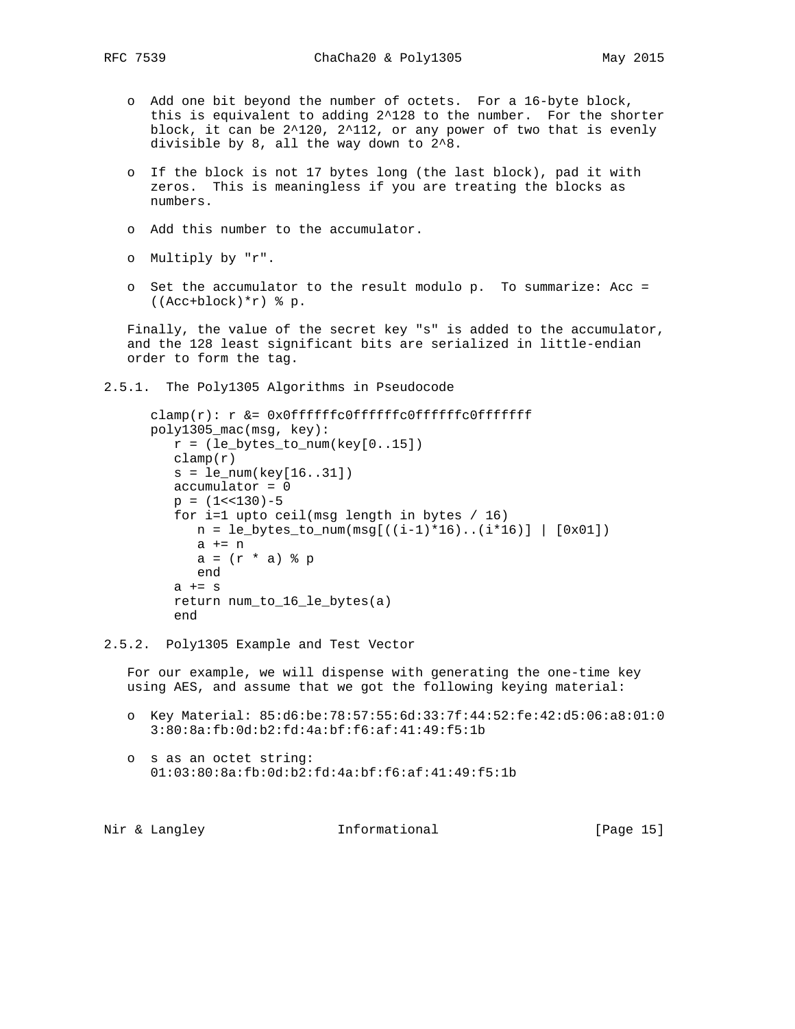- o Add one bit beyond the number of octets. For a 16-byte block, this is equivalent to adding 2^128 to the number. For the shorter block, it can be  $2^120$ ,  $2^112$ , or any power of two that is evenly divisible by 8, all the way down to 2^8.
- o If the block is not 17 bytes long (the last block), pad it with zeros. This is meaningless if you are treating the blocks as numbers.
- o Add this number to the accumulator.
- o Multiply by "r".
- o Set the accumulator to the result modulo p. To summarize: Acc = ((Acc+block)\*r) % p.

 Finally, the value of the secret key "s" is added to the accumulator, and the 128 least significant bits are serialized in little-endian order to form the tag.

2.5.1. The Poly1305 Algorithms in Pseudocode

```
clamp(r): r &= 0x0fffffffcoffffffcofffffffcoffffffefffff poly1305_mac(msg, key):
   r = (le\_bytes_to_name(key[0..15])clamp(r) s = le_num(key[16..31])
    accumulator = 0
   p = (1 < 130) - 5 for i=1 upto ceil(msg length in bytes / 16)
     n = le_bytes_to_name(msg[((i-1)*16)...(i*16)] [0x01]) a += n
      a = (r * a) & p
       end
   a == s return num_to_16_le_bytes(a)
    end
```
2.5.2. Poly1305 Example and Test Vector

 For our example, we will dispense with generating the one-time key using AES, and assume that we got the following keying material:

- o Key Material: 85:d6:be:78:57:55:6d:33:7f:44:52:fe:42:d5:06:a8:01:0 3:80:8a:fb:0d:b2:fd:4a:bf:f6:af:41:49:f5:1b
- o s as an octet string: 01:03:80:8a:fb:0d:b2:fd:4a:bf:f6:af:41:49:f5:1b

|  | Nir & Langley | Informational | [Page 15] |  |
|--|---------------|---------------|-----------|--|
|  |               |               |           |  |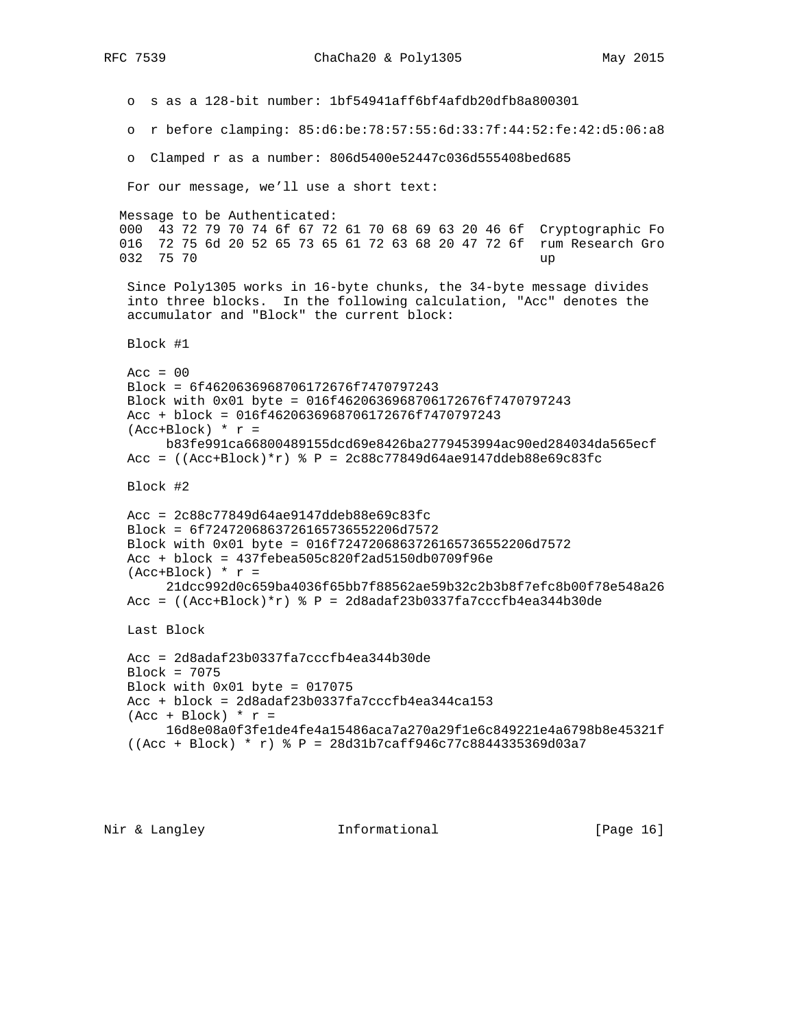o s as a 128-bit number: 1bf54941aff6bf4afdb20dfb8a800301 o r before clamping: 85:d6:be:78:57:55:6d:33:7f:44:52:fe:42:d5:06:a8 o Clamped r as a number: 806d5400e52447c036d555408bed685 For our message, we'll use a short text: Message to be Authenticated: 000 43 72 79 70 74 6f 67 72 61 70 68 69 63 20 46 6f Cryptographic Fo 016 72 75 6d 20 52 65 73 65 61 72 63 68 20 47 72 6f rum Research Gro 032 75 70 up Since Poly1305 works in 16-byte chunks, the 34-byte message divides into three blocks. In the following calculation, "Acc" denotes the accumulator and "Block" the current block: Block #1  $Acc = 00$  Block = 6f4620636968706172676f7470797243 Block with 0x01 byte = 016f4620636968706172676f7470797243 Acc + block = 016f4620636968706172676f7470797243  $(Acc+Block) * r =$  b83fe991ca66800489155dcd69e8426ba2779453994ac90ed284034da565ecf Acc =  $((Acc+Block)*r)$  % P =  $2c88c77849d64ae9147ddeb88e69c83fc$  Block #2 Acc = 2c88c77849d64ae9147ddeb88e69c83fc Block = 6f7247206863726165736552206d7572 Block with 0x01 byte = 016f7247206863726165736552206d7572 Acc + block = 437febea505c820f2ad5150db0709f96e  $(Acc+Block) * r =$  21dcc992d0c659ba4036f65bb7f88562ae59b32c2b3b8f7efc8b00f78e548a26 Acc =  $((\text{Acc+Block})*p = 2d8adaf23b0337fa7cccfb4ea344b30de)$  Last Block Acc = 2d8adaf23b0337fa7cccfb4ea344b30de Block = 7075 Block with 0x01 byte = 017075 Acc + block = 2d8adaf23b0337fa7cccfb4ea344ca153  $(\text{Acc} + \text{Block})$  \*  $r =$  16d8e08a0f3fe1de4fe4a15486aca7a270a29f1e6c849221e4a6798b8e45321f ((Acc + Block) \* r) % P = 28d31b7caff946c77c8844335369d03a7

Nir & Langley **Informational** [Page 16]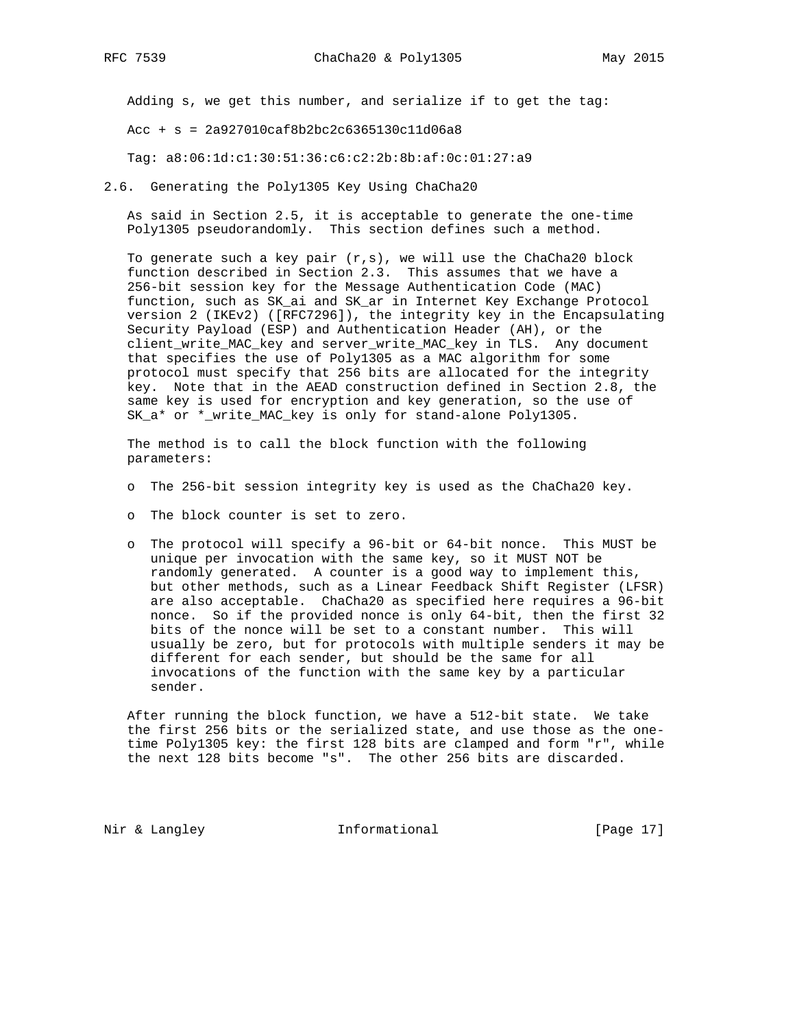Adding s, we get this number, and serialize if to get the tag:

 $Acc + s = 2a927010caf8b2bc2c6365130c11d06a8$ 

Tag: a8:06:1d:c1:30:51:36:c6:c2:2b:8b:af:0c:01:27:a9

2.6. Generating the Poly1305 Key Using ChaCha20

 As said in Section 2.5, it is acceptable to generate the one-time Poly1305 pseudorandomly. This section defines such a method.

To generate such a key pair  $(r,s)$ , we will use the ChaCha20 block function described in Section 2.3. This assumes that we have a 256-bit session key for the Message Authentication Code (MAC) function, such as SK\_ai and SK\_ar in Internet Key Exchange Protocol version 2 (IKEv2) ([RFC7296]), the integrity key in the Encapsulating Security Payload (ESP) and Authentication Header (AH), or the client\_write\_MAC\_key and server\_write\_MAC\_key in TLS. Any document that specifies the use of Poly1305 as a MAC algorithm for some protocol must specify that 256 bits are allocated for the integrity key. Note that in the AEAD construction defined in Section 2.8, the same key is used for encryption and key generation, so the use of SK\_a\* or \*\_write\_MAC\_key is only for stand-alone Poly1305.

 The method is to call the block function with the following parameters:

- o The 256-bit session integrity key is used as the ChaCha20 key.
- o The block counter is set to zero.
- o The protocol will specify a 96-bit or 64-bit nonce. This MUST be unique per invocation with the same key, so it MUST NOT be randomly generated. A counter is a good way to implement this, but other methods, such as a Linear Feedback Shift Register (LFSR) are also acceptable. ChaCha20 as specified here requires a 96-bit nonce. So if the provided nonce is only 64-bit, then the first 32 bits of the nonce will be set to a constant number. This will usually be zero, but for protocols with multiple senders it may be different for each sender, but should be the same for all invocations of the function with the same key by a particular sender.

 After running the block function, we have a 512-bit state. We take the first 256 bits or the serialized state, and use those as the one time Poly1305 key: the first 128 bits are clamped and form "r", while the next 128 bits become "s". The other 256 bits are discarded.

Nir & Langley **Informational** [Page 17]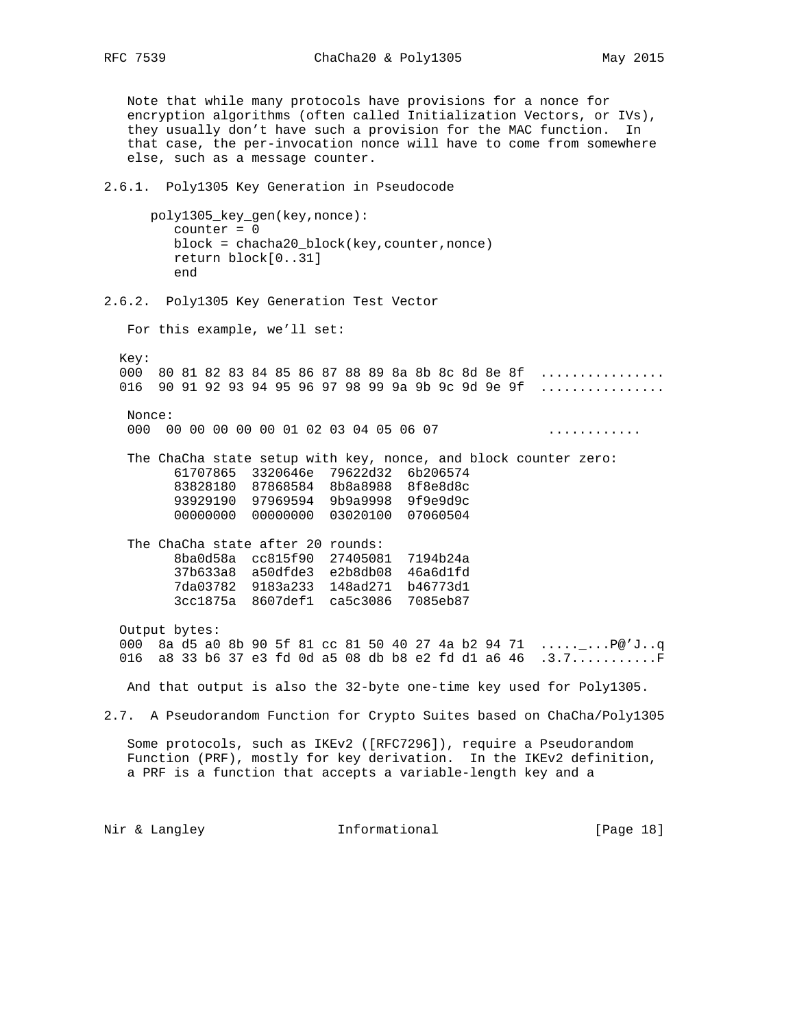Note that while many protocols have provisions for a nonce for encryption algorithms (often called Initialization Vectors, or IVs), they usually don't have such a provision for the MAC function. In that case, the per-invocation nonce will have to come from somewhere else, such as a message counter. 2.6.1. Poly1305 Key Generation in Pseudocode poly1305\_key\_gen(key,nonce): counter = 0 block = chacha20\_block(key,counter,nonce) return block[0..31] end 2.6.2. Poly1305 Key Generation Test Vector For this example, we'll set: Key: 000 80 81 82 83 84 85 86 87 88 89 8a 8b 8c 8d 8e 8f ............... 016 90 91 92 93 94 95 96 97 98 99 9a 9b 9c 9d 9e 9f ............... Nonce: 000 00 00 00 00 00 01 02 03 04 05 06 07 ............ The ChaCha state setup with key, nonce, and block counter zero: 61707865 3320646e 79622d32 6b206574 83828180 87868584 8b8a8988 8f8e8d8c 93929190 97969594 9b9a9998 9f9e9d9c 00000000 00000000 03020100 07060504 The ChaCha state after 20 rounds: 8ba0d58a cc815f90 27405081 7194b24a 37b633a8 a50dfde3 e2b8db08 46a6d1fd 7da03782 9183a233 148ad271 b46773d1 3cc1875a 8607def1 ca5c3086 7085eb87 Output bytes: 000 8a d5 a0 8b 90 5f 81 cc 81 50 40 27 4a b2 94 71 .....\_...P@'J..q 016 a8 33 b6 37 e3 fd 0d a5 08 db b8 e2 fd d1 a6 46 .3.7...........F And that output is also the 32-byte one-time key used for Poly1305. 2.7. A Pseudorandom Function for Crypto Suites based on ChaCha/Poly1305 Some protocols, such as IKEv2 ([RFC7296]), require a Pseudorandom Function (PRF), mostly for key derivation. In the IKEv2 definition, a PRF is a function that accepts a variable-length key and a Nir & Langley **Informational** [Page 18]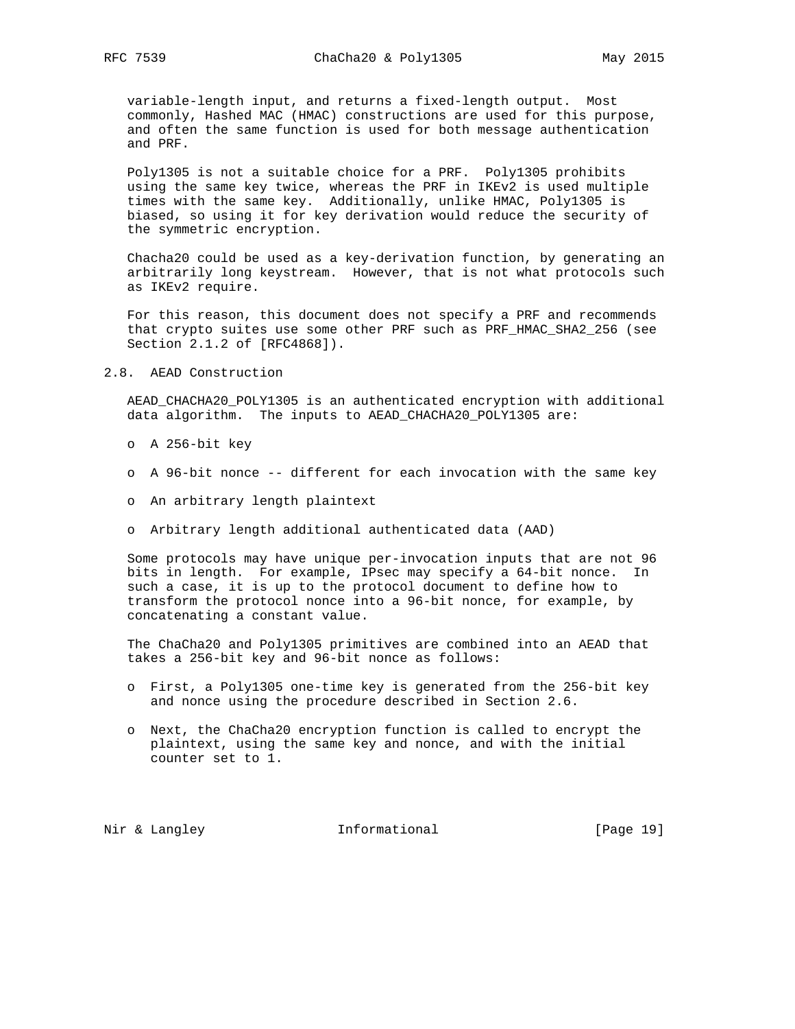variable-length input, and returns a fixed-length output. Most commonly, Hashed MAC (HMAC) constructions are used for this purpose, and often the same function is used for both message authentication and PRF.

 Poly1305 is not a suitable choice for a PRF. Poly1305 prohibits using the same key twice, whereas the PRF in IKEv2 is used multiple times with the same key. Additionally, unlike HMAC, Poly1305 is biased, so using it for key derivation would reduce the security of the symmetric encryption.

 Chacha20 could be used as a key-derivation function, by generating an arbitrarily long keystream. However, that is not what protocols such as IKEv2 require.

 For this reason, this document does not specify a PRF and recommends that crypto suites use some other PRF such as PRF\_HMAC\_SHA2\_256 (see Section 2.1.2 of [RFC4868]).

2.8. AEAD Construction

 AEAD\_CHACHA20\_POLY1305 is an authenticated encryption with additional data algorithm. The inputs to AEAD\_CHACHA20\_POLY1305 are:

- o A 256-bit key
- o A 96-bit nonce -- different for each invocation with the same key
- o An arbitrary length plaintext
- o Arbitrary length additional authenticated data (AAD)

 Some protocols may have unique per-invocation inputs that are not 96 bits in length. For example, IPsec may specify a 64-bit nonce. In such a case, it is up to the protocol document to define how to transform the protocol nonce into a 96-bit nonce, for example, by concatenating a constant value.

 The ChaCha20 and Poly1305 primitives are combined into an AEAD that takes a 256-bit key and 96-bit nonce as follows:

- o First, a Poly1305 one-time key is generated from the 256-bit key and nonce using the procedure described in Section 2.6.
- o Next, the ChaCha20 encryption function is called to encrypt the plaintext, using the same key and nonce, and with the initial counter set to 1.

Nir & Langley **Informational** [Page 19]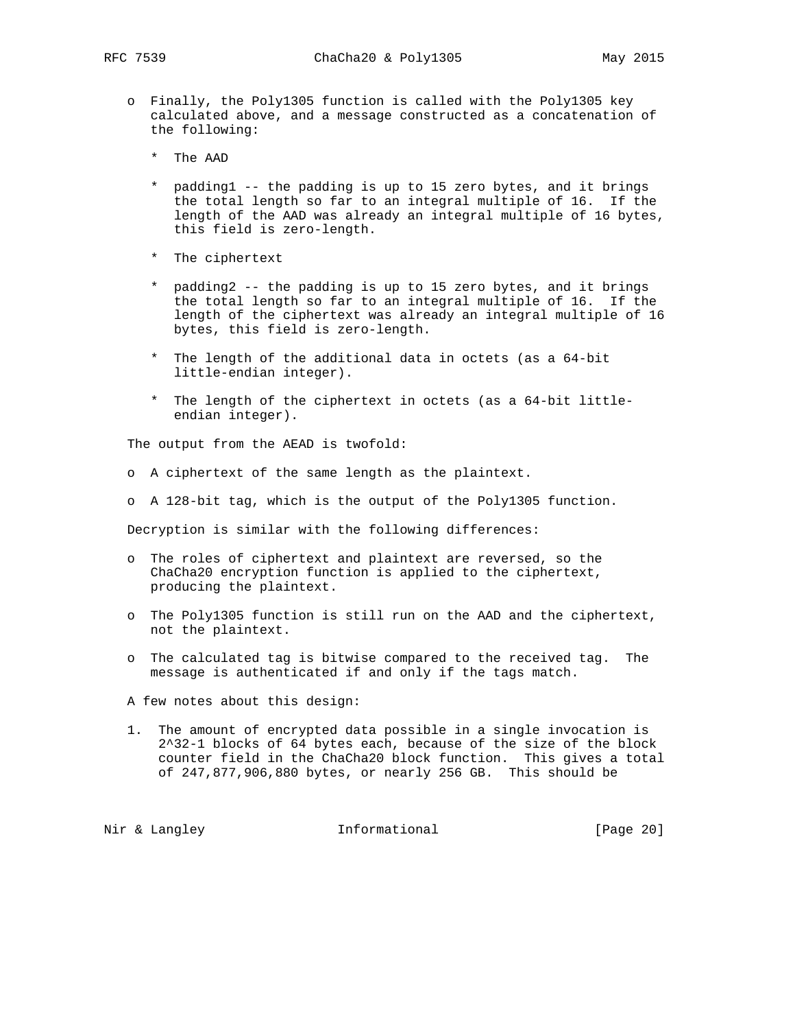- o Finally, the Poly1305 function is called with the Poly1305 key calculated above, and a message constructed as a concatenation of the following:
	- \* The AAD
	- \* padding1 -- the padding is up to 15 zero bytes, and it brings the total length so far to an integral multiple of 16. If the length of the AAD was already an integral multiple of 16 bytes, this field is zero-length.
	- \* The ciphertext
	- \* padding2 -- the padding is up to 15 zero bytes, and it brings the total length so far to an integral multiple of 16. If the length of the ciphertext was already an integral multiple of 16 bytes, this field is zero-length.
	- \* The length of the additional data in octets (as a 64-bit little-endian integer).
	- \* The length of the ciphertext in octets (as a 64-bit little endian integer).

The output from the AEAD is twofold:

- o A ciphertext of the same length as the plaintext.
- o A 128-bit tag, which is the output of the Poly1305 function.

Decryption is similar with the following differences:

- o The roles of ciphertext and plaintext are reversed, so the ChaCha20 encryption function is applied to the ciphertext, producing the plaintext.
- o The Poly1305 function is still run on the AAD and the ciphertext, not the plaintext.
- o The calculated tag is bitwise compared to the received tag. The message is authenticated if and only if the tags match.
- A few notes about this design:
- 1. The amount of encrypted data possible in a single invocation is 2^32-1 blocks of 64 bytes each, because of the size of the block counter field in the ChaCha20 block function. This gives a total of 247,877,906,880 bytes, or nearly 256 GB. This should be

Nir & Langley **Informational** [Page 20]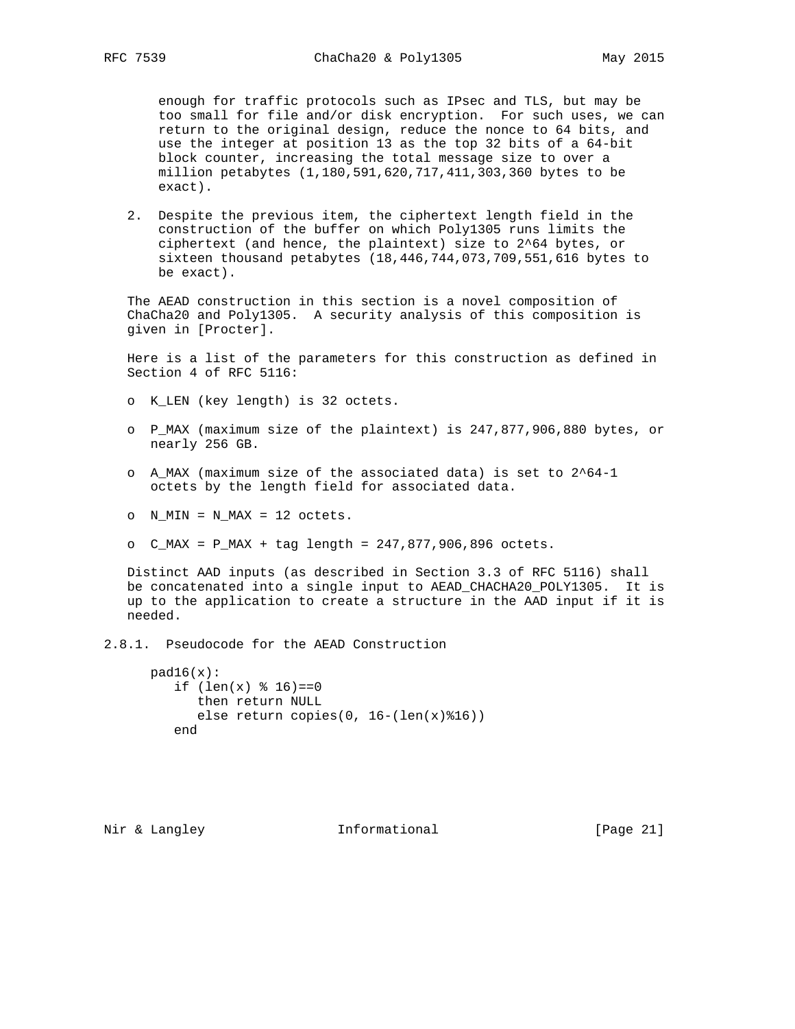enough for traffic protocols such as IPsec and TLS, but may be too small for file and/or disk encryption. For such uses, we can return to the original design, reduce the nonce to 64 bits, and use the integer at position 13 as the top 32 bits of a 64-bit block counter, increasing the total message size to over a million petabytes (1,180,591,620,717,411,303,360 bytes to be exact).

 2. Despite the previous item, the ciphertext length field in the construction of the buffer on which Poly1305 runs limits the ciphertext (and hence, the plaintext) size to 2^64 bytes, or sixteen thousand petabytes (18,446,744,073,709,551,616 bytes to be exact).

 The AEAD construction in this section is a novel composition of ChaCha20 and Poly1305. A security analysis of this composition is given in [Procter].

 Here is a list of the parameters for this construction as defined in Section 4 of RFC 5116:

- o K\_LEN (key length) is 32 octets.
- o P\_MAX (maximum size of the plaintext) is 247,877,906,880 bytes, or nearly 256 GB.
- o A\_MAX (maximum size of the associated data) is set to 2^64-1 octets by the length field for associated data.
- o N\_MIN = N\_MAX = 12 octets.
- o C\_MAX = P\_MAX + tag length = 247,877,906,896 octets.

 Distinct AAD inputs (as described in Section 3.3 of RFC 5116) shall be concatenated into a single input to AEAD\_CHACHA20\_POLY1305. It is up to the application to create a structure in the AAD input if it is needed.

2.8.1. Pseudocode for the AEAD Construction

```
pad16(x):if (len(x) \; 8 \; 16) == 0 then return NULL
      else return copies(0, 16-(len(x)*16)) end
```
Nir & Langley **Informational** [Page 21]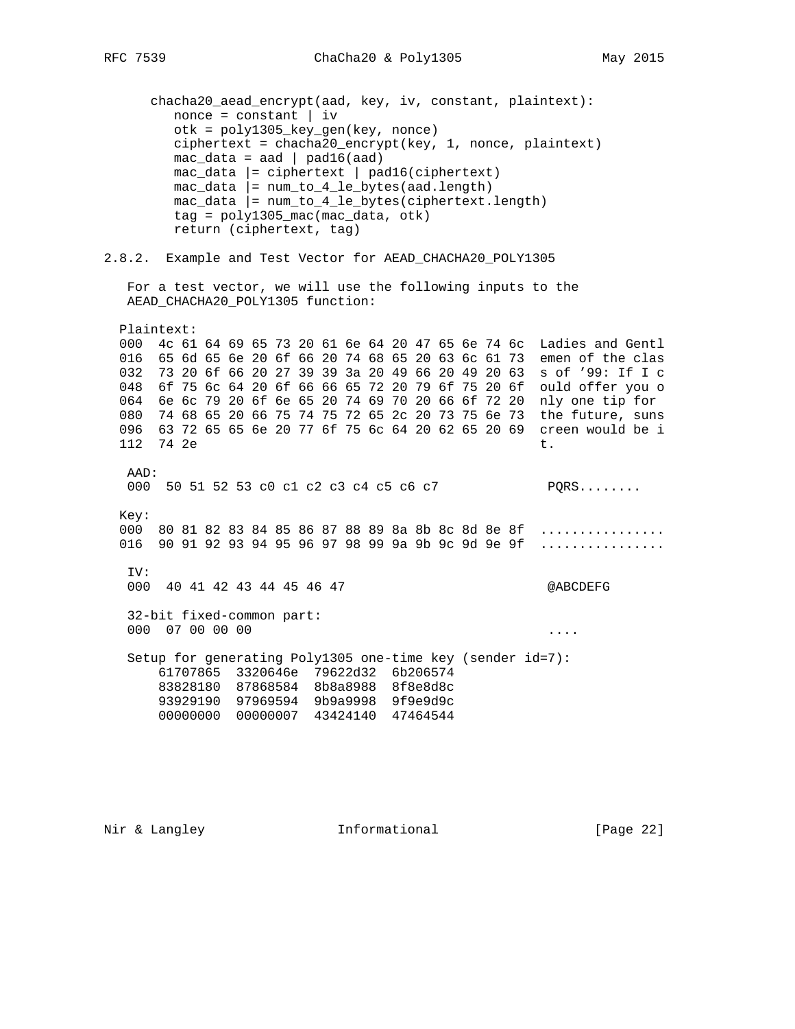chacha20\_aead\_encrypt(aad, key, iv, constant, plaintext):  $none = constant \mid iv$  otk = poly1305\_key\_gen(key, nonce) ciphertext = chacha20\_encrypt(key, 1, nonce, plaintext)  $mac\_data = aad \mid pad16(aad)$  mac\_data |= ciphertext | pad16(ciphertext)  $mac\_data$  =  $num_to_4_le\_bytes(aad.length)$  $mac\_data$  =  $num_to_4_le\_bytes(ciphertext.length)$  tag = poly1305\_mac(mac\_data, otk) return (ciphertext, tag)

### 2.8.2. Example and Test Vector for AEAD\_CHACHA20\_POLY1305

```
 For a test vector, we will use the following inputs to the
 AEAD_CHACHA20_POLY1305 function:
```
 Plaintext: 000 4c 61 64 69 65 73 20 61 6e 64 20 47 65 6e 74 6c Ladies and Gentl 016 65 6d 65 6e 20 6f 66 20 74 68 65 20 63 6c 61 73 emen of the clas 032 73 20 6f 66 20 27 39 39 3a 20 49 66 20 49 20 63 s of '99: If I c 048 6f 75 6c 64 20 6f 66 66 65 72 20 79 6f 75 20 6f ould offer you o 064 6e 6c 79 20 6f 6e 65 20 74 69 70 20 66 6f 72 20 nly one tip for 080 74 68 65 20 66 75 74 75 72 65 2c 20 73 75 6e 73 the future, suns 096 63 72 65 65 6e 20 77 6f 75 6c 64 20 62 65 20 69 creen would be i 112 74 2e t. AAD: 000 50 51 52 53 c0 c1 c2 c3 c4 c5 c6 c7 PQRS........ Key: 000 80 81 82 83 84 85 86 87 88 89 8a 8b 8c 8d 8e 8f ................ 016 90 91 92 93 94 95 96 97 98 99 9a 9b 9c 9d 9e 9f ................ IV: 000 40 41 42 43 44 45 46 47 @ABCDEFG

 32-bit fixed-common part: 000 07 00 00 00 ....

 Setup for generating Poly1305 one-time key (sender id=7): 61707865 3320646e 79622d32 6b206574 83828180 87868584 8b8a8988 8f8e8d8c 93929190 97969594 9b9a9998 9f9e9d9c 00000000 00000007 43424140 47464544

Nir & Langley **Informational** [Page 22]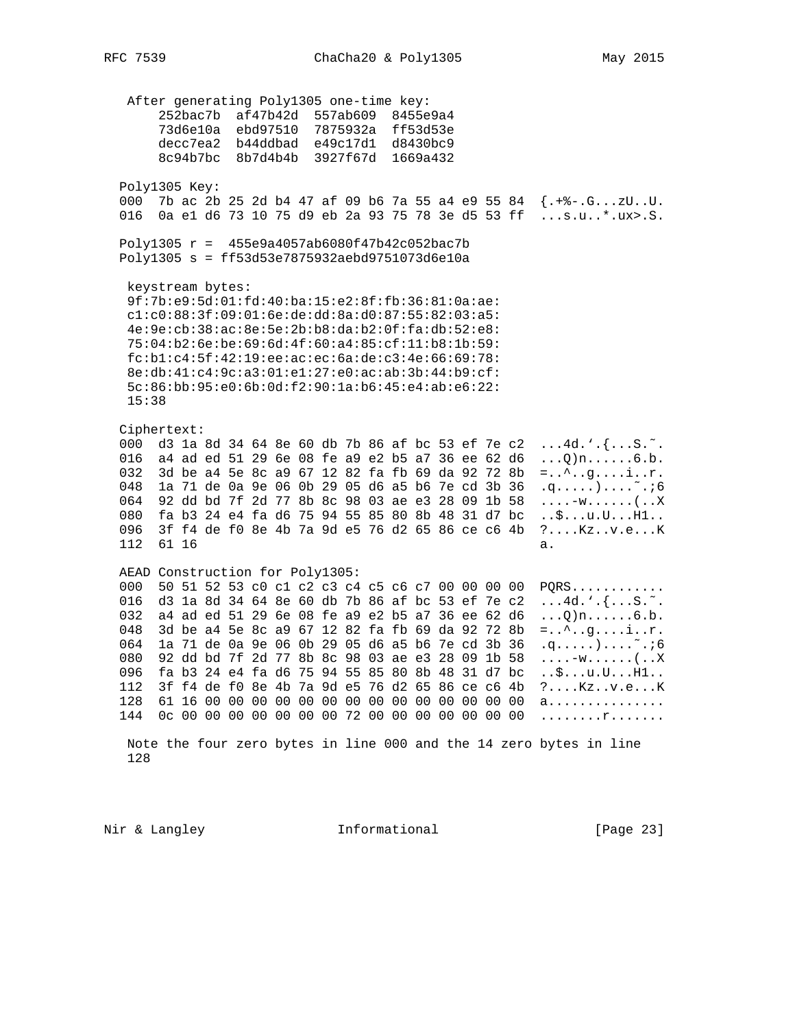After generating Poly1305 one-time key: 252bac7b af47b42d 557ab609 8455e9a4 73d6e10a ebd97510 7875932a ff53d53e<br>decc7ea2 b44ddbad e49c17d1 d8430bc9 8c94b7bc 8b7d4b4b 3927f67d 1669a432 Poly1305 Key: 000 7b ac 2b 25 2d b4 47 af 09 b6 7a 55 a4 e9 55 84 {.+%-.G...zU..U. 016 0a e1 d6 73 10 75 d9 eb 2a 93 75 78 3e d5 53 ff ...s.u..\*.ux>.S. Poly1305  $r = 455e9a4057ab6080f47b42c052bac7b$ Poly1305 s = ff53d53e7875932aebd9751073d6e10a keystream bytes: 9f:7b:e9:5d:01:fd:40:ba:15:e2:8f:fb:36:81:0a:ae: cl:c0:88:3f:09:01:6e:de:dd:8a:d0:87:55:82:03:a5: 4e:9e:cb:38:ac:8e:5e:2b:b8:da:b2:0f:fa:db:52:e8: 75:04:b2:6e:be:69:6d:4f:60:a4:85:cf:11:b8:1b:59:  $fc:bl:c4:5f:42:19:ee:ac:ec:6a:de:c3:4e:66:69:78:$ 8e:db:41:c4:9c:a3:01:e1:27:e0:ac:ab:3b:44:b9:cf: 5c:86:bb:95:e0:6b:0d:f2:90:1a:b6:45:e4:ab:e6:22:  $15:38$ Ciphertext: 000 d3 la 8d 34 64 8e 60 db 7b 86 af bc 53 ef 7e c2 ...4d.'.{...S.". 016 a4 ad ed 51 29 6e 08 fe a9 e2 b5 a7 36 ee 62 d6 ... Q  $n$ ......... 6.b.<br>032 3d be a4 5e 8c a9 67 12 82 fa fb 69 da 92 72 8b =..^..g....i..r. 048 la 71 de 0a 9e 06 0b 29 05 d6 a5 b6 7e cd 3b 36 .q.....)....~..6 064 92 dd bd 7f 2d 77 8b 8c 98 03 ae e3 28 09 1b 58 ...-w......(..X<br>080 fa b3 24 e4 fa d6 75 94 55 85 80 8b 48 31 d7 bc ..\$...u.U...H1.. 096 3f f4 de f0 8e 4b 7a 9d e5 76 d2 65 86 ce c6 4b ?....Kz..v.e...K 112 61 16 a. AEAD Construction for Poly1305: 000 50 51 52 53 c0 c1 c2 c3 c4 c5 c6 c7 00 00 00 00 PQRS............ 016 d3 1a 8d 34 64 8e 60 db 7b 86 af bc 53 ef 7e c2 ...4d.'.{...S.". 032 a4 ad ed 51 29 6e 08 fe a9 e2 b5 a7 36 ee 62 d6 ... Q)n....... 6.b. 048 3d be a4 5e 8c a9 67 12 82 fa fb 69 da 92 72 8b = ..^..g....i..r. 064 la 71 de 0a 9e 06 0b 29 05 d6 a5 b6 7e cd 3b 36 .q.....).... ". i6 080 92 dd bd 7f 2d 77 8b 8c 98 03 ae e3 28 09 1b 58 ....-w......(..X 096 fa b3 24 e4 fa d6 75 94 55 85 80 8b 48 31 d7 bc ..\$...u.U...Hl.. 112 3f f4 de f0 8e 4b 7a 9d e5 76 d2 65 86 ce c6 4b ?....Kz..v.e...K 

Note the four zero bytes in line 000 and the 14 zero bytes in line 128

Nir & Langley Thformational

[Page 23]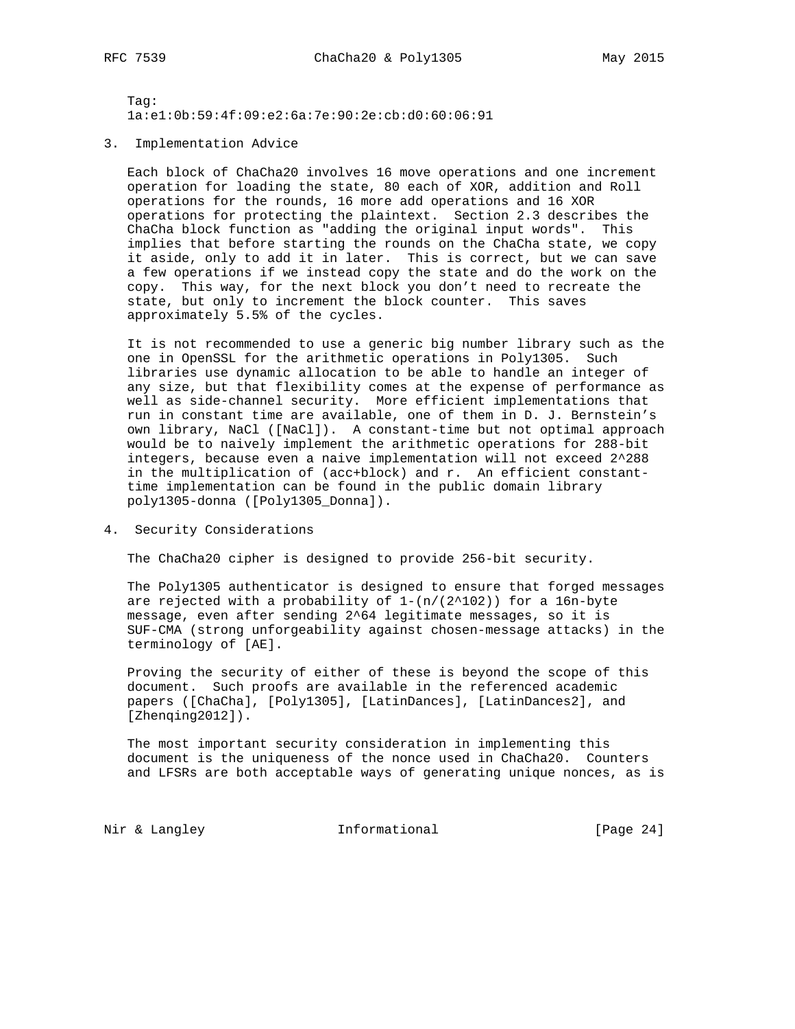Tag: 1a:e1:0b:59:4f:09:e2:6a:7e:90:2e:cb:d0:60:06:91

3. Implementation Advice

 Each block of ChaCha20 involves 16 move operations and one increment operation for loading the state, 80 each of XOR, addition and Roll operations for the rounds, 16 more add operations and 16 XOR operations for protecting the plaintext. Section 2.3 describes the ChaCha block function as "adding the original input words". This implies that before starting the rounds on the ChaCha state, we copy it aside, only to add it in later. This is correct, but we can save a few operations if we instead copy the state and do the work on the copy. This way, for the next block you don't need to recreate the state, but only to increment the block counter. This saves approximately 5.5% of the cycles.

 It is not recommended to use a generic big number library such as the one in OpenSSL for the arithmetic operations in Poly1305. Such libraries use dynamic allocation to be able to handle an integer of any size, but that flexibility comes at the expense of performance as well as side-channel security. More efficient implementations that run in constant time are available, one of them in D. J. Bernstein's own library, NaCl ([NaCl]). A constant-time but not optimal approach would be to naively implement the arithmetic operations for 288-bit integers, because even a naive implementation will not exceed 2^288 in the multiplication of (acc+block) and r. An efficient constant time implementation can be found in the public domain library poly1305-donna ([Poly1305\_Donna]).

4. Security Considerations

The ChaCha20 cipher is designed to provide 256-bit security.

 The Poly1305 authenticator is designed to ensure that forged messages are rejected with a probability of  $1-(n/(2^102))$  for a 16n-byte message, even after sending 2^64 legitimate messages, so it is SUF-CMA (strong unforgeability against chosen-message attacks) in the terminology of [AE].

 Proving the security of either of these is beyond the scope of this document. Such proofs are available in the referenced academic papers ([ChaCha], [Poly1305], [LatinDances], [LatinDances2], and [Zhenqing2012]).

 The most important security consideration in implementing this document is the uniqueness of the nonce used in ChaCha20. Counters and LFSRs are both acceptable ways of generating unique nonces, as is

Nir & Langley **Informational** [Page 24]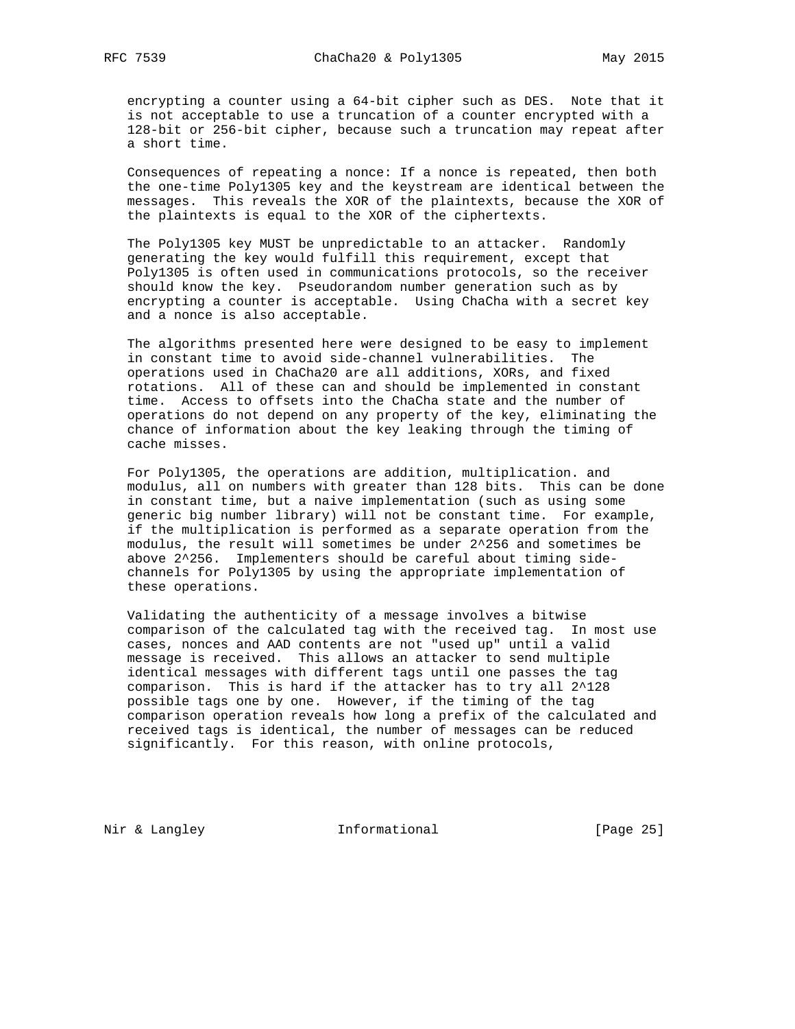encrypting a counter using a 64-bit cipher such as DES. Note that it is not acceptable to use a truncation of a counter encrypted with a 128-bit or 256-bit cipher, because such a truncation may repeat after a short time.

 Consequences of repeating a nonce: If a nonce is repeated, then both the one-time Poly1305 key and the keystream are identical between the messages. This reveals the XOR of the plaintexts, because the XOR of the plaintexts is equal to the XOR of the ciphertexts.

 The Poly1305 key MUST be unpredictable to an attacker. Randomly generating the key would fulfill this requirement, except that Poly1305 is often used in communications protocols, so the receiver should know the key. Pseudorandom number generation such as by encrypting a counter is acceptable. Using ChaCha with a secret key and a nonce is also acceptable.

 The algorithms presented here were designed to be easy to implement in constant time to avoid side-channel vulnerabilities. The operations used in ChaCha20 are all additions, XORs, and fixed rotations. All of these can and should be implemented in constant time. Access to offsets into the ChaCha state and the number of operations do not depend on any property of the key, eliminating the chance of information about the key leaking through the timing of cache misses.

 For Poly1305, the operations are addition, multiplication. and modulus, all on numbers with greater than 128 bits. This can be done in constant time, but a naive implementation (such as using some generic big number library) will not be constant time. For example, if the multiplication is performed as a separate operation from the modulus, the result will sometimes be under 2^256 and sometimes be above 2^256. Implementers should be careful about timing side channels for Poly1305 by using the appropriate implementation of these operations.

 Validating the authenticity of a message involves a bitwise comparison of the calculated tag with the received tag. In most use cases, nonces and AAD contents are not "used up" until a valid message is received. This allows an attacker to send multiple identical messages with different tags until one passes the tag comparison. This is hard if the attacker has to try all 2^128 possible tags one by one. However, if the timing of the tag comparison operation reveals how long a prefix of the calculated and received tags is identical, the number of messages can be reduced significantly. For this reason, with online protocols,

Nir & Langley **Informational** [Page 25]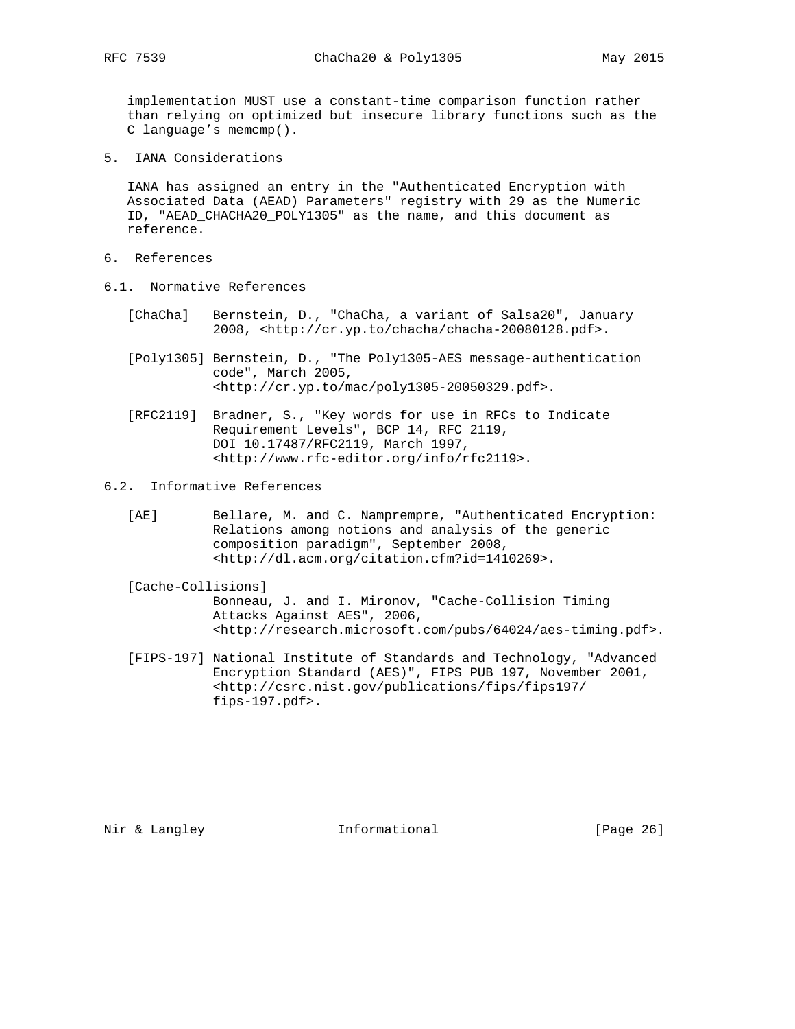implementation MUST use a constant-time comparison function rather

 than relying on optimized but insecure library functions such as the C language's memcmp().

5. IANA Considerations

 IANA has assigned an entry in the "Authenticated Encryption with Associated Data (AEAD) Parameters" registry with 29 as the Numeric ID, "AEAD\_CHACHA20\_POLY1305" as the name, and this document as reference.

- 6. References
- 6.1. Normative References
	- [ChaCha] Bernstein, D., "ChaCha, a variant of Salsa20", January 2008, <http://cr.yp.to/chacha/chacha-20080128.pdf>.
	- [Poly1305] Bernstein, D., "The Poly1305-AES message-authentication code", March 2005, <http://cr.yp.to/mac/poly1305-20050329.pdf>.
	- [RFC2119] Bradner, S., "Key words for use in RFCs to Indicate Requirement Levels", BCP 14, RFC 2119, DOI 10.17487/RFC2119, March 1997, <http://www.rfc-editor.org/info/rfc2119>.
- 6.2. Informative References
	- [AE] Bellare, M. and C. Namprempre, "Authenticated Encryption: Relations among notions and analysis of the generic composition paradigm", September 2008, <http://dl.acm.org/citation.cfm?id=1410269>.

## [Cache-Collisions] Bonneau, J. and I. Mironov, "Cache-Collision Timing Attacks Against AES", 2006, <http://research.microsoft.com/pubs/64024/aes-timing.pdf>.

 [FIPS-197] National Institute of Standards and Technology, "Advanced Encryption Standard (AES)", FIPS PUB 197, November 2001, <http://csrc.nist.gov/publications/fips/fips197/ fips-197.pdf>.

Nir & Langley **Informational** [Page 26]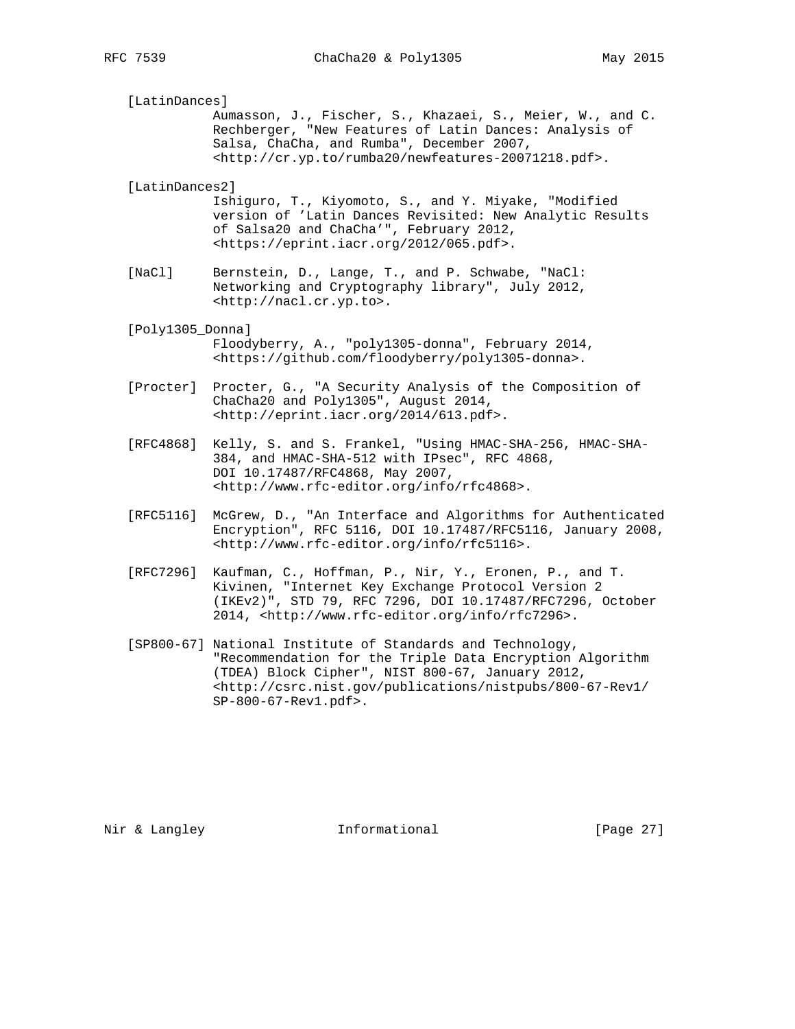[LatinDances] Aumasson, J., Fischer, S., Khazaei, S., Meier, W., and C. Rechberger, "New Features of Latin Dances: Analysis of Salsa, ChaCha, and Rumba", December 2007, <http://cr.yp.to/rumba20/newfeatures-20071218.pdf>. [LatinDances2] Ishiguro, T., Kiyomoto, S., and Y. Miyake, "Modified version of 'Latin Dances Revisited: New Analytic Results of Salsa20 and ChaCha'", February 2012,

 [NaCl] Bernstein, D., Lange, T., and P. Schwabe, "NaCl: Networking and Cryptography library", July 2012, <http://nacl.cr.yp.to>.

<https://eprint.iacr.org/2012/065.pdf>.

- [Poly1305\_Donna] Floodyberry, A., "poly1305-donna", February 2014, <https://github.com/floodyberry/poly1305-donna>.
- [Procter] Procter, G., "A Security Analysis of the Composition of ChaCha20 and Poly1305", August 2014, <http://eprint.iacr.org/2014/613.pdf>.
- [RFC4868] Kelly, S. and S. Frankel, "Using HMAC-SHA-256, HMAC-SHA- 384, and HMAC-SHA-512 with IPsec", RFC 4868, DOI 10.17487/RFC4868, May 2007, <http://www.rfc-editor.org/info/rfc4868>.
- [RFC5116] McGrew, D., "An Interface and Algorithms for Authenticated Encryption", RFC 5116, DOI 10.17487/RFC5116, January 2008, <http://www.rfc-editor.org/info/rfc5116>.
- [RFC7296] Kaufman, C., Hoffman, P., Nir, Y., Eronen, P., and T. Kivinen, "Internet Key Exchange Protocol Version 2 (IKEv2)", STD 79, RFC 7296, DOI 10.17487/RFC7296, October 2014, <http://www.rfc-editor.org/info/rfc7296>.
- [SP800-67] National Institute of Standards and Technology, "Recommendation for the Triple Data Encryption Algorithm (TDEA) Block Cipher", NIST 800-67, January 2012, <http://csrc.nist.gov/publications/nistpubs/800-67-Rev1/ SP-800-67-Rev1.pdf>.

Nir & Langley **Informational** [Page 27]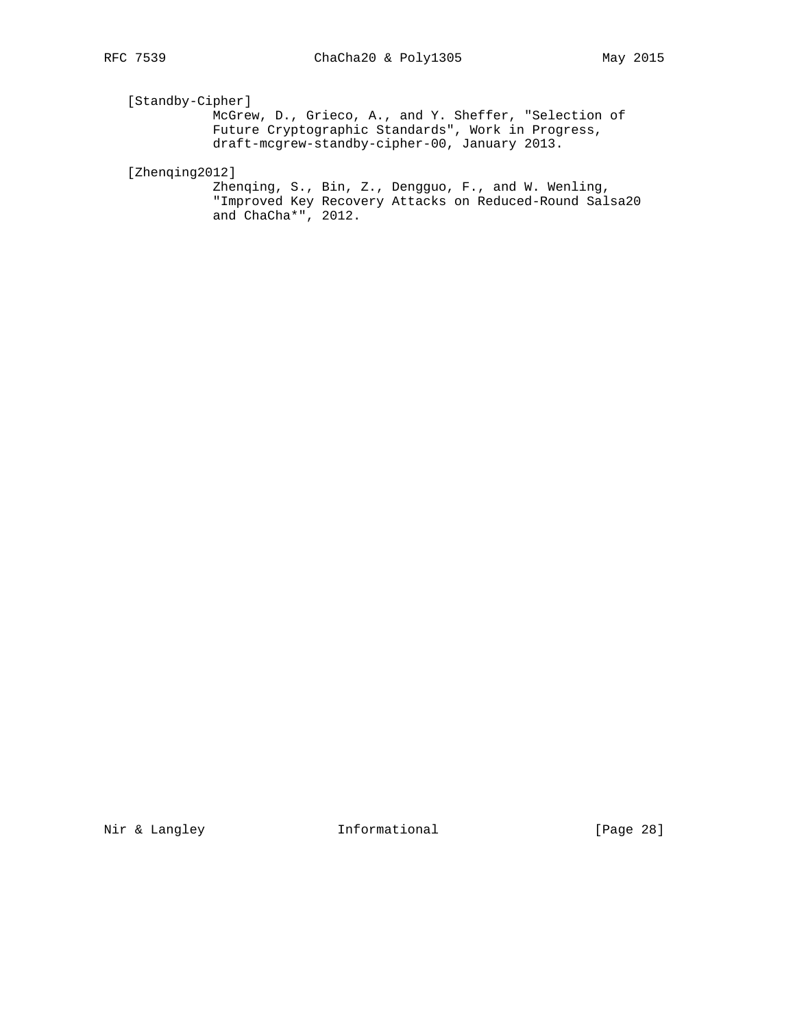# [Standby-Cipher]

 McGrew, D., Grieco, A., and Y. Sheffer, "Selection of Future Cryptographic Standards", Work in Progress, draft-mcgrew-standby-cipher-00, January 2013.

[Zhenqing2012]

 Zhenqing, S., Bin, Z., Dengguo, F., and W. Wenling, "Improved Key Recovery Attacks on Reduced-Round Salsa20 and ChaCha\*", 2012.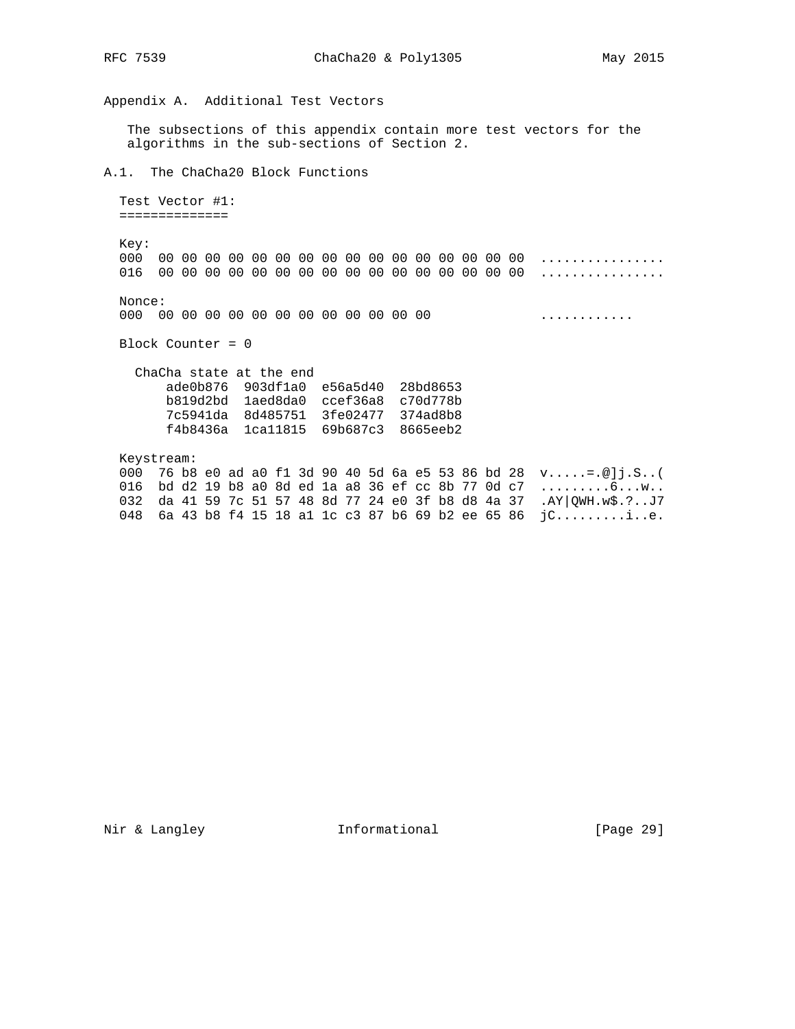Appendix A. Additional Test Vectors

 The subsections of this appendix contain more test vectors for the algorithms in the sub-sections of Section 2.

A.1. The ChaCha20 Block Functions

 Test Vector #1: ==============

 Key: 000 00 00 00 00 00 00 00 00 00 00 00 00 00 00 00 00 ................ 016 00 00 00 00 00 00 00 00 00 00 00 00 00 00 00 00 ................

 Nonce: 000 00 00 00 00 00 00 00 00 00 00 00 00 ............

Block Counter = 0

 ChaCha state at the end ade0b876 903df1a0 e56a5d40 28bd8653 b819d2bd 1aed8da0 ccef36a8 c70d778b 7c5941da 8d485751 3fe02477 374ad8b8 f4b8436a 1ca11815 69b687c3 8665eeb2

 Keystream: 000 76 b8 e0 ad a0 f1 3d 90 40 5d 6a e5 53 86 bd 28 v.....=.@]j.S..( 016 bd d2 19 b8 a0 8d ed 1a a8 36 ef cc 8b 77 0d c7 .........6...w.. 032 da 41 59 7c 51 57 48 8d 77 24 e0 3f b8 d8 4a 37 .AY|QWH.w\$.?..J7 048 6a 43 b8 f4 15 18 a1 1c c3 87 b6 69 b2 ee 65 86 jC.........i..e.

Nir & Langley **Informational** [Page 29]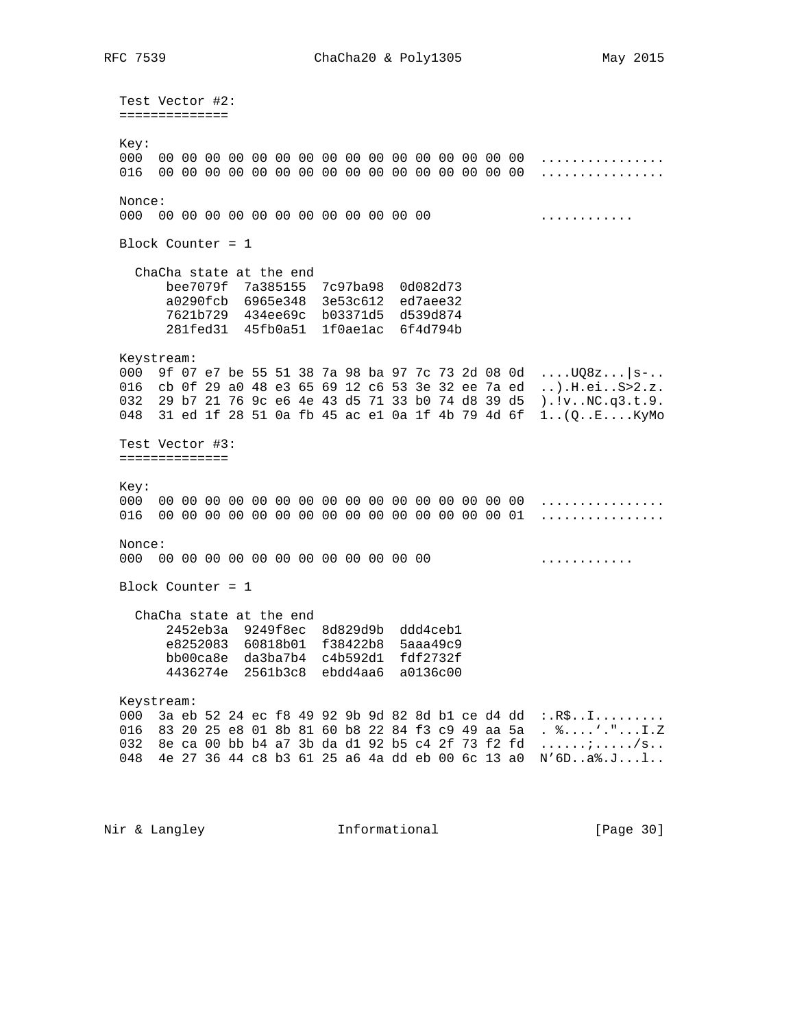Test Vector #2: ============== Key: 000 00 00 00 00 00 00 00 00 00 00 00 00 00 00 00 00 ................ 016 00 00 00 00 00 00 00 00 00 00 00 00 00 00 00 00 ................ Nonce: 000 00 00 00 00 00 00 00 00 00 00 00 00 ............ Block Counter = 1 ChaCha state at the end bee7079f 7a385155 7c97ba98 0d082d73 a0290fcb 6965e348 3e53c612 ed7aee32 7621b729 434ee69c b03371d5 d539d874 281fed31 45fb0a51 1f0ae1ac 6f4d794b Keystream: 000 9f 07 e7 be 55 51 38 7a 98 ba 97 7c 73 2d 08 0d ....UQ8z...|s-.. 016 cb 0f 29 a0 48 e3 65 69 12 c6 53 3e 32 ee 7a ed ..).H.ei..S>2.z. 032 29 b7 21 76 9c e6 4e 43 d5 71 33 b0 74 d8 39 d5 ).!v..NC.q3.t.9. 048 31 ed 1f 28 51 0a fb 45 ac e1 0a 1f 4b 79 4d 6f 1..(Q..E....KyMo Test Vector #3: ============== Key: 000 00 00 00 00 00 00 00 00 00 00 00 00 00 00 00 00 ................ 016 00 00 00 00 00 00 00 00 00 00 00 00 00 00 00 01 ................ Nonce: 000 00 00 00 00 00 00 00 00 00 00 00 00 ............ Block Counter = 1 ChaCha state at the end 2452eb3a 9249f8ec 8d829d9b ddd4ceb1 e8252083 60818b01 f38422b8 5aaa49c9 bb00ca8e da3ba7b4 c4b592d1 fdf2732f 4436274e 2561b3c8 ebdd4aa6 a0136c00 Keystream: 000 3a eb 52 24 ec f8 49 92 9b 9d 82 8d bl ce d4 dd :.R\$..I......... 016 83 20 25 e8 01 8b 81 60 b8 22 84 f3 c9 49 aa 5a . %....'."...I.Z 032 8e ca 00 bb b4 a7 3b da d1 92 b5 c4 2f 73 f2 fd  $\dots \dots \dots$ 048 4e 27 36 44 c8 b3 61 25 a6 4a dd eb 00 6c 13 a0 N'6D..a%.J...l..

Nir & Langley **Informational** [Page 30]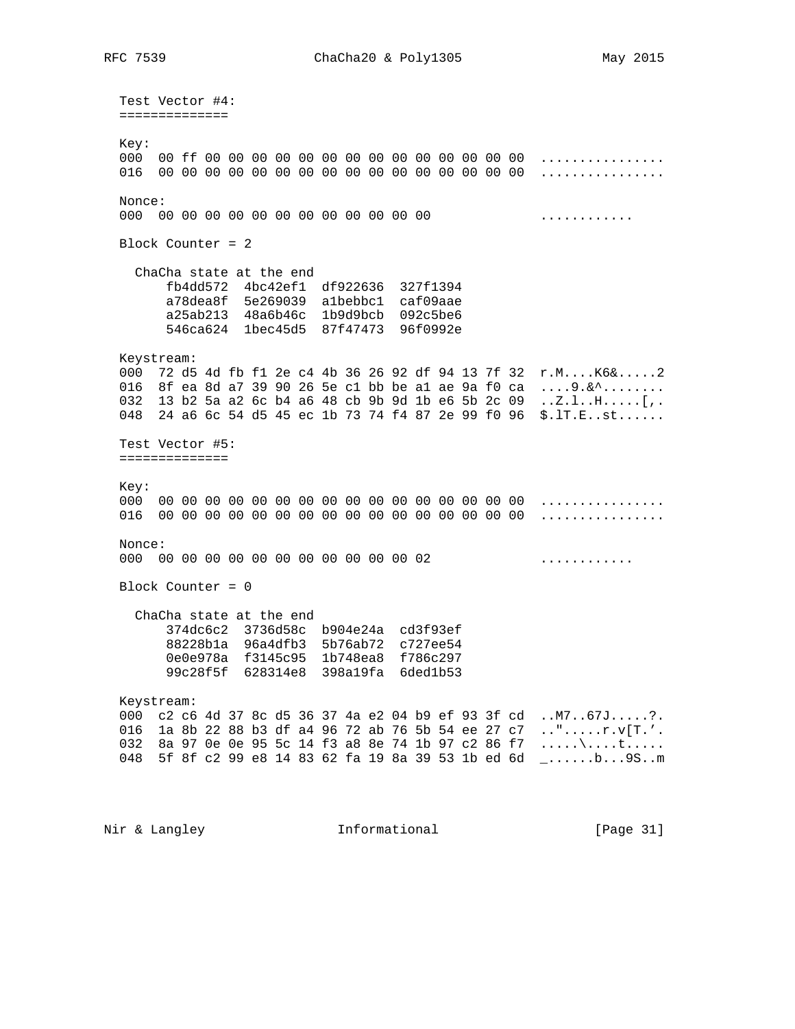Test Vector #4: ============== Key: 000 00 ff 00 00 00 00 00 00 00 00 00 00 00 00 00 00 ................ 016 00 00 00 00 00 00 00 00 00 00 00 00 00 00 00 00 ................ Nonce: 000 00 00 00 00 00 00 00 00 00 00 00 00 ............ Block Counter = 2 ChaCha state at the end fb4dd572 4bc42ef1 df922636 327f1394 a78dea8f 5e269039 a1bebbc1 caf09aae a25ab213 48a6b46c 1b9d9bcb 092c5be6 546ca624 1bec45d5 87f47473 96f0992e Keystream: 000 72 d5 4d fb f1 2e c4 4b 36 26 92 df 94 13 7f 32 r.M....K6&.....2 016 8f ea 8d a7 39 90 26 5e c1 bb be a1 ae 9a f0 ca  $\dots$ 9.&^ $\dots$ ...... 032 13 b2 5a a2 6c b4 a6 48 cb 9b 9d 1b e6 5b 2c 09 ..Z.l..H.....[,. 048 24 a6 6c 54 d5 45 ec 1b 73 74 f4 87 2e 99 f0 96 \$.lT.E..st...... Test Vector #5: ============== Key: 000 00 00 00 00 00 00 00 00 00 00 00 00 00 00 00 00 ................ 016 00 00 00 00 00 00 00 00 00 00 00 00 00 00 00 00 ................ Nonce: 000 00 00 00 00 00 00 00 00 00 00 00 02 ............ Block Counter = 0 ChaCha state at the end 374dc6c2 3736d58c b904e24a cd3f93ef 88228b1a 96a4dfb3 5b76ab72 c727ee54 0e0e978a f3145c95 1b748ea8 f786c297 99c28f5f 628314e8 398a19fa 6ded1b53 Keystream: 000 c2 c6 4d 37 8c d5 36 37 4a e2 04 b9 ef 93 3f cd ..M7..67J.....?. 016 1a 8b 22 88 b3 df a4 96 72 ab 76 5b 54 ee 27 c7 ..".....r.v[T.'. 032 8a 97 0e 0e 95 5c 14 f3 a8 8e 74 1b 97 c2 86 f7  $\dots\lambda$ ....t..... 048 5f 8f c2 99 e8 14 83 62 fa 19 8a 39 53 1b ed 6d \_......b...9S..m

Nir & Langley **Informational** [Page 31]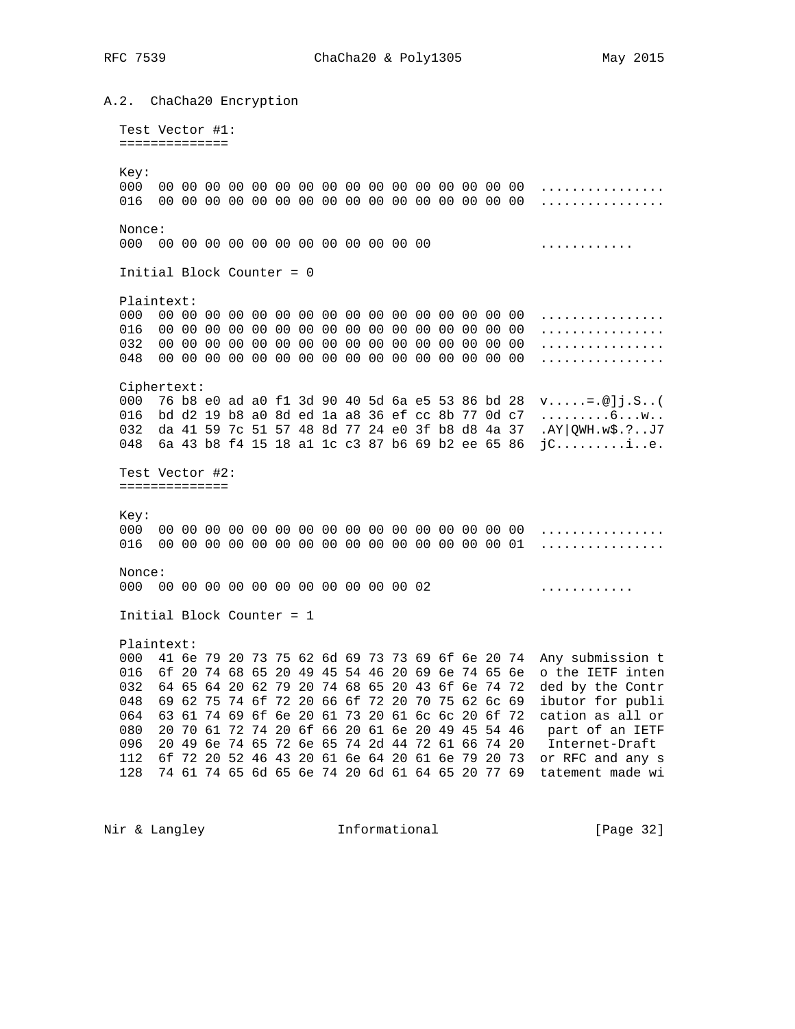A.2. ChaCha20 Encryption Test Vector #1: ============== Kev: Nonce: . . . . . . . . . . . . . Initial Block Counter = 0 Plaintext: Ciphertext: 000 76 b8 e0 ad a0 f1 3d 90 40 5d 6a e5 53 86 bd 28 v.....=.@]j.S..( 016 bd d2 19 b8 a0 8d ed 1a a8 36 ef cc 8b 77 0d c7 .........6...w.. 032 da 41 59 7c 51 57 48 8d 77 24 e0 3f b8 d8 4a 37 .AY | QWH. w\$. ?.. J7 048 6a 43 b8 f4 15 18 al 1c c3 87 b6 69 b2 ee 65 86 jC.............. Test Vector #2: ==============  $Ker:$ Nonce: 000 00 00 00 00 00 00 00 00 00 00 00 02 . . **. . . . . . . . . . . .** Initial Block Counter = 1 Plaintext: 000 41 6e 79 20 73 75 62 6d 69 73 73 69 6f 6e 20 74 Any submission t 016 6f 20 74 68 65 20 49 45 54 46 20 69 6e 74 65 6e o the IETF inten 032 64 65 64 20 62 79 20 74 68 65 20 43 6f 6e 74 72 ded by the Contr 048 69 62 75 74 6f 72 20 66 6f 72 20 70 75 62 6c 69 ibutor for publi 064 63 61 74 69 6f 6e 20 61 73 20 61 6c 6c 20 6f 72 cation as all or 080 20 70 61 72 74 20 6f 66 20 61 6e 20 49 45 54 46 part of an IETF 096 20 49 6e 74 65 72 6e 65 74 2d 44 72 61 66 74 20 Internet-Draft 112 6f 72 20 52 46 43 20 61 6e 64 20 61 6e 79 20 73 or RFC and any s 128 74 61 74 65 6d 65 6e 74 20 6d 61 64 65 20 77 69 tatement made wi

Nir & Langley Thermational

[Page 32]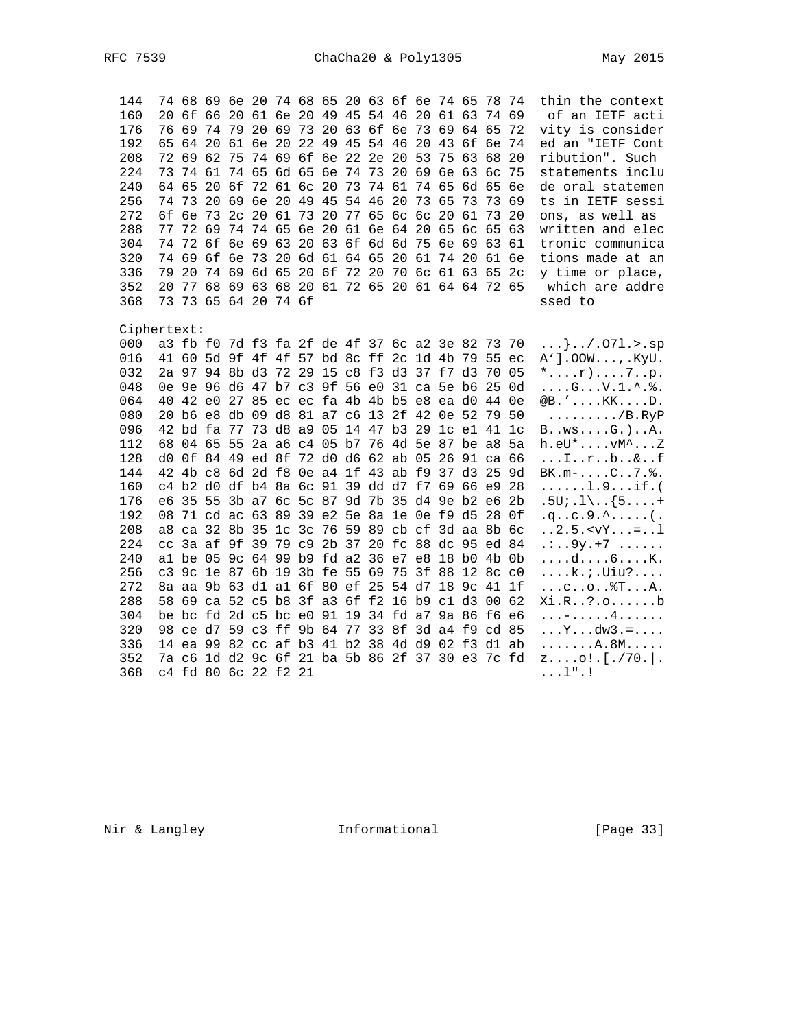| 144         |    |             |    |       |    |                                           |  |                      |  |             | 74 68 69 6e 20 74 68 65 20 63 6f 6e 74 65 78 74 |          |                | thin the context                                       |
|-------------|----|-------------|----|-------|----|-------------------------------------------|--|----------------------|--|-------------|-------------------------------------------------|----------|----------------|--------------------------------------------------------|
| 160         |    |             |    |       |    |                                           |  |                      |  |             | 20 6f 66 20 61 6e 20 49 45 54 46 20 61 63 74 69 |          |                | of an IETF acti                                        |
| 176         |    |             |    |       |    |                                           |  |                      |  |             | 76 69 74 79 20 69 73 20 63 6f 6e 73 69 64 65 72 |          |                | vity is consider                                       |
| 192         |    |             |    |       |    | 65 64 20 61 6e 20 22 49 45 54 46 20       |  |                      |  |             | 43 6f 6e 74                                     |          |                | ed an "IETF Cont                                       |
| 208         |    | 72 69 62    |    |       |    | 75 74 69 6f 6e 22 2e 20 53                |  |                      |  |             | 75 63 68                                        |          | -20            | ribution". Such                                        |
| 224         |    | 73 74 61    |    |       |    |                                           |  |                      |  |             | 74 65 6d 65 6e 74 73 20 69 6e 63 6c             |          | -75            | statements inclu                                       |
| 240         |    | 64 65       | 20 |       |    | 6f 72 61 6c 20 73 74 61 74 65             |  |                      |  |             |                                                 | 6d 65 6e |                | de oral statemen                                       |
| 256         |    | 7473        |    |       |    | 20 69 6e 20 49 45 54 46 20 73 65          |  |                      |  |             | 73                                              | 73       | -69            | ts in IETF sessi                                       |
| 272         |    |             |    |       |    | 6f 6e 73 2c 20 61                         |  | 73 20 77 65 6c 6c 20 |  |             | 61                                              | 73 20    |                | ons, as well as                                        |
| 288         |    | 77 72 69    |    |       |    | 74 74 65 6e 20 61 6e 64 20 65             |  |                      |  |             |                                                 | 6c 65 63 |                | written and elec                                       |
| 304         |    |             |    |       |    |                                           |  |                      |  |             | 74 72 6f 6e 69 63 20 63 6f 6d 6d 75 6e 69 63 61 |          |                | tronic communica                                       |
| 320         | 74 | 69          |    | 6f 6e | 73 | 20 6d 61 64 65                            |  |                      |  | 20 61 74 20 |                                                 |          | 61 6e          | tions made at an                                       |
| 336         | 79 | 20          |    |       |    | 74 69 6d 65 20 6f 72 20                   |  |                      |  |             | 70 6c 61 63 65 2c                               |          |                | y time or place,                                       |
| 352         | 20 | 77          |    |       |    |                                           |  |                      |  |             | 68 69 63 68 20 61 72 65 20 61 64 64 72 65       |          |                | which are addre                                        |
| 368         | 73 |             |    |       |    | 73 65 64 20 74 6f                         |  |                      |  |             |                                                 |          |                | ssed to                                                |
|             |    |             |    |       |    |                                           |  |                      |  |             |                                                 |          |                |                                                        |
| Ciphertext: |    |             |    |       |    |                                           |  |                      |  |             |                                                 |          |                |                                                        |
| 000         |    |             |    |       |    |                                           |  |                      |  |             | a3 fb f0 7d f3 fa 2f de 4f 37 6c a2 3e 82 73 70 |          |                | }/.071.>.sp                                            |
| 016         |    |             |    |       |    |                                           |  |                      |  |             | 41 60 5d 9f 4f 4f 57 bd 8c ff 2c 1d 4b 79 55 ec |          |                | $A'$ ].00 $W$ ,. $KyU$ .                               |
| 032         |    |             |    |       |    |                                           |  |                      |  |             | 2a 97 94 8b d3 72 29 15 c8 f3 d3 37 f7 d3 70 05 |          |                | $*$ $r)$ $7.$ p.                                       |
| 048         |    |             |    |       |    |                                           |  |                      |  |             | 0e 9e 96 d6 47 b7 c3 9f 56 e0 31 ca 5e b6 25 0d |          |                | $\ldots$ . G. $\ldots$ V. $1 \ldots$ . $\frac{1}{6}$ . |
| 064         |    |             |    |       |    |                                           |  |                      |  |             | 40 42 e0 27 85 ec ec fa 4b 4b b5 e8 ea d0 44 0e |          |                | $@B.$ ' $KK$ $D$ .                                     |
| 080         |    |             |    |       |    | 20 b6 e8 db 09 d8 81 a7 c6 13 2f 42 0e 52 |  |                      |  |             |                                                 | 79 50    |                | $\ldots \ldots \ldots$ /B.RyP                          |
| 096         |    | 42 bd fa 77 |    |       |    |                                           |  |                      |  |             | 73 d8 a9 05 14 47 b3 29 1c e1 41                |          | 1 <sup>c</sup> | $B \ldots WS \ldots G.$ ) $A.$                         |
| 112         |    |             |    |       |    |                                           |  |                      |  |             | 68 04 65 55 2a a6 c4 05 b7 76 4d 5e 87 be a8    |          | 5a             | $h.eU^*$ $vM^*$ $Z$                                    |
| 128         |    |             |    |       |    |                                           |  |                      |  |             | d0 0f 84 49 ed 8f 72 d0 d6 62 ab 05 26 91 ca 66 |          |                | $\dots$ I. $r \dots$ b. $\& \dots$ f                   |
| 144         |    |             |    |       |    |                                           |  |                      |  |             | 42 4b c8 6d 2d f8 0e a4 1f 43 ab f9 37 d3 25 9d |          |                | $BK.m-C7.$ .                                           |
| 160         |    |             |    |       |    |                                           |  |                      |  |             | c4 b2 d0 df b4 8a 6c 91 39 dd d7 f7 69 66 e9 28 |          |                | $\ldots \ldots 1.9 \ldots \text{if.}$                  |
| 176         |    |             |    |       |    |                                           |  |                      |  |             | e6 35 55 3b a7 6c 5c 87 9d 7b 35 d4 9e b2 e6 2b |          |                | $.5U$ ; $.1\backslash$ . $\{5 \ldots +$                |
| 192         |    |             |    |       |    |                                           |  |                      |  |             | 08 71 cd ac 63 89 39 e2 5e 8a 1e 0e f9 d5 28 0f |          |                |                                                        |
| 208         |    |             |    |       |    |                                           |  |                      |  |             | a8 ca 32 8b 35 1c 3c 76 59 89 cb cf 3d aa 8b 6c |          |                | $. .2.5. < vY. =1$                                     |
| 224         |    |             |    |       |    |                                           |  |                      |  |             | cc 3a af 9f 39 79 c9 2b 37 20 fc 88 dc 95 ed 84 |          |                | $\ldots$ 9y. +7                                        |
| 240         |    |             |    |       |    |                                           |  |                      |  |             | al be 05 9c 64 99 b9 fd a2 36 e7 e8 18 b0 4b 0b |          |                | $\ldots$ $\ldots$ $K$ .                                |
| 256         |    |             |    |       |    | c3 9c 1e 87 6b 19 3b fe 55 69 75          |  |                      |  | 3f 88       | 12 8c c0                                        |          |                | k.;.Uiu?                                               |
| 272         |    |             |    |       |    |                                           |  |                      |  |             | 8a aa 9b 63 d1 a1 6f 80 ef 25 54 d7 18 9c 41 1f |          |                | $\ldots$ . $\ldots$ . $\mathbb{S}$ . $\ldots$ A.       |
| 288         |    |             |    |       |    |                                           |  |                      |  |             | 58 69 ca 52 c5 b8 3f a3 6f f2 16 b9 c1 d3       |          | 00 62          | Xi.R?.ob                                               |
| 304         |    |             |    |       |    |                                           |  |                      |  |             | be bc fd 2d c5 bc e0 91 19 34 fd a7 9a 86 f6 e6 |          |                | . – 4                                                  |
| 320         |    |             |    |       |    |                                           |  |                      |  |             | 98 ce d7 59 c3 ff 9b 64 77 33 8f 3d a4 f9 cd 85 |          |                | $\ldots Y \ldots dw3 = \ldots$                         |
| 336         |    |             |    |       |    |                                           |  |                      |  |             | 14 ea 99 82 cc af b3 41 b2 38 4d d9 02 f3 d1 ab |          |                | . A . 8M                                               |
| 352         |    |             |    |       |    |                                           |  |                      |  |             | 7a c6 1d d2 9c 6f 21 ba 5b 86 2f 37 30 e3 7c fd |          |                | $z$ o!.[./70.].                                        |
| 368         |    |             |    |       |    | c4 fd 80 6c 22 f2 21                      |  |                      |  |             |                                                 |          |                | $\dots$ $1"$ $\cdot$ !                                 |
|             |    |             |    |       |    |                                           |  |                      |  |             |                                                 |          |                |                                                        |

Nir & Langley Theormational

[Page 33]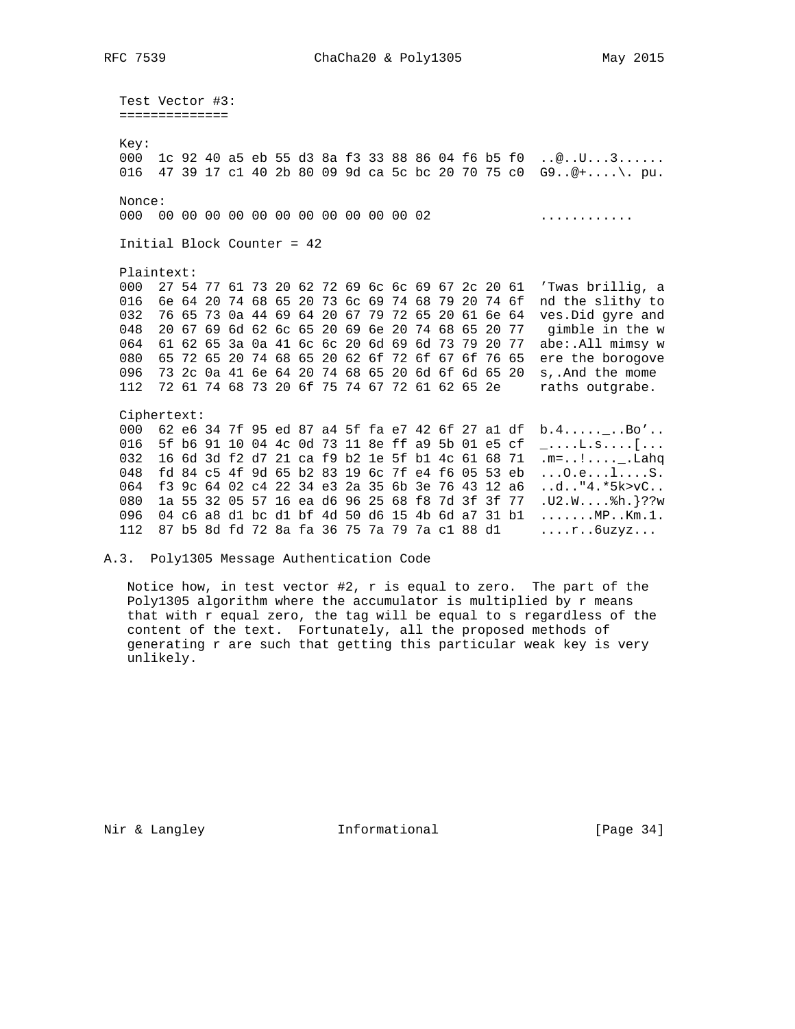Test Vector #3: ============= Key: 000 1c 92 40 a5 eb 55 d3 8a f3 33 88 86 04 f6 b5 f0 ..@..U...3...... 016 47 39 17 c1 40 2b 80 09 9d ca 5c bc 20 70 75 c0 G9..@+....\. pu. Nonce: 000 00 00 00 00 00 00 00 00 00 00 02 . . . . . . . . . . . . . Initial Block Counter = 42 Plaintext: 000 27 54 77 61 73 20 62 72 69 6c 6c 69 67 2c 20 61 'Twas brillig, a 016 6e 64 20 74 68 65 20 73 6c 69 74 68 79 20 74 6f nd the slithy to 032 76 65 73 0a 44 69 64 20 67 79 72 65 20 61 6e 64 ves. Did gyre and 048 20 67 69 6d 62 6c 65 20 69 6e 20 74 68 65 20 77 gimble in the w 064 61 62 65 3a 0a 41 6c 6c 20 6d 69 6d 73 79 20 77 abe:.All mimsy w 080 65 72 65 20 74 68 65 20 62 6f 72 6f 67 6f 76 65 ere the borogove 096 73 2c 0a 41 6e 64 20 74 68 65 20 6d 6f 6d 65 20 s,.And the mome 112 72 61 74 68 73 20 6f 75 74 67 72 61 62 65 2e raths outgrabe. Ciphertext: 000 62 e6 34 7f 95 ed 87 a4 5f fa e7 42 6f 27 a1 df b.4.....\_..Bo'.. 016 5f b6 91 10 04 4c 0d 73 11 8e ff a9 5b 01 e5 cf \_....L.s....[... 032 16 6d 3d f2 d7 21 ca f9 b2 1e 5f b1 4c 61 68 71  $\overline{m}$ =..!.....Lahq 080 1a 55 32 05 57 16 ea d6 96 25 68 f8 7d 3f 3f 77 .U2.W.... \$h. }??w 096 04 c6 a8 d1 bc d1 bf 4d 50 d6 15 4b 6d a7 31 b1 ....... MP.. Km. 1. 112 87 b5 8d fd 72 8a fa 36 75 7a 79 7a c1 88 d1 ....r..6uzyz...

A.3. Poly1305 Message Authentication Code

Notice how, in test vector #2,  $r$  is equal to zero. The part of the Poly1305 algorithm where the accumulator is multiplied by r means that with r equal zero, the tag will be equal to s regardless of the content of the text. Fortunately, all the proposed methods of generating r are such that getting this particular weak key is very unlikely.

Nir & Langley Thermational

[Page 34]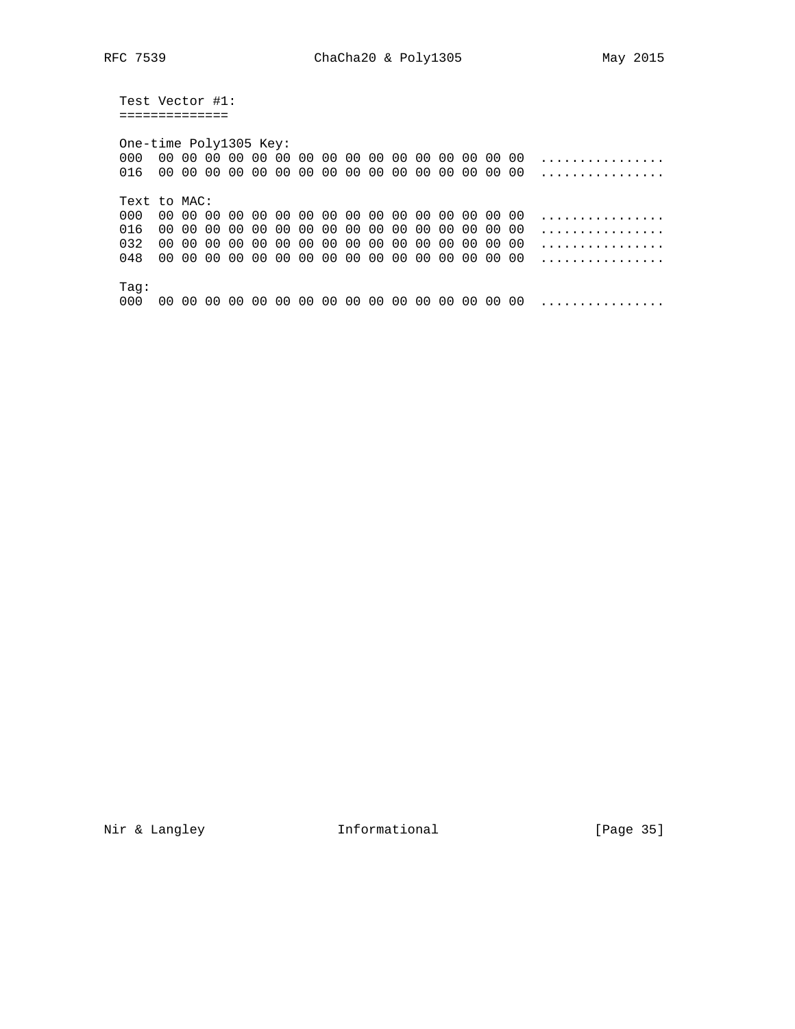Test Vector #1: ==============

 One-time Poly1305 Key: 000 00 00 00 00 00 00 00 00 00 00 00 00 00 00 00 00 ................ 016 00 00 00 00 00 00 00 00 00 00 00 00 00 00 00 00 ................ Text to MAC: 000 00 00 00 00 00 00 00 00 00 00 00 00 00 00 00 00 ................ 016 00 00 00 00 00 00 00 00 00 00 00 00 00 00 00 00 ................ 032 00 00 00 00 00 00 00 00 00 00 00 00 00 00 00 00 ................ 048 00 00 00 00 00 00 00 00 00 00 00 00 00 00 00 00 ................ Tag: 000 00 00 00 00 00 00 00 00 00 00 00 00 00 00 00 00 ................

Nir & Langley **Informational** [Page 35]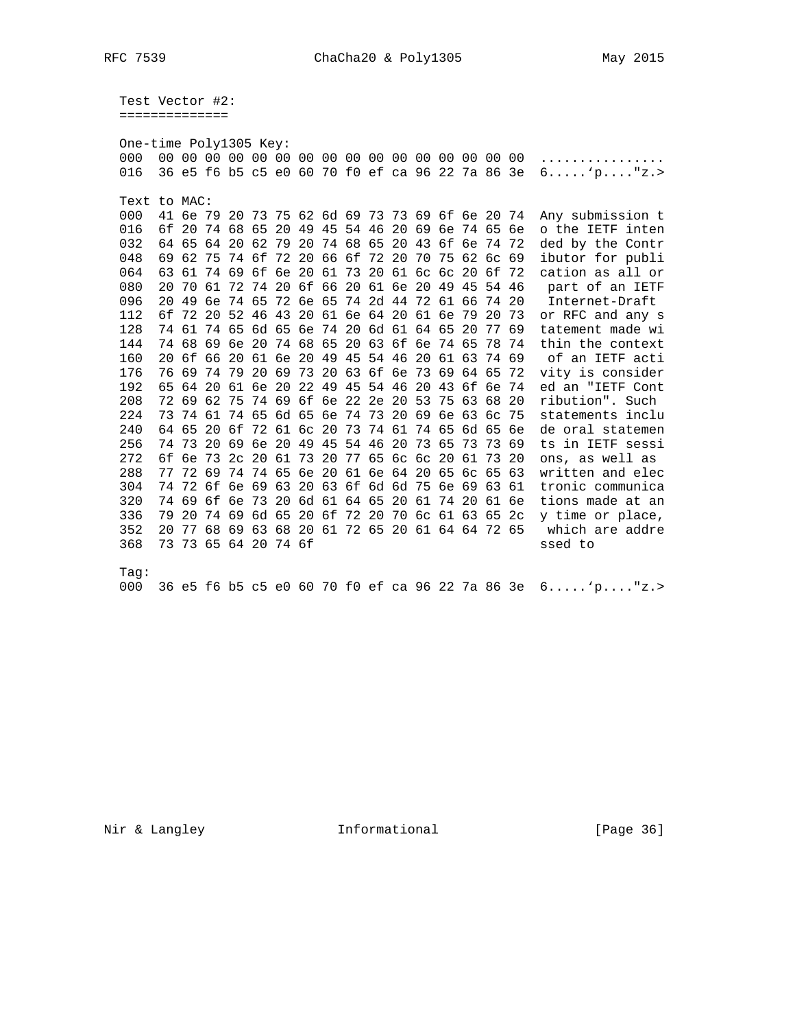Test Vector #2: ==============

| One-time Poly1305 Key: |       |          |       |       |                                                 |       |                |    |          |                               |    |       |                   |       |       |     |                                                         |
|------------------------|-------|----------|-------|-------|-------------------------------------------------|-------|----------------|----|----------|-------------------------------|----|-------|-------------------|-------|-------|-----|---------------------------------------------------------|
| 000                    |       |          |       |       |                                                 |       |                |    |          |                               |    |       |                   |       |       |     | .                                                       |
| 016                    |       |          |       |       | 36 e5 f6 b5 c5 e0 60 70 f0 ef ca 96 22 7a 86 3e |       |                |    |          |                               |    |       |                   |       |       |     | 6'p''z.                                                 |
|                        |       |          |       |       |                                                 |       |                |    |          |                               |    |       |                   |       |       |     |                                                         |
| Text to MAC:           |       |          |       |       |                                                 |       |                |    |          |                               |    |       |                   |       |       |     |                                                         |
| 000                    |       | 41 бе 79 |       | 20    | 73 75 62 6d 69 73 73 69 6f 6e 20 74             |       |                |    |          |                               |    |       |                   |       |       |     | Any submission t                                        |
| 016                    |       | 6f 20    |       | 74 68 | 65                                              |       | 20 49 45 54 46 |    |          |                               |    |       | 20 69 6e 74 65 6e |       |       |     | o the IETF inten                                        |
| 032                    |       | 64 65    | 64    | 20    | 62 79 20                                        |       |                |    | 74 68 65 |                               | 20 |       | 43 6f 6e 74 72    |       |       |     | ded by the Contr                                        |
| 048                    | 69    | 62       | 75    |       | 74 6f 72 20                                     |       |                |    |          | 66 6f 72 20                   |    |       | 70 75 62          |       | 6c 69 |     | ibutor for publi                                        |
| 064                    | 63 61 |          |       |       | 74 69 6f 6e 20                                  |       |                |    | 61 73    | 20 61 6c 6c                   |    |       |                   | 20    | 6f    | 72  | cation as all or                                        |
| 080                    | 20    | 70       | 61    | 72    | 74 20 6f 66 20 61 6e 20 49 45                   |       |                |    |          |                               |    |       |                   |       | 54 46 |     | part of an IETF                                         |
| 096                    | 20    | 49       | бе    |       | 74 65                                           |       | 72 6e 65       |    |          | 74 2d 44 72 61                |    |       |                   | 66    | 74 20 |     | Internet-Draft                                          |
| 112                    | 6f    | 72       | 20    |       | 52 46 43 20 61 6e 64 20 61 6e                   |       |                |    |          |                               |    |       |                   | 79    | 20    | 73  | or RFC and any s                                        |
| 128                    |       | 74 61    |       |       | 74 65 6d 65 6e 74 20 6d 61 64 65                |       |                |    |          |                               |    |       |                   | 20    | 77 69 |     | tatement made wi                                        |
| 144                    |       | 74 68    |       | 69 6e | 20 74 68 65 20 63 6f 6e 74 65                   |       |                |    |          |                               |    |       |                   |       | 78    | 74  | thin the context                                        |
| 160                    | 20    | 6f       | 66    | 20    | 61 6e 20 49 45 54 46 20 61 63                   |       |                |    |          |                               |    |       |                   |       | 74 69 |     | of an IETF acti                                         |
| 176                    | 76    | 69       |       |       | 74 79 20 69 73 20 63 6f 6e 73 69 64 65          |       |                |    |          |                               |    |       |                   |       |       | 72  | vity is consider                                        |
| 192                    | 65    | 64       | 20    | 61    |                                                 | 6e 20 | 22             |    |          | 49 45 54 46                   |    | 20    | 43                | 6f    | бe    | 74  | ed an "IETF Cont                                        |
| 208                    |       | 72 69    |       | 62 75 | 74 69 6f 6e 22 2e 20                            |       |                |    |          |                               |    | 53    | 75                | 63    | 68 20 |     | ribution". Such                                         |
| 224                    |       |          |       |       | 73 74 61 74 65 6d 65 6e 74 73 20 69             |       |                |    |          |                               |    |       | 6e 63             |       | 6с    | -75 | statements inclu                                        |
| 240                    |       | 64 65    | 20    | 6f    | 72 61 6c                                        |       |                | 20 | 73       | 74 61                         |    | 74 65 |                   | 6d 65 |       | 6е  | de oral statemen                                        |
| 256                    |       | 74 73    |       |       | 20 69 6e 20 49 45 54 46 20                      |       |                |    |          |                               |    | 73 65 |                   | 73    | 73 69 |     | ts in IETF sessi                                        |
| 272                    |       | 6f 6e    | 73 2c |       | 20 61 73 20 77 65 6c 6c 20                      |       |                |    |          |                               |    |       |                   | 61    | 73    | -20 | ons, as well as                                         |
| 288                    | 77    | 72       | 69    |       | 74 74 65                                        |       | 6e 20          |    |          | 61 6e 64 20                   |    |       | 65                | 6с    | 65    | 63  | written and elec                                        |
| 304                    |       |          |       |       | 74 72 6f 6e 69 63                               |       |                |    |          | 20 63 6f 6d 6d 75 6e 69       |    |       |                   |       | 63 61 |     | tronic communica                                        |
| 320                    |       |          |       |       | 74 69 6f 6e 73 20 6d 61 64 65 20 61             |       |                |    |          |                               |    |       | 74                | -20   | 61 6e |     | tions made at an                                        |
| 336                    | 79 20 |          |       |       | 74 69 6d 65                                     |       |                |    |          | 20 6f 72 20 70 6c 61 63 65 2c |    |       |                   |       |       |     | y time or place,                                        |
| 352                    | 20    | 77       |       |       | 68 69 63 68 20 61 72 65 20 61 64 64 72 65       |       |                |    |          |                               |    |       |                   |       |       |     | which are addre                                         |
| 368                    |       |          |       |       | 73 73 65 64 20 74 6f                            |       |                |    |          |                               |    |       |                   |       |       |     | ssed to                                                 |
|                        |       |          |       |       |                                                 |       |                |    |          |                               |    |       |                   |       |       |     |                                                         |
| Taq:                   |       |          |       |       |                                                 |       |                |    |          |                               |    |       |                   |       |       |     |                                                         |
| 000                    |       |          |       |       |                                                 |       |                |    |          |                               |    |       |                   |       |       |     | 36 e5 f6 b5 c5 e0 60 70 f0 ef ca 96 22 7a 86 3e 6'p"z.> |
|                        |       |          |       |       |                                                 |       |                |    |          |                               |    |       |                   |       |       |     |                                                         |

Nir & Langley Theormational

[Page 36]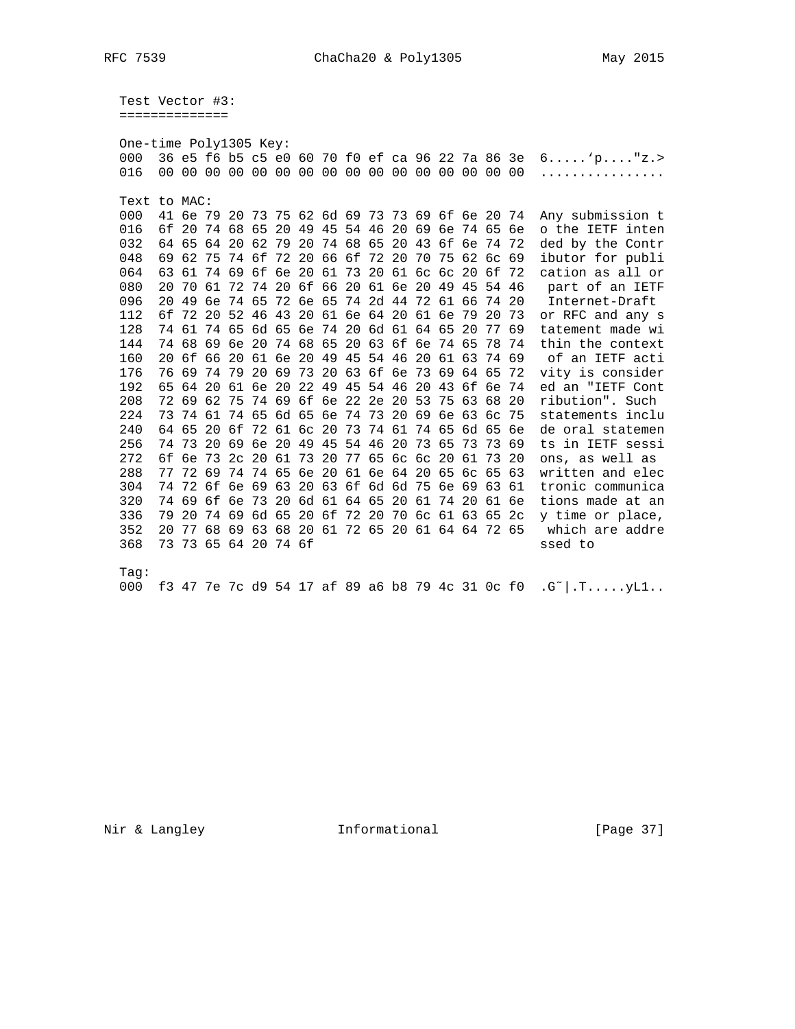Test Vector #3: ==============

| One-time Poly1305 Key: |    |                                                 |          |  |                            |  |                |  |  |  |                                              |  |       |             |       |                                                 |                                                                                        |
|------------------------|----|-------------------------------------------------|----------|--|----------------------------|--|----------------|--|--|--|----------------------------------------------|--|-------|-------------|-------|-------------------------------------------------|----------------------------------------------------------------------------------------|
| 000                    |    | 36 e5 f6 b5 c5 e0 60 70 f0 ef ca 96 22 7a 86 3e |          |  |                            |  |                |  |  |  |                                              |  |       |             |       |                                                 | 6'p''z.                                                                                |
| 016                    |    |                                                 |          |  |                            |  |                |  |  |  |                                              |  |       |             |       |                                                 | .                                                                                      |
|                        |    |                                                 |          |  |                            |  |                |  |  |  |                                              |  |       |             |       |                                                 |                                                                                        |
| Text to MAC:           |    |                                                 |          |  |                            |  |                |  |  |  |                                              |  |       |             |       |                                                 |                                                                                        |
| 000                    |    | 41 6e 79 20                                     |          |  |                            |  |                |  |  |  | 73 75 62 6d 69 73 73 69 6f 6e 20 74          |  |       |             |       |                                                 | Any submission t                                                                       |
| 016                    |    | 6f 20                                           | 74 68 65 |  |                            |  | 20 49 45 54 46 |  |  |  | 20 69 6e 74 65 6e                            |  |       |             |       |                                                 | o the IETF inten                                                                       |
| 032                    |    | 64 65                                           |          |  | 64 20 62 79 20             |  |                |  |  |  | 74 68 65 20 43 6f 6e 74 72                   |  |       |             |       |                                                 | ded by the Contr                                                                       |
| 048                    | 69 |                                                 |          |  | 62 75 74 6f 72 20          |  |                |  |  |  | 66 6f 72 20 70                               |  |       | 75 62 6c 69 |       |                                                 | ibutor for publi                                                                       |
| 064                    | 63 | 61                                              |          |  |                            |  |                |  |  |  | 74 69 6f 6e 20 61 73 20 61 6c 6c             |  |       | 20 6f       |       | 72                                              | cation as all or                                                                       |
| 080                    | 20 | 70                                              |          |  |                            |  |                |  |  |  | 61 72 74 20 6f 66 20 61 6e 20 49 45          |  |       |             | 54 46 |                                                 | part of an IETF                                                                        |
| 096                    | 20 | 49                                              |          |  |                            |  |                |  |  |  | 6e 74 65 72 6e 65 74 2d 44 72                |  | 61    | 66          | 74    | 20                                              | Internet-Draft                                                                         |
| 112                    | 6f |                                                 |          |  |                            |  |                |  |  |  | 72 20 52 46 43 20 61 6e 64 20 61 6e          |  |       | 79          | 20    | 73                                              | or RFC and any s                                                                       |
| 128                    |    | 74 61 74 65 6d 65 6e 74 20 6d 61 64 65          |          |  |                            |  |                |  |  |  |                                              |  |       | 20          | 77 69 |                                                 | tatement made wi                                                                       |
| 144                    |    | 74 68 69 6e 20 74 68 65 20 63 6f 6e 74 65       |          |  |                            |  |                |  |  |  |                                              |  |       |             | 78    | 74                                              | thin the context                                                                       |
| 160                    | 20 | 6f                                              |          |  |                            |  |                |  |  |  | 66 20 61 6e 20 49 45 54 46 20                |  | 61 63 |             |       | 74 69                                           | of an IETF acti                                                                        |
| 176                    | 76 |                                                 |          |  |                            |  |                |  |  |  | 69 74 79 20 69 73 20 63 6f 6e 73 69 64 65    |  |       |             |       | 72                                              | vity is consider                                                                       |
| 192                    | 65 | 64                                              |          |  |                            |  |                |  |  |  | 20 61 6e 20 22 49 45 54 46 20                |  | 43    | 6f          | 6e 74 |                                                 | ed an "IETF Cont                                                                       |
| 208                    |    | 72 69 62 75 74 69 6f 6e 22 2e 20 53             |          |  |                            |  |                |  |  |  |                                              |  |       | 75 63       | 68 20 |                                                 | ribution". Such                                                                        |
| 224                    | 73 |                                                 |          |  |                            |  |                |  |  |  | 74 61 74 65 6d 65 6e 74 73 20 69 6e 63       |  |       |             | 6с    | 75                                              | statements inclu                                                                       |
| 240                    | 64 | 65                                              |          |  |                            |  |                |  |  |  | 20 6f 72 61 6c 20 73 74 61 74 65 6d 65       |  |       |             |       | <u>бе</u>                                       | de oral statemen                                                                       |
| 256                    | 74 |                                                 |          |  | 73 20 69 6e 20 49 45 54 46 |  |                |  |  |  | 20 73 65                                     |  |       | 73          |       | 73 69                                           | ts in IETF sessi                                                                       |
| 272                    | 6f |                                                 |          |  |                            |  |                |  |  |  | 6e 73 2c 20 61 73 20 77 65 6c 6c 20          |  |       | 61 73 20    |       |                                                 | ons, as well as                                                                        |
| 288                    | 77 |                                                 | 72 69    |  |                            |  |                |  |  |  | 74 74 65 6e 20 61 6e 64 20 65 6c 65          |  |       |             |       | 63                                              | written and elec                                                                       |
| 304                    | 74 |                                                 |          |  |                            |  |                |  |  |  | 72 6f 6e 69 63 20 63 6f 6d 6d 75 6e 69 63 61 |  |       |             |       |                                                 | tronic communica                                                                       |
| 320                    | 74 | 69                                              |          |  |                            |  |                |  |  |  | 6f 6e 73 20 6d 61 64 65 20 61                |  | 74 20 |             |       | 61 6e                                           | tions made at an                                                                       |
| 336                    | 79 | 20                                              |          |  |                            |  |                |  |  |  | 74 69 6d 65 20 6f 72 20 70 6c 61 63 65       |  |       |             |       | 2c                                              | y time or place,                                                                       |
| 352                    |    | 20 77 68 69 63 68 20 61 72 65 20 61 64 64 72 65 |          |  |                            |  |                |  |  |  |                                              |  |       |             |       |                                                 | which are addre                                                                        |
| 368                    |    | 73 73 65 64 20 74 6f                            |          |  |                            |  |                |  |  |  |                                              |  |       |             |       |                                                 | ssed to                                                                                |
|                        |    |                                                 |          |  |                            |  |                |  |  |  |                                              |  |       |             |       |                                                 |                                                                                        |
| Taq:                   |    |                                                 |          |  |                            |  |                |  |  |  |                                              |  |       |             |       |                                                 |                                                                                        |
| 000                    |    |                                                 |          |  |                            |  |                |  |  |  |                                              |  |       |             |       | f3 47 7e 7c d9 54 17 af 89 a6 b8 79 4c 31 0c f0 | $\cdot$ G <sup><math>\sim</math></sup> $\vert$ $\cdot$ T $\ldots$ $\cdot$ yL1 $\ldots$ |
|                        |    |                                                 |          |  |                            |  |                |  |  |  |                                              |  |       |             |       |                                                 |                                                                                        |

Nir & Langley Theormational

[Page 37]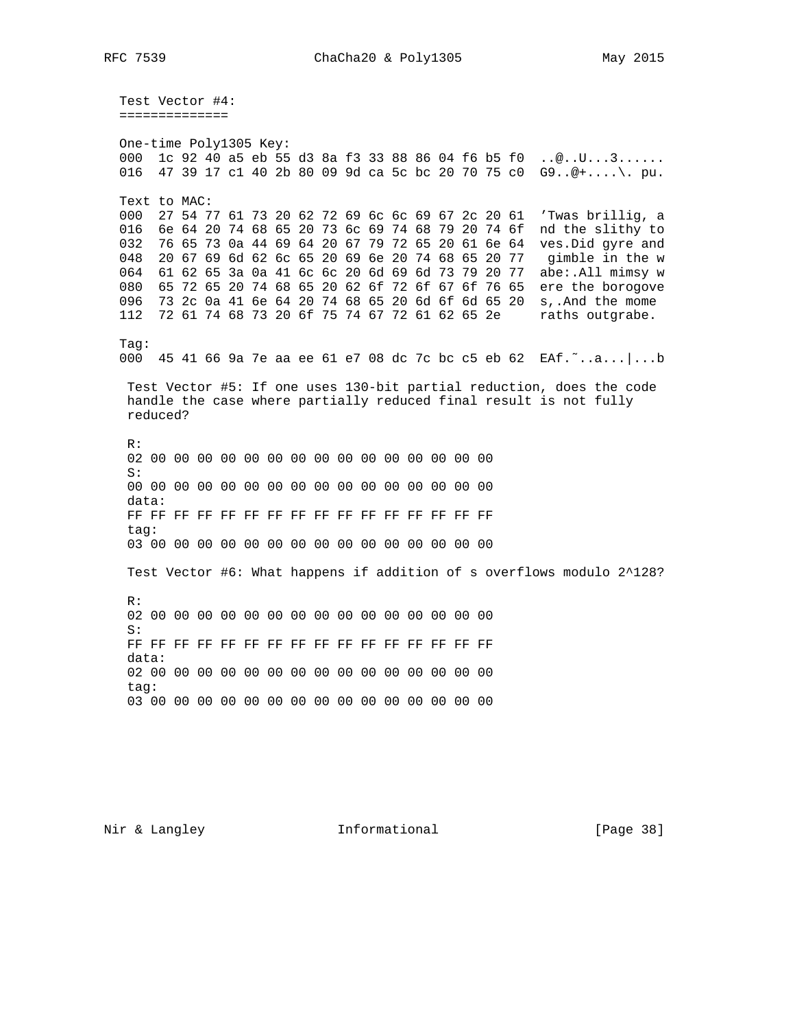Test Vector #4: ==============

One-time Poly1305 Key: 000 1c 92 40 a5 eb 55 d3 8a f3 33 88 86 04 f6 b5 f0 ..@..U...3...... 016 47 39 17 c1 40 2b 80 09 9d ca 5c bc 20 70 75 c0 G9..@+....\. pu. Text to MAC: 000 27 54 77 61 73 20 62 72 69 6c 6c 69 67 2c 20 61 'Twas brillig, a 016 6e 64 20 74 68 65 20 73 6c 69 74 68 79 20 74 6f nd the slithy to 032 76 65 73 0a 44 69 64 20 67 79 72 65 20 61 6e 64 ves. Did gyre and 048 20 67 69 6d 62 6c 65 20 69 6e 20 74 68 65 20 77 gimble in the w 064 61 62 65 3a 0a 41 6c 6c 20 6d 69 6d 73 79 20 77 abe:.All mimsy w 080 65 72 65 20 74 68 65 20 62 6f 72 6f 67 6f 76 65 ere the borogove<br>096 73 2c 0a 41 6e 64 20 74 68 65 20 6d 6f 6d 65 20 s,.And the mome 112 72 61 74 68 73 20 6f 75 74 67 72 61 62 65 2e raths outgrabe.  $Taq:$ 000 45 41 66 9a 7e aa ee 61 e7 08 dc 7c bc c5 eb 62 EAf."..a...|...b Test Vector #5: If one uses 130-bit partial reduction, does the code handle the case where partially reduced final result is not fully reduced?  $R:$  $S:$ data: tag: Test Vector #6: What happens if addition of s overflows modulo 2^128?  $R:$  $S:$  $data:$ tag: 

Nir & Langley Theormational

[Page 38]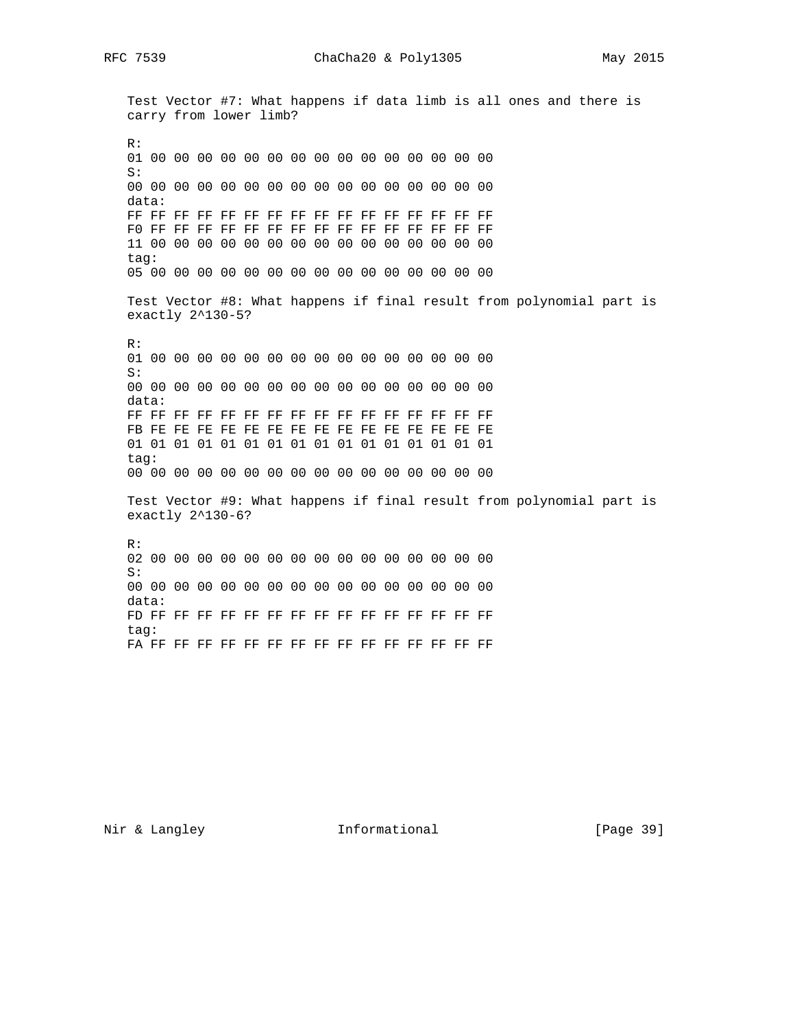Test Vector #7: What happens if data limb is all ones and there is carry from lower limb? R: 01 00 00 00 00 00 00 00 00 00 00 00 00 00 00 00 S: 00 00 00 00 00 00 00 00 00 00 00 00 00 00 00 00 data: FF FF FF FF FF FF FF FF FF FF FF FF FF FF FF FF F0 FF FF FF FF FF FF FF FF FF FF FF FF FF FF FF 11 00 00 00 00 00 00 00 00 00 00 00 00 00 00 00 tag: 05 00 00 00 00 00 00 00 00 00 00 00 00 00 00 00 Test Vector #8: What happens if final result from polynomial part is exactly 2^130-5? R: 01 00 00 00 00 00 00 00 00 00 00 00 00 00 00 00 S: 00 00 00 00 00 00 00 00 00 00 00 00 00 00 00 00 data: FF FF FF FF FF FF FF FF FF FF FF FF FF FF FF FF FB FE FE FE FE FE FE FE FE FE FE FE FE FE FE FE 01 01 01 01 01 01 01 01 01 01 01 01 01 01 01 01 tag: 00 00 00 00 00 00 00 00 00 00 00 00 00 00 00 00 Test Vector #9: What happens if final result from polynomial part is exactly 2^130-6? R: 02 00 00 00 00 00 00 00 00 00 00 00 00 00 00 00 S: 00 00 00 00 00 00 00 00 00 00 00 00 00 00 00 00 data: FD FF FF FF FF FF FF FF FF FF FF FF FF FF FF FF tag: FA FF FF FF FF FF FF FF FF FF FF FF FF FF FF FF

Nir & Langley **Informational** [Page 39]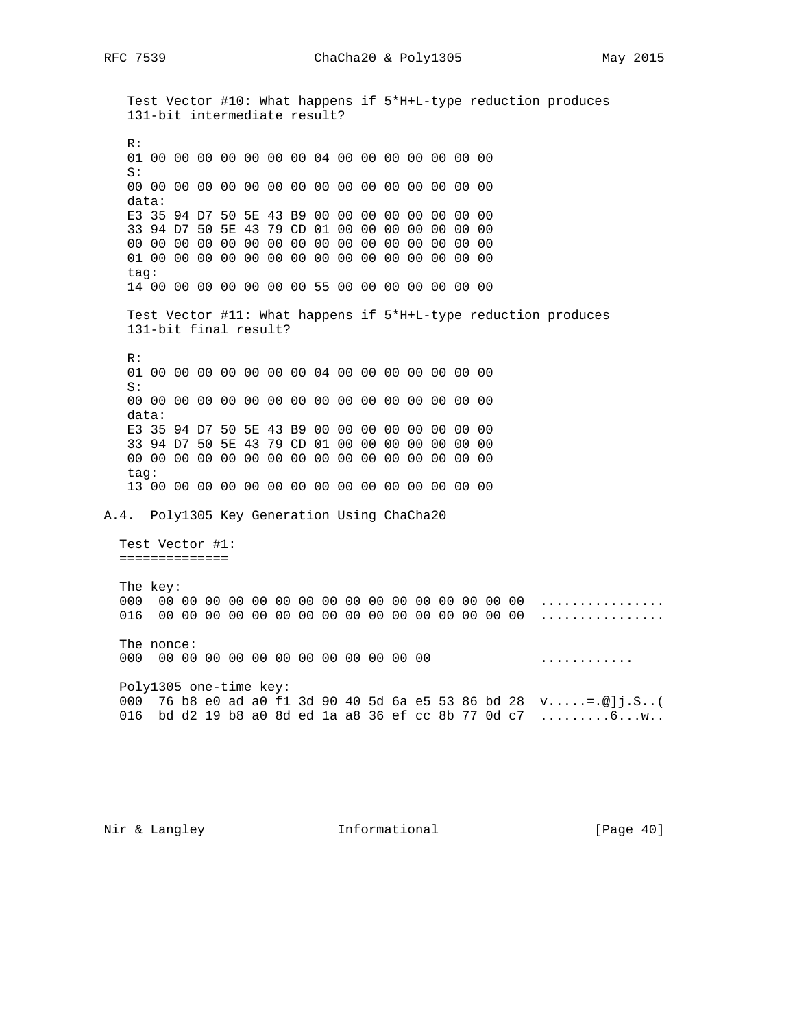Nir & Langley **Informational** [Page 40]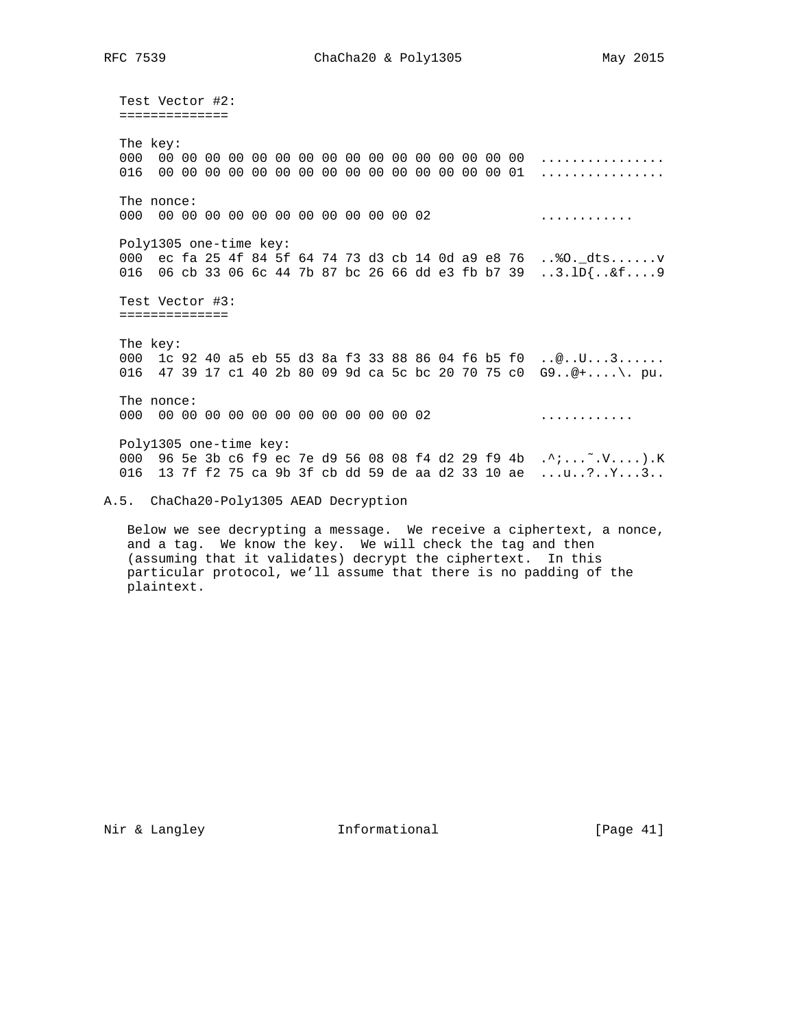Test Vector #2: ============== The key: 000 00 00 00 00 00 00 00 00 00 00 00 00 00 00 00 00 ................ 016 00 00 00 00 00 00 00 00 00 00 00 00 00 00 00 01 ................ The nonce: 000 00 00 00 00 00 00 00 00 00 00 00 02 ............ Poly1305 one-time key: 000 ec fa 25 4f 84 5f 64 74 73 d3 cb 14 0d a9 e8 76 ..%O.\_dts......v 016 06 cb 33 06 6c 44 7b 87 bc 26 66 dd e3 fb b7 39 ..3.lD{..&f....9 Test Vector #3: ============== The key: 000 1c 92 40 a5 eb 55 d3 8a f3 33 88 86 04 f6 b5 f0 ..@..U...3...... 016 47 39 17 c1 40 2b 80 09 9d ca 5c bc 20 70 75 c0 G9..@+....\. pu. The nonce: 000 00 00 00 00 00 00 00 00 00 00 00 02 ............ Poly1305 one-time key: 000 96 5e 3b c6 f9 ec 7e d9 56 08 08 f4 d2 29 f9 4b .^;...~.V....).K 016 13 7f f2 75 ca 9b 3f cb dd 59 de aa d2 33 10 ae ...u..?..Y...3.. A.5. ChaCha20-Poly1305 AEAD Decryption

 Below we see decrypting a message. We receive a ciphertext, a nonce, and a tag. We know the key. We will check the tag and then (assuming that it validates) decrypt the ciphertext. In this particular protocol, we'll assume that there is no padding of the plaintext.

Nir & Langley **Informational** [Page 41]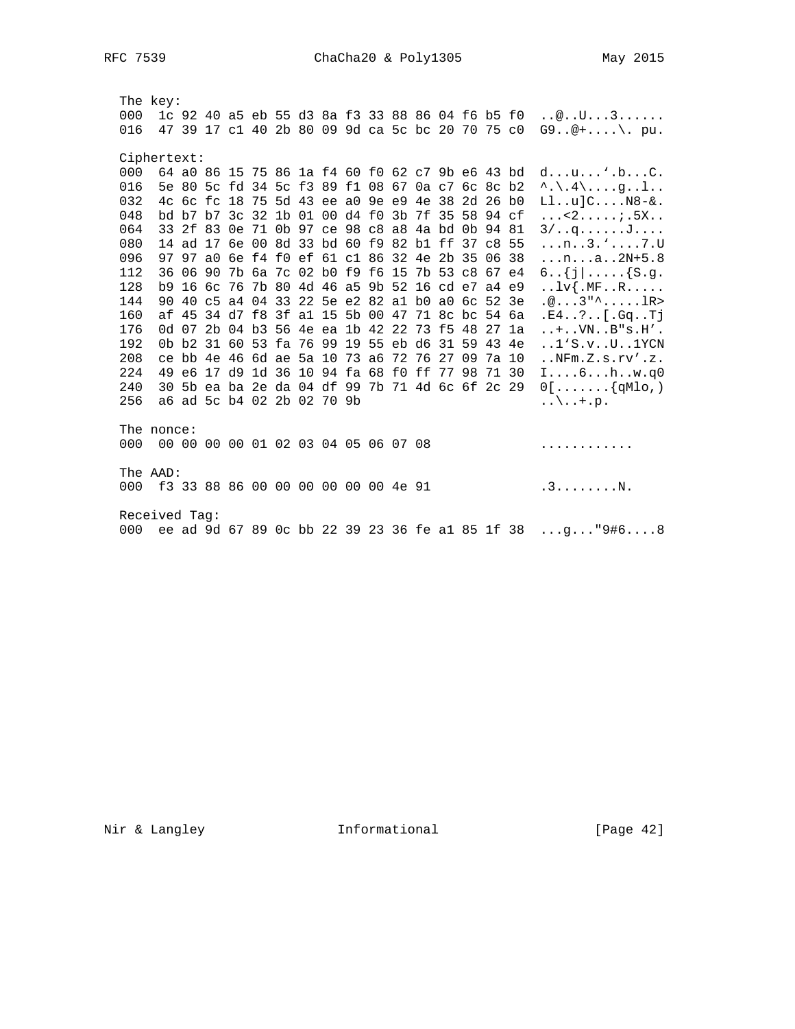The key: 000 1c 92 40 a5 eb 55 d3 8a f3 33 88 86 04 f6 b5 f0 ..@..U...3...... 016 47 39 17 c1 40 2b 80 09 9d ca 5c bc 20 70 75 c0  $G9 \dots 2 + \dots$ , pu. Ciphertext: 000 64 a0 86 15 75 86 1a f4 60 f0 62 c7 9b e6 43 bd d...u...'.b...C. 016 5e 80 5c fd 34 5c f3 89 f1 08 67 0a c7 6c 8c b2 ^.\.4\....g..1.. 032 4c 6c fc 18 75 5d 43 ee a0 9e e9 4e 38 2d 26 b0 Ll..u]C....N8-&. 048 bd b7 b7 3c 32 1b 01 00 d4 f0 3b 7f 35 58 94 cf ... < 2.....; 5X.. 064 33 2f 83 0e 71 0b 97 ce 98 c8 a8 4a bd 0b 94 81 3/..g......J.... 080 14 ad 17 6e 00 8d 33 bd 60 f9 82 bl ff 37 c8 55 ...n..3.'....7.U 096 97 97 a0 6e f4 f0 ef 61 c1 86 32 4e 2b 35 06 38 ...n...a..2N+5.8 112 36 06 90 7b 6a 7c 02 b0 f9 f6 15 7b 53 c8 67 e4 6.. $\{j | \ldots$ .... $\{S.g.$ 128 b9 16 6c 76 7b 80 4d 46 a5 9b 52 16 cd e7 a4 e9 ..lv{.MF..R.....<br>144 90 40 c5 a4 04 33 22 5e e2 82 a1 b0 a0 6c 52 3e .@...3"^.....lR> 160 af 45 34 d7 f8 3f al 15 5b 00 47 71 8c bc 54 6a .E4..?..[.Gq..Tj 176 0d 07 2b 04 b3 56 4e ea 1b 42 22 73 f5 48 27 1a ..... VN.. B"s. H'. 192 0b b2 31 60 53 fa 76 99 19 55 eb d6 31 59 43 4e ..1'S.v..U..1YCN 208 ce bb 4e 46 6d ae 5a 10 73 a6 72 76 27 09 7a 10 ..NFm.Z.s.rv'.z. 224 49 e6 17 d9 1d 36 10 94 fa 68 f0 ff 77 98 71 30 I....6...h..w.q0 240 30 5b ea ba 2e da 04 df 99 7b 71 4d 6c 6f 2c 29  $0[\ldots,\ldots,\{qMl0,\ldots]$ 256 a6 ad 5c b4 02 2b 02 70 9b  $\ldots \backslash \ldots + p$ . The nonce: 000 00 00 00 00 01 02 03 04 05 06 07 08 . . . . . . . . . . . . . The AAD: 000 f3 33 88 86 00 00 00 00 00 00 4e 91 3........N. Received Tag: 000 ee ad 9d 67 89 0c bb 22 39 23 36 fe al 85 1f 38 ...q..."9#6....8

Nir & Langley Theormational

 $[Page 42]$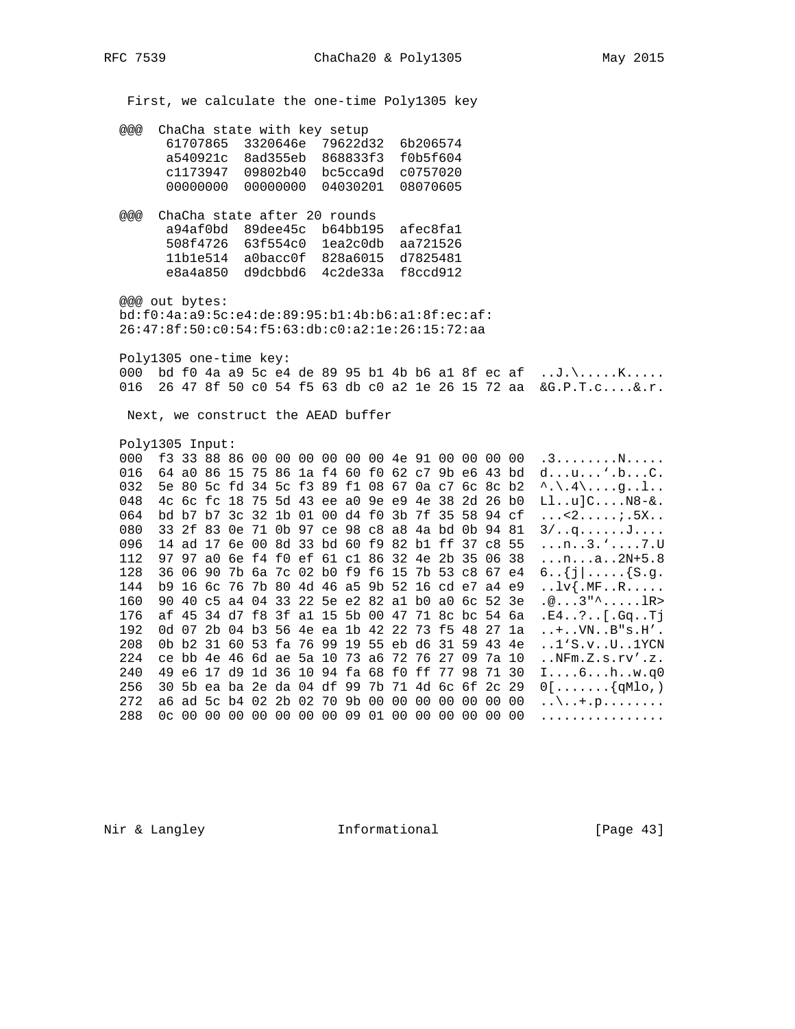First, we calculate the one-time Poly1305 key

@@@ ChaCha state with key setup

|            |                   | 61707865 3320646e 79622d32 |                            | 6b206574 |
|------------|-------------------|----------------------------|----------------------------|----------|
| a540921c   |                   |                            | 8ad355eb 868833f3 f0b5f604 |          |
|            | c1173947 09802b40 |                            | bc5cca9d c0757020          |          |
| . 00000000 |                   |                            |                            |          |

 @@@ ChaCha state after 20 rounds a94af0bd 89dee45c b64bb195 afec8fa1 508f4726 63f554c0 1ea2c0db aa721526 11b1e514 a0bacc0f 828a6015 d7825481 e8a4a850 d9dcbbd6 4c2de33a f8ccd912

 @@@ out bytes: bd:f0:4a:a9:5c:e4:de:89:95:b1:4b:b6:a1:8f:ec:af: 26:47:8f:50:c0:54:f5:63:db:c0:a2:1e:26:15:72:aa

 Poly1305 one-time key: 000 bd f0 4a a9 5c e4 de 89 95 b1 4b b6 a1 8f ec af  $\dots$ J.\.....K..... 016 26 47 8f 50 c0 54 f5 63 db c0 a2 1e 26 15 72 aa &G.P.T.c....&.r.

Next, we construct the AEAD buffer

Poly1305 Input:

000 f3 33 88 86 00 00 00 00 00 00 4e 91 00 00 00 00 .3........N..... 016 64 a0 86 15 75 86 1a f4 60 f0 62 c7 9b e6 43 bd d...u...'.b...C. 032 5e 80 5c fd 34 5c f3 89 f1 08 67 0a c7 6c 8c b2 ^.\.4\....g..l.. 048 4c 6c fc 18 75 5d 43 ee a0 9e e9 4e 38 2d 26 b0  $\text{L1..u}$ ]C....N8-&. 064 bd b7 b7 3c 32 1b 01 00 d4 f0 3b 7f 35 58 94 cf ...<2.....;.5X.. 080 33 2f 83 0e 71 0b 97 ce 98 c8 a8 4a bd 0b 94 81 3/..q......J.... 096 14 ad 17 6e 00 8d 33 bd 60 f9 82 b1 ff 37 c8 55 ...n..3.'....7.U 112 97 97 a0 6e f4 f0 ef 61 c1 86 32 4e 2b 35 06 38 ...n...a..2N+5.8 128 36 06 90 7b 6a 7c 02 b0 f9 f6 15 7b 53 c8 67 e4  $6..\{j}$ ..... $\{s,q$ . 144 b9 16 6c 76 7b 80 4d 46 a5 9b 52 16 cd e7 a4 e9 ..lv{.MF..R..... 160 90 40 c5 a4 04 33 22 5e e2 82 a1 b0 a0 6c 52 3e .@...3"^.....lR> 176 af 45 34 d7 f8 3f a1 15 5b 00 47 71 8c bc 54 6a .E4..?..[.Gq..Tj 192 0d 07 2b 04 b3 56 4e ea 1b 42 22 73 f5 48 27 1a ..+..VN..B"s.H'. 208 0b b2 31 60 53 fa 76 99 19 55 eb d6 31 59 43 4e ..1'S.v..U..1YCN 224 ce bb 4e 46 6d ae 5a 10 73 a6 72 76 27 09 7a 10 ..NFm.Z.s.rv'.z. 240 49 e6 17 d9 1d 36 10 94 fa 68 f0 ff 77 98 71 30 I....6...h..w.q0 256 30 5b ea ba 2e da 04 df 99 7b 71 4d 6c 6f 2c 29  $0[\ldots, \ldots, \{qMlo\})$  272 a6 ad 5c b4 02 2b 02 70 9b 00 00 00 00 00 00 00 ..\..+.p........ 288 0c 00 00 00 00 00 00 00 09 01 00 00 00 00 00 00 ................

Nir & Langley **Informational** [Page 43]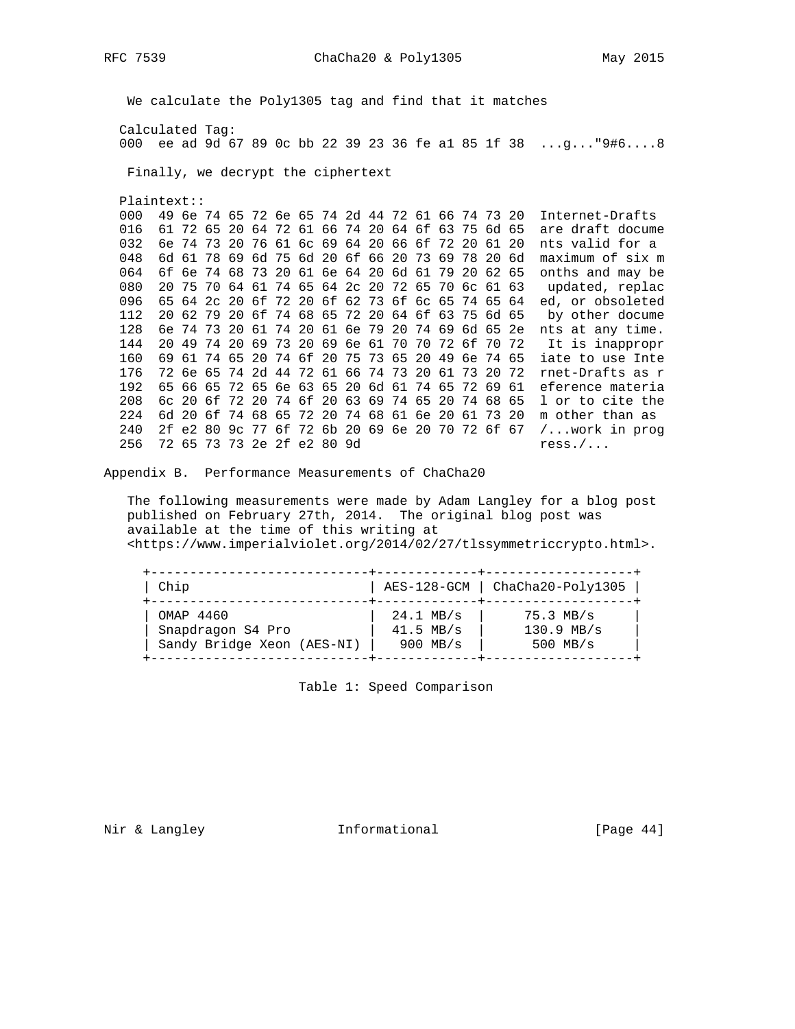We calculate the Poly1305 tag and find that it matches Calculated Tag: 000 ee ad 9d 67 89 0c bb 22 39 23 36 fe al 85 1f 38 ...g..."9#6....8 Finally, we decrypt the ciphertext  $Plaintext:$ 000 49 6e 74 65 72 6e 65 74 2d 44 72 61 66 74 73 20 Internet-Drafts 016 61 72 65 20 64 72 61 66 74 20 64 6f 63 75 6d 65 are draft docume 032 6e 74 73 20 76 61 6c 69 64 20 66 6f 72 20 61 20 nts valid for a 048 6d 61 78 69 6d 75 6d 20 6f 66 20 73 69 78 20 6d maximum of six m 064 6f 6e 74 68 73 20 61 6e 64 20 6d 61 79 20 62 65 onths and may be 080 20 75 70 64 61 74 65 64 2c 20 72 65 70 6c 61 63 updated, replace 096 65 64 2c 20 6f 72 20 6f 62 73 6f 6c 65 74 65 64 ed, or obsoleted 112 20 62 79 20 6f 74 68 65 72 20 64 6f 63 75 6d 65 by other docume 128 6e 74 73 20 61 74 20 61 6e 79 20 74 69 6d 65 2e nts at any time. 144 20 49 74 20 69 73 20 69 6e 61 70 70 72 6f 70 72 It is inappropr 160 69 61 74 65 20 74 6f 20 75 73 65 20 49 6e 74 65 iate to use Inte 176 72 6e 65 74 2d 44 72 61 66 74 73 20 61 73 20 72 rnet-Drafts as r 192 65 66 65 72 65 6e 63 65 20 6d 61 74 65 72 69 61 eference materia 208 6c 20 6f 72 20 74 6f 20 63 69 74 65 20 74 68 65 1 or to cite the 224 6d 20 6f 74 68 65 72 20 74 68 61 6e 20 61 73 20 m other than as 240 2f e2 80 9c 77 6f 72 6b 20 69 6e 20 70 72 6f 67 /... work in prog 256 72 65 73 73 2e 2f e2 80 9d  $ress. / ...$ 

Appendix B. Performance Measurements of ChaCha20

The following measurements were made by Adam Langley for a blog post published on February 27th, 2014. The original blog post was available at the time of this writing at <https://www.imperialviolet.org/2014/02/27/tlssymmetriccrypto.html>.

| Chip | AES-128-GCM | ChaCha20-Poly1305 | 0MAP 4460<br>
Snapdragon S4 Pro | 24.1 MB/s | 75.3 MB/s<br>
Sandy Bridge Xeon (AES-NI) | 900 MB/s | 500 MB/s 

Table 1: Speed Comparison

Nir & Langley Thermational

[Page  $44$ ]